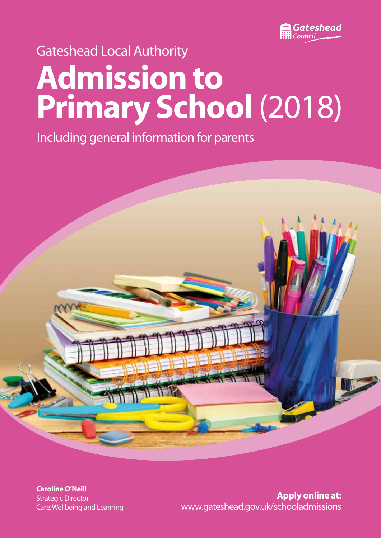

## Gateshead Local Authority

# **Admission to Primary School** (2018)

Including general information for parents



**Caroline O'Neill** Strategic Director Care, Wellbeing and Learning

**Apply online at:** www.gateshead.gov.uk/schooladmissions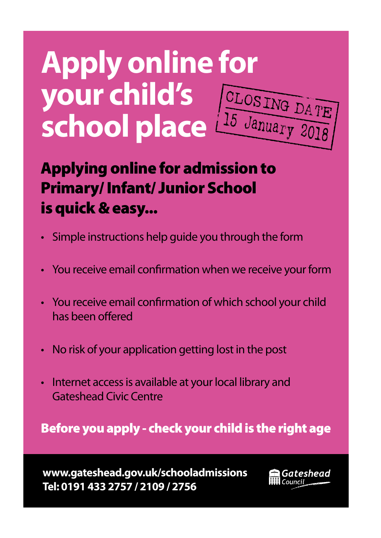# **Apply online for your child's your child's** CLOSING DATE

## Applying online for admission to Primary/ Infant/ Junior School is quick & easy...

- Simple instructions help guide you through the form
- You receive email confirmation when we receive your form
- You receive email confirmation of which school your child has been offered
- No risk of your application getting lost in the post
- Internet access is available at your local library and Gateshead Civic Centre

Before you apply - check your child is the right age

**www.gateshead.gov.uk/schooladmissions Tel: 0191 433 2757 / 2109 / 2756**

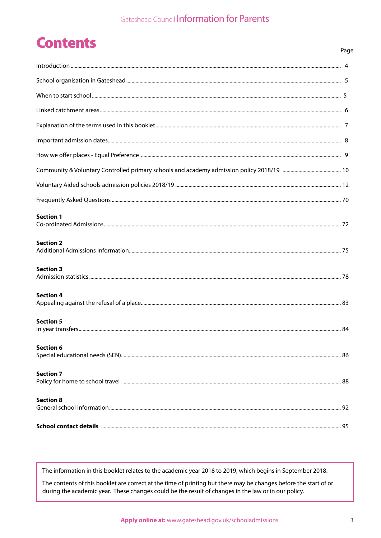## **Contents**

|                  | Page |
|------------------|------|
|                  |      |
|                  |      |
|                  |      |
|                  |      |
|                  |      |
|                  |      |
|                  |      |
|                  |      |
|                  |      |
|                  |      |
| <b>Section 1</b> |      |
| <b>Section 2</b> |      |
| <b>Section 3</b> |      |
| <b>Section 4</b> |      |
| <b>Section 5</b> |      |
| <b>Section 6</b> |      |
| <b>Section 7</b> |      |
| <b>Section 8</b> |      |

The information in this booklet relates to the academic year 2018 to 2019, which begins in September 2018.

The contents of this booklet are correct at the time of printing but there may be changes before the start of or during the academic year. These changes could be the result of changes in the law or in our policy.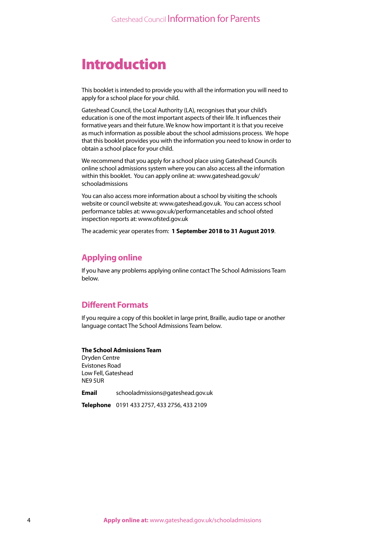## Introduction

This booklet is intended to provide you with all the information you will need to apply for a school place for your child.

Gateshead Council, the Local Authority (LA), recognises that your child's education is one of the most important aspects of their life. It influences their formative years and their future. We know how important it is that you receive as much information as possible about the school admissions process. We hope that this booklet provides you with the information you need to know in order to obtain a school place for your child.

We recommend that you apply for a school place using Gateshead Councils online school admissions system where you can also access all the information within this booklet. You can apply online at: www.gateshead.gov.uk/ schooladmissions

You can also access more information about a school by visiting the schools website or council website at: www.gateshead.gov.uk. You can access school performance tables at: www.gov.uk/performancetables and school ofsted inspection reports at: www.ofsted.gov.uk

The academic year operates from: **1 September 2018 to 31 August 2019**.

### **Applying online**

If you have any problems applying online contact The School Admissions Team below.

### **Different Formats**

If you require a copy of this booklet in large print, Braille, audio tape or another language contact The School Admissions Team below.

#### **The School Admissions Team**

Dryden Centre Evistones Road Low Fell, Gateshead NE9 5UR

**Email** schooladmissions@gateshead.gov.uk

**Telephone** 0191 433 2757, 433 2756, 433 2109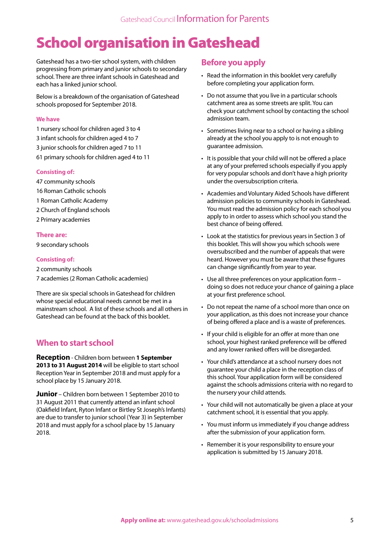## School organisation in Gateshead

Gateshead has a two-tier school system, with children progressing from primary and junior schools to secondary school. There are three infant schools in Gateshead and each has a linked junior school.

Below is a breakdown of the organisation of Gateshead schools proposed for September 2018.

#### **We have**

- 1 nursery school for children aged 3 to 4
- 3 infant schools for children aged 4 to 7
- 3 junior schools for children aged 7 to 11
- 61 primary schools for children aged 4 to 11

#### **Consisting of:**

- 47 community schools
- 16 Roman Catholic schools
- 1 Roman Catholic Academy
- 2 Church of England schools
- 2 Primary academies

#### **There are:**

9 secondary schools

#### **Consisting of:**

2 community schools

7 academies (2 Roman Catholic academies)

There are six special schools in Gateshead for children whose special educational needs cannot be met in a mainstream school. A list of these schools and all others in Gateshead can be found at the back of this booklet.

## **When to start school**

**Reception** - Children born between **1 September 2013 to 31 August 2014** will be eligible to start school Reception Year in September 2018 and must apply for a school place by 15 January 2018.

**Junior** – Children born between 1 September 2010 to 31 August 2011 that currently attend an infant school (Oakfield Infant, Ryton Infant or Birtley St Joseph's Infants) are due to transfer to junior school (Year 3) in September 2018 and must apply for a school place by 15 January 2018.

## **Before you apply**

- Read the information in this booklet very carefully before completing your application form.
- Do not assume that you live in a particular schools catchment area as some streets are split. You can check your catchment school by contacting the school admission team.
- Sometimes living near to a school or having a sibling already at the school you apply to is not enough to guarantee admission.
- It is possible that your child will not be offered a place at any of your preferred schools especially if you apply for very popular schools and don't have a high priority under the oversubscription criteria.
- Academies and Voluntary Aided Schools have different admission policies to community schools in Gateshead. You must read the admission policy for each school you apply to in order to assess which school you stand the best chance of being offered.
- Look at the statistics for previous years in Section 3 of this booklet. This will show you which schools were oversubscribed and the number of appeals that were heard. However you must be aware that these figures can change significantly from year to year.
- Use all three preferences on your application form doing so does not reduce your chance of gaining a place at your first preference school.
- Do not repeat the name of a school more than once on your application, as this does not increase your chance of being offered a place and is a waste of preferences.
- If your child is eligible for an offer at more than one school, your highest ranked preference will be offered and any lower ranked offers will be disregarded.
- Your child's attendance at a school nursery does not guarantee your child a place in the reception class of this school. Your application form will be considered against the schools admissions criteria with no regard to the nursery your child attends.
- Your child will not automatically be given a place at your catchment school, it is essential that you apply.
- You must inform us immediately if you change address after the submission of your application form.
- Remember it is your responsibility to ensure your application is submitted by 15 January 2018.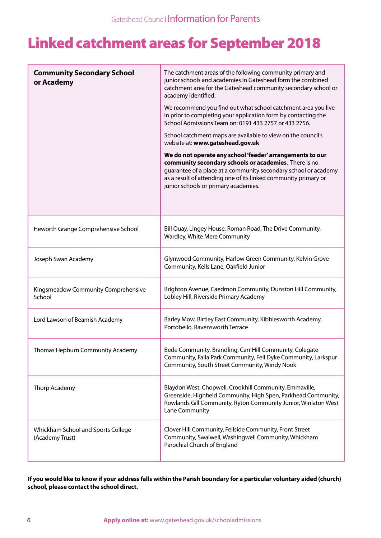## Linked catchment areas for September 2018

| <b>Community Secondary School</b><br>or Academy       | The catchment areas of the following community primary and<br>junior schools and academies in Gateshead form the combined<br>catchment area for the Gateshead community secondary school or<br>academy identified.<br>We recommend you find out what school catchment area you live<br>in prior to completing your application form by contacting the<br>School Admissions Team on: 0191 433 2757 or 433 2756.<br>School catchment maps are available to view on the council's<br>website at: www.gateshead.gov.uk<br>We do not operate any school 'feeder' arrangements to our<br>community secondary schools or academies. There is no<br>guarantee of a place at a community secondary school or academy<br>as a result of attending one of its linked community primary or<br>junior schools or primary academies. |
|-------------------------------------------------------|------------------------------------------------------------------------------------------------------------------------------------------------------------------------------------------------------------------------------------------------------------------------------------------------------------------------------------------------------------------------------------------------------------------------------------------------------------------------------------------------------------------------------------------------------------------------------------------------------------------------------------------------------------------------------------------------------------------------------------------------------------------------------------------------------------------------|
| Heworth Grange Comprehensive School                   | Bill Quay, Lingey House, Roman Road, The Drive Community,<br>Wardley, White Mere Community                                                                                                                                                                                                                                                                                                                                                                                                                                                                                                                                                                                                                                                                                                                             |
| Joseph Swan Academy                                   | Glynwood Community, Harlow Green Community, Kelvin Grove<br>Community, Kells Lane, Oakfield Junior                                                                                                                                                                                                                                                                                                                                                                                                                                                                                                                                                                                                                                                                                                                     |
| Kingsmeadow Community Comprehensive<br>School         | Brighton Avenue, Caedmon Community, Dunston Hill Community,<br>Lobley Hill, Riverside Primary Academy                                                                                                                                                                                                                                                                                                                                                                                                                                                                                                                                                                                                                                                                                                                  |
| Lord Lawson of Beamish Academy                        | Barley Mow, Birtley East Community, Kibblesworth Academy,<br>Portobello, Ravensworth Terrace                                                                                                                                                                                                                                                                                                                                                                                                                                                                                                                                                                                                                                                                                                                           |
| Thomas Hepburn Community Academy                      | Bede Community, Brandling, Carr Hill Community, Colegate<br>Community, Falla Park Community, Fell Dyke Community, Larkspur<br>Community, South Street Community, Windy Nook                                                                                                                                                                                                                                                                                                                                                                                                                                                                                                                                                                                                                                            |
| Thorp Academy                                         | Blaydon West, Chopwell, Crookhill Community, Emmaville,<br>Greenside, Highfield Community, High Spen, Parkhead Community,<br>Rowlands Gill Community, Ryton Community Junior, Winlaton West<br>Lane Community                                                                                                                                                                                                                                                                                                                                                                                                                                                                                                                                                                                                          |
| Whickham School and Sports College<br>(Academy Trust) | Clover Hill Community, Fellside Community, Front Street<br>Community, Swalwell, Washingwell Community, Whickham<br>Parochial Church of England                                                                                                                                                                                                                                                                                                                                                                                                                                                                                                                                                                                                                                                                         |

**If you would like to know if your address falls within the Parish boundary for a particular voluntary aided (church) school, please contact the school direct.**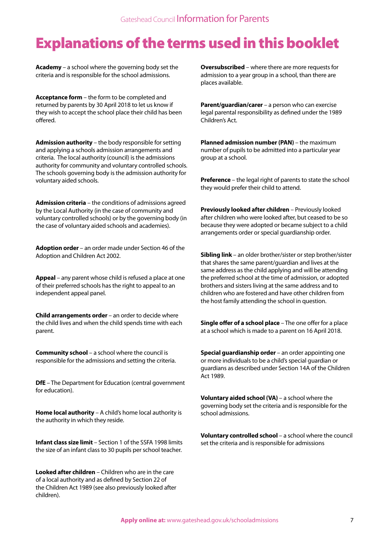## Explanations of the terms used in this booklet

**Academy** – a school where the governing body set the criteria and is responsible for the school admissions.

**Acceptance form** – the form to be completed and returned by parents by 30 April 2018 to let us know if they wish to accept the school place their child has been offered.

**Admission authority** – the body responsible for setting and applying a schools admission arrangements and criteria. The local authority (council) is the admissions authority for community and voluntary controlled schools. The schools governing body is the admission authority for voluntary aided schools.

**Admission criteria** – the conditions of admissions agreed by the Local Authority (in the case of community and voluntary controlled schools) or by the governing body (in the case of voluntary aided schools and academies).

**Adoption order** – an order made under Section 46 of the Adoption and Children Act 2002.

**Appeal** – any parent whose child is refused a place at one of their preferred schools has the right to appeal to an independent appeal panel.

**Child arrangements order** – an order to decide where the child lives and when the child spends time with each parent.

**Community school** – a school where the council is responsible for the admissions and setting the criteria.

**DfE** – The Department for Education (central government for education).

**Home local authority** – A child's home local authority is the authority in which they reside.

**Infant class size limit** – Section 1 of the SSFA 1998 limits the size of an infant class to 30 pupils per school teacher.

**Looked after children** – Children who are in the care of a local authority and as defined by Section 22 of the Children Act 1989 (see also previously looked after children).

**Oversubscribed** – where there are more requests for admission to a year group in a school, than there are places available.

**Parent/guardian/carer** – a person who can exercise legal parental responsibility as defined under the 1989 Children's Act.

**Planned admission number (PAN)** – the maximum number of pupils to be admitted into a particular year group at a school.

**Preference** – the legal right of parents to state the school they would prefer their child to attend.

**Previously looked after children** – Previously looked after children who were looked after, but ceased to be so because they were adopted or became subject to a child arrangements order or special guardianship order.

**Sibling link** – an older brother/sister or step brother/sister that shares the same parent/guardian and lives at the same address as the child applying and will be attending the preferred school at the time of admission, or adopted brothers and sisters living at the same address and to children who are fostered and have other children from the host family attending the school in question.

**Single offer of a school place** – The one offer for a place at a school which is made to a parent on 16 April 2018.

**Special guardianship order** – an order appointing one or more individuals to be a child's special guardian or guardians as described under Section 14A of the Children Act 1989.

**Voluntary aided school (VA)** – a school where the governing body set the criteria and is responsible for the school admissions.

**Voluntary controlled school** – a school where the council set the criteria and is responsible for admissions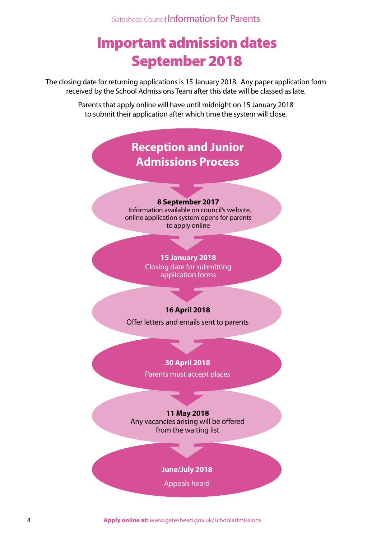## Important admission dates September 2018

The closing date for returning applications is 15 January 2018. Any paper application form received by the School Admissions Team after this date will be classed as late.

> Parents that apply online will have until midnight on 15 January 2018 to submit their application after which time the system will close.

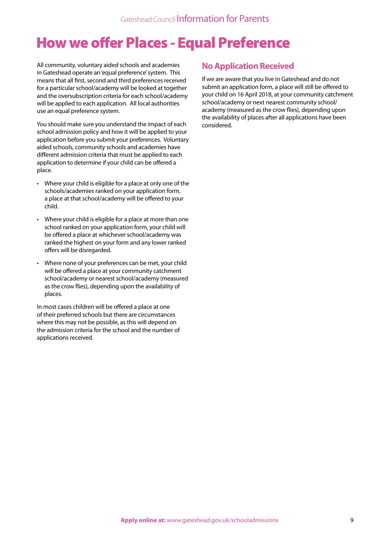## How we offer Places - Equal Preference

All community, voluntary aided schools and academies in Gateshead operate an 'equal preference' system. This means that all first, second and third preferences received for a particular school/academy will be looked at together and the oversubscription criteria for each school/academy will be applied to each application. All local authorities use an equal preference system.

You should make sure you understand the impact of each school admission policy and how it will be applied to your application before you submit your preferences. Voluntary aided schools, community schools and academies have different admission criteria that must be applied to each application to determine if your child can be offered a place.

- Where your child is eligible for a place at only one of the schools/academies ranked on your application form, a place at that school/academy will be offered to your child.
- Where your child is eligible for a place at more than one school ranked on your application form, your child will be offered a place at whichever school/academy was ranked the highest on your form and any lower ranked offers will be disregarded.
- Where none of your preferences can be met, your child will be offered a place at your community catchment school/academy or nearest school/academy (measured as the crow flies), depending upon the availability of places.

In most cases children will be offered a place at one of their preferred schools but there are circumstances where this may not be possible, as this will depend on the admission criteria for the school and the number of applications received.

## **No Application Received**

If we are aware that you live in Gateshead and do not submit an application form, a place will still be offered to your child on 16 April 2018, at your community catchment school/academy or next nearest community school/ academy (measured as the crow flies), depending upon the availability of places after all applications have been considered.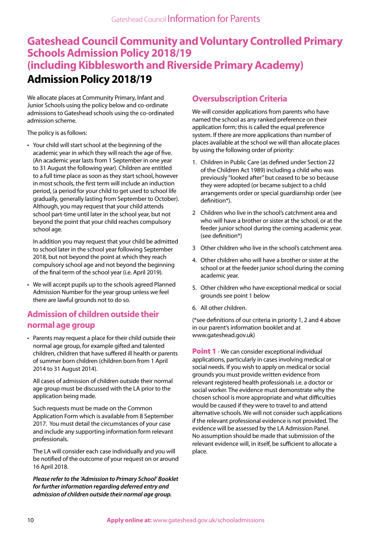## **Gateshead Council Community and Voluntary Controlled Primary Schools Admission Policy 2018/19 (including Kibblesworth and Riverside Primary Academy) Admission Policy 2018/19**

We allocate places at Community Primary, Infant and Junior Schools using the policy below and co-ordinate admissions to Gateshead schools using the co-ordinated admission scheme.

The policy is as follows:

• Your child will start school at the beginning of the academic year in which they will reach the age of five. (An academic year lasts from 1 September in one year to 31 August the following year). Children are entitled to a full time place as soon as they start school, however in most schools, the first term will include an induction period, (a period for your child to get used to school life gradually, generally lasting from September to October). Although, you may request that your child attends school part-time until later in the school year, but not beyond the point that your child reaches compulsory school age.

In addition you may request that your child be admitted to school later in the school year following September 2018, but not beyond the point at which they reach compulsory school age and not beyond the beginning of the final term of the school year (i.e. April 2019).

• We will accept pupils up to the schools agreed Planned Admission Number for the year group unless we feel there are lawful grounds not to do so.

## **Admission of children outside their normal age group**

• Parents may request a place for their child outside their normal age group, for example gifted and talented children, children that have suffered ill health or parents of summer born children (children born from 1 April 2014 to 31 August 2014).

All cases of admission of children outside their normal age group must be discussed with the LA prior to the application being made.

Such requests must be made on the Common Application Form which is available from 8 September 2017. You must detail the circumstances of your case and include any supporting information form relevant professionals.

The LA will consider each case individually and you will be notified of the outcome of your request on or around 16 April 2018.

*Please refer to the 'Admission to Primary School' Booklet for further information regarding deferred entry and admission of children outside their normal age group.*

## **Oversubscription Criteria**

We will consider applications from parents who have named the school as any ranked preference on their application form; this is called the equal preference system. If there are more applications than number of places available at the school we will than allocate places by using the following order of priority:

- 1. Children in Public Care (as defined under Section 22 of the Children Act 1989) including a child who was previously "looked after" but ceased to be so because they were adopted (or became subject to a child arrangements order or special guardianship order (see definition\*).
- 2 Children who live in the school's catchment area and who will have a brother or sister at the school, or at the feeder junior school during the coming academic year. (see definition\*)
- 3 Other children who live in the school's catchment area.
- 4. Other children who will have a brother or sister at the school or at the feeder junior school during the coming academic year.
- 5. Other children who have exceptional medical or social grounds see point 1 below
- 6. All other children.

(\*see definitions of our criteria in priority 1, 2 and 4 above in our parent's information booklet and at www.gateshead.gov.uk)

**Point 1** - We can consider exceptional individual applications, particularly in cases involving medical or social needs. If you wish to apply on medical or social grounds you must provide written evidence from relevant registered health professionals i.e. a doctor or social worker. The evidence must demonstrate why the chosen school is more appropriate and what difficulties would be caused if they were to travel to and attend alternative schools. We will not consider such applications if the relevant professional evidence is not provided. The evidence will be assessed by the LA Admission Panel. No assumption should be made that submission of the relevant evidence will, in itself, be sufficient to allocate a place.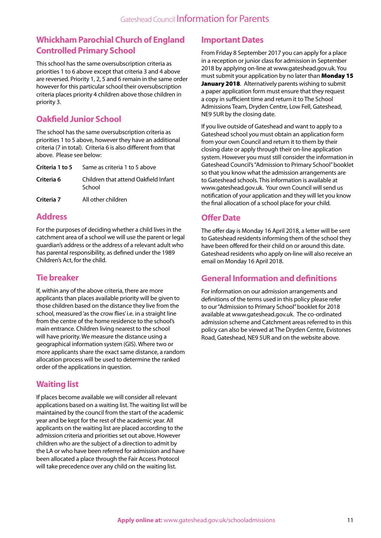## **Whickham Parochial Church of England Controlled Primary School**

This school has the same oversubscription criteria as priorities 1 to 6 above except that criteria 3 and 4 above are reversed. Priority 1, 2, 5 and 6 remain in the same order however for this particular school their oversubscription criteria places priority 4 children above those children in priority 3.

## **Oakfield Junior School**

The school has the same oversubscription criteria as priorities 1 to 5 above, however they have an additional criteria (7 in total). Criteria 6 is also different from that above. Please see below:

|            | <b>Criteria 1 to 5</b> Same as criteria 1 to 5 above |
|------------|------------------------------------------------------|
| Criteria 6 | Children that attend Oakfield Infant<br>School       |
| Criteria 7 | All other children                                   |

## **Address**

For the purposes of deciding whether a child lives in the catchment area of a school we will use the parent or legal guardian's address or the address of a relevant adult who has parental responsibility, as defined under the 1989 Children's Act, for the child.

## **Tie breaker**

If, within any of the above criteria, there are more applicants than places available priority will be given to those children based on the distance they live from the school, measured 'as the crow flies' i.e. in a straight line from the centre of the home residence to the school's main entrance. Children living nearest to the school will have priority. We measure the distance using a geographical information system (GIS). Where two or more applicants share the exact same distance, a random allocation process will be used to determine the ranked order of the applications in question.

## **Waiting list**

If places become available we will consider all relevant applications based on a waiting list. The waiting list will be maintained by the council from the start of the academic year and be kept for the rest of the academic year. All applicants on the waiting list are placed according to the admission criteria and priorities set out above. However children who are the subject of a direction to admit by the LA or who have been referred for admission and have been allocated a place through the Fair Access Protocol will take precedence over any child on the waiting list.

## **Important Dates**

From Friday 8 September 2017 you can apply for a place in a reception or junior class for admission in September 2018 by applying on-line at www.gateshead.gov.uk. You must submit your application by no later than Monday 15 January 2018. Alternatively parents wishing to submit a paper application form must ensure that they request a copy in sufficient time and return it to The School Admissions Team, Dryden Centre, Low Fell, Gateshead, NE9 5UR by the closing date.

If you live outside of Gateshead and want to apply to a Gateshead school you must obtain an application form from your own Council and return it to them by their closing date or apply through their on-line application system. However you must still consider the information in Gateshead Council's "Admission to Primary School" booklet so that you know what the admission arrangements are to Gateshead schools. This information is available at www.gateshead.gov.uk. Your own Council will send us notification of your application and they will let you know the final allocation of a school place for your child.

## **Offer Date**

The offer day is Monday 16 April 2018, a letter will be sent to Gateshead residents informing them of the school they have been offered for their child on or around this date. Gateshead residents who apply on-line will also receive an email on Monday 16 April 2018.

## **General Information and definitions**

For information on our admission arrangements and definitions of the terms used in this policy please refer to our "Admission to Primary School" booklet for 2018 available at www.gateshead.gov.uk. The co-ordinated admission scheme and Catchment areas referred to in this policy can also be viewed at The Dryden Centre, Evistones Road, Gateshead, NE9 5UR and on the website above.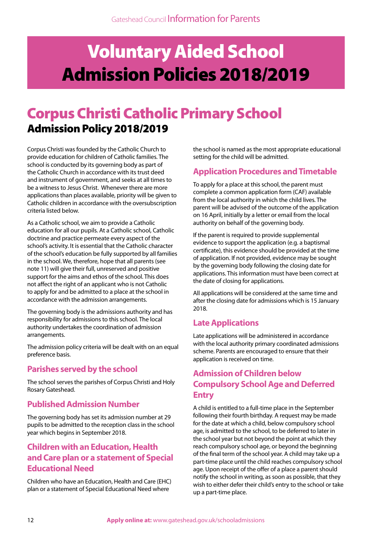## Voluntary Aided School Admission Policies 2018/2019

## Corpus Christi Catholic Primary School Admission Policy 2018/2019

Corpus Christi was founded by the Catholic Church to provide education for children of Catholic families. The school is conducted by its governing body as part of the Catholic Church in accordance with its trust deed and instrument of government, and seeks at all times to be a witness to Jesus Christ. Whenever there are more applications than places available, priority will be given to Catholic children in accordance with the oversubscription criteria listed below.

As a Catholic school, we aim to provide a Catholic education for all our pupils. At a Catholic school, Catholic doctrine and practice permeate every aspect of the school's activity. It is essential that the Catholic character of the school's education be fully supported by all families in the school. We, therefore, hope that all parents (see note 11) will give their full, unreserved and positive support for the aims and ethos of the school. This does not affect the right of an applicant who is not Catholic to apply for and be admitted to a place at the school in accordance with the admission arrangements.

The governing body is the admissions authority and has responsibility for admissions to this school. The local authority undertakes the coordination of admission arrangements.

The admission policy criteria will be dealt with on an equal preference basis.

## **Parishes served by the school**

The school serves the parishes of Corpus Christi and Holy Rosary Gateshead.

## **Published Admission Number**

The governing body has set its admission number at 29 pupils to be admitted to the reception class in the school year which begins in September 2018.

## **Children with an Education, Health and Care plan or a statement of Special Educational Need**

Children who have an Education, Health and Care (EHC) plan or a statement of Special Educational Need where

the school is named as the most appropriate educational setting for the child will be admitted.

## **Application Procedures and Timetable**

To apply for a place at this school, the parent must complete a common application form (CAF) available from the local authority in which the child lives. The parent will be advised of the outcome of the application on 16 April, initially by a letter or email from the local authority on behalf of the governing body.

If the parent is required to provide supplemental evidence to support the application (e.g. a baptismal certificate), this evidence should be provided at the time of application. If not provided, evidence may be sought by the governing body following the closing date for applications. This information must have been correct at the date of closing for applications.

All applications will be considered at the same time and after the closing date for admissions which is 15 January 2018.

## **Late Applications**

Late applications will be administered in accordance with the local authority primary coordinated admissions scheme. Parents are encouraged to ensure that their application is received on time.

## **Admission of Children below Compulsory School Age and Deferred Entry**

A child is entitled to a full-time place in the September following their fourth birthday. A request may be made for the date at which a child, below compulsory school age, is admitted to the school, to be deferred to later in the school year but not beyond the point at which they reach compulsory school age, or beyond the beginning of the final term of the school year. A child may take up a part-time place until the child reaches compulsory school age. Upon receipt of the offer of a place a parent should notify the school in writing, as soon as possible, that they wish to either defer their child's entry to the school or take up a part-time place.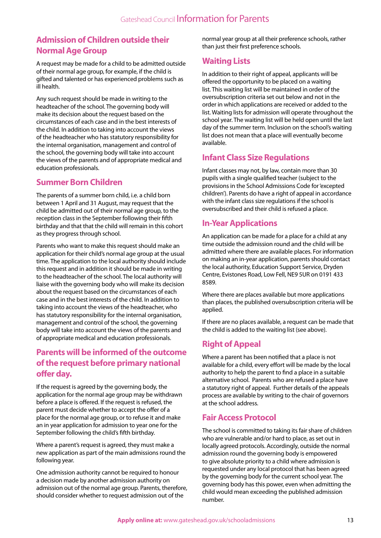## **Admission of Children outside their Normal Age Group**

A request may be made for a child to be admitted outside of their normal age group, for example, if the child is gifted and talented or has experienced problems such as ill health.

Any such request should be made in writing to the headteacher of the school. The governing body will make its decision about the request based on the circumstances of each case and in the best interests of the child. In addition to taking into account the views of the headteacher who has statutory responsibility for the internal organisation, management and control of the school, the governing body will take into account the views of the parents and of appropriate medical and education professionals.

## **Summer Born Children**

The parents of a summer born child, i.e. a child born between 1 April and 31 August, may request that the child be admitted out of their normal age group, to the reception class in the September following their fifth birthday and that that the child will remain in this cohort as they progress through school.

Parents who want to make this request should make an application for their child's normal age group at the usual time. The application to the local authority should include this request and in addition it should be made in writing to the headteacher of the school. The local authority will liaise with the governing body who will make its decision about the request based on the circumstances of each case and in the best interests of the child. In addition to taking into account the views of the headteacher, who has statutory responsibility for the internal organisation, management and control of the school, the governing body will take into account the views of the parents and of appropriate medical and education professionals.

## **Parents will be informed of the outcome of the request before primary national offer day.**

If the request is agreed by the governing body, the application for the normal age group may be withdrawn before a place is offered. If the request is refused, the parent must decide whether to accept the offer of a place for the normal age group, or to refuse it and make an in year application for admission to year one for the September following the child's fifth birthday.

Where a parent's request is agreed, they must make a new application as part of the main admissions round the following year.

One admission authority cannot be required to honour a decision made by another admission authority on admission out of the normal age group. Parents, therefore, should consider whether to request admission out of the

normal year group at all their preference schools, rather than just their first preference schools.

## **Waiting Lists**

In addition to their right of appeal, applicants will be offered the opportunity to be placed on a waiting list. This waiting list will be maintained in order of the oversubscription criteria set out below and not in the order in which applications are received or added to the list. Waiting lists for admission will operate throughout the school year. The waiting list will be held open until the last day of the summer term. Inclusion on the school's waiting list does not mean that a place will eventually become available.

## **Infant Class Size Regulations**

Infant classes may not, by law, contain more than 30 pupils with a single qualified teacher (subject to the provisions in the School Admissions Code for 'excepted children'). Parents do have a right of appeal in accordance with the infant class size regulations if the school is oversubscribed and their child is refused a place.

## **In-Year Applications**

An application can be made for a place for a child at any time outside the admission round and the child will be admitted where there are available places. For information on making an in-year application, parents should contact the local authority, Education Support Service, Dryden Centre, Evistones Road, Low Fell, NE9 5UR on 0191 433 8589.

Where there are places available but more applications than places, the published oversubscription criteria will be applied.

If there are no places available, a request can be made that the child is added to the waiting list (see above).

## **Right of Appeal**

Where a parent has been notified that a place is not available for a child, every effort will be made by the local authority to help the parent to find a place in a suitable alternative school. Parents who are refused a place have a statutory right of appeal. Further details of the appeals process are available by writing to the chair of governors at the school address.

## **Fair Access Protocol**

The school is committed to taking its fair share of children who are vulnerable and/or hard to place, as set out in locally agreed protocols. Accordingly, outside the normal admission round the governing body is empowered to give absolute priority to a child where admission is requested under any local protocol that has been agreed by the governing body for the current school year. The governing body has this power, even when admitting the child would mean exceeding the published admission number.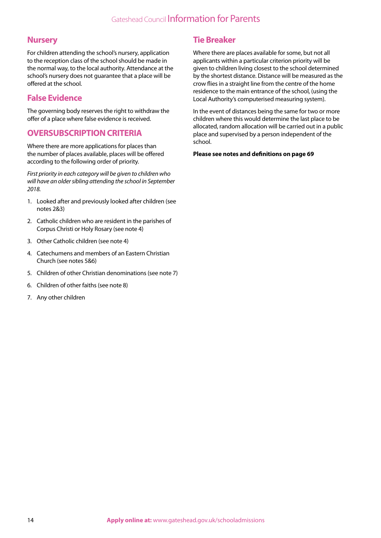## **Nursery**

For children attending the school's nursery, application to the reception class of the school should be made in the normal way, to the local authority. Attendance at the school's nursery does not guarantee that a place will be offered at the school.

## **False Evidence**

The governing body reserves the right to withdraw the offer of a place where false evidence is received.

## **OVERSUBSCRIPTION CRITERIA**

Where there are more applications for places than the number of places available, places will be offered according to the following order of priority.

*First priority in each category will be given to children who will have an older sibling attending the school in September 2018.*

- 1. Looked after and previously looked after children (see notes 2&3)
- 2. Catholic children who are resident in the parishes of Corpus Christi or Holy Rosary (see note 4)
- 3. Other Catholic children (see note 4)
- 4. Catechumens and members of an Eastern Christian Church (see notes 5&6)
- 5. Children of other Christian denominations (see note 7)
- 6. Children of other faiths (see note 8)
- 7. Any other children

## **Tie Breaker**

Where there are places available for some, but not all applicants within a particular criterion priority will be given to children living closest to the school determined by the shortest distance. Distance will be measured as the crow flies in a straight line from the centre of the home residence to the main entrance of the school, (using the Local Authority's computerised measuring system).

In the event of distances being the same for two or more children where this would determine the last place to be allocated, random allocation will be carried out in a public place and supervised by a person independent of the school.

#### **Please see notes and definitions on page 69**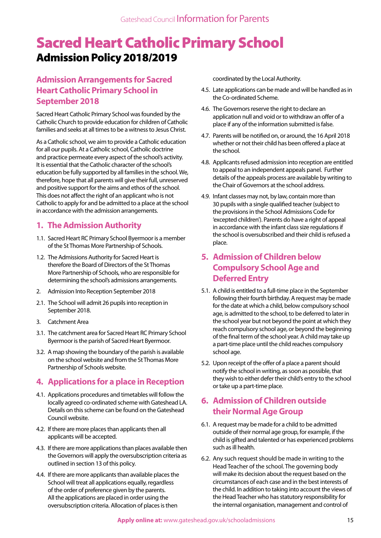## Sacred Heart Catholic Primary School Admission Policy 2018/2019

## **Admission Arrangements for Sacred Heart Catholic Primary School in September 2018**

Sacred Heart Catholic Primary School was founded by the Catholic Church to provide education for children of Catholic families and seeks at all times to be a witness to Jesus Christ.

As a Catholic school, we aim to provide a Catholic education for all our pupils. At a Catholic school, Catholic doctrine and practice permeate every aspect of the school's activity. It is essential that the Catholic character of the school's education be fully supported by all families in the school. We, therefore, hope that all parents will give their full, unreserved and positive support for the aims and ethos of the school. This does not affect the right of an applicant who is not Catholic to apply for and be admitted to a place at the school in accordance with the admission arrangements.

## **1. The Admission Authority**

- 1.1. Sacred Heart RC Primary School Byermoor is a member of the St Thomas More Partnership of Schools.
- 1.2. The Admissions Authority for Sacred Heart is therefore the Board of Directors of the St Thomas More Partnership of Schools, who are responsible for determining the school's admissions arrangements.
- 2. Admission Into Reception September 2018
- 2.1. The School will admit 26 pupils into reception in September 2018.
- 3. Catchment Area
- 3.1. The catchment area for Sacred Heart RC Primary School Byermoor is the parish of Sacred Heart Byermoor.
- 3.2. A map showing the boundary of the parish is available on the school website and from the St Thomas More Partnership of Schools website.

## **4. Applications for a place in Reception**

- 4.1. Applications procedures and timetables will follow the locally agreed co-ordinated scheme with Gateshead LA. Details on this scheme can be found on the Gateshead Council website.
- 4.2. If there are more places than applicants then all applicants will be accepted.
- 4.3. If there are more applications than places available then the Governors will apply the oversubscription criteria as outlined in section 13 of this policy.
- 4.4. If there are more applicants than available places the School will treat all applications equally, regardless of the order of preference given by the parents. All the applications are placed in order using the oversubscription criteria. Allocation of places is then

coordinated by the Local Authority.

- 4.5. Late applications can be made and will be handled as in the Co-ordinated Scheme.
- 4.6. The Governors reserve the right to declare an application null and void or to withdraw an offer of a place if any of the information submitted is false.
- 4.7. Parents will be notified on, or around, the 16 April 2018 whether or not their child has been offered a place at the school.
- 4.8. Applicants refused admission into reception are entitled to appeal to an independent appeals panel. Further details of the appeals process are available by writing to the Chair of Governors at the school address.
- 4.9. Infant classes may not, by law, contain more than 30 pupils with a single qualified teacher (subject to the provisions in the School Admissions Code for 'excepted children'). Parents do have a right of appeal in accordance with the infant class size regulations if the school is oversubscribed and their child is refused a place.

## **5. Admission of Children below Compulsory School Age and Deferred Entry**

- 5.1. A child is entitled to a full-time place in the September following their fourth birthday. A request may be made for the date at which a child, below compulsory school age, is admitted to the school, to be deferred to later in the school year but not beyond the point at which they reach compulsory school age, or beyond the beginning of the final term of the school year. A child may take up a part-time place until the child reaches compulsory school age.
- 5.2. Upon receipt of the offer of a place a parent should notify the school in writing, as soon as possible, that they wish to either defer their child's entry to the school or take up a part-time place.

## **6. Admission of Children outside their Normal Age Group**

- 6.1. A request may be made for a child to be admitted outside of their normal age group, for example, if the child is gifted and talented or has experienced problems such as ill health.
- 6.2. Any such request should be made in writing to the Head Teacher of the school. The governing body will make its decision about the request based on the circumstances of each case and in the best interests of the child. In addition to taking into account the views of the Head Teacher who has statutory responsibility for the internal organisation, management and control of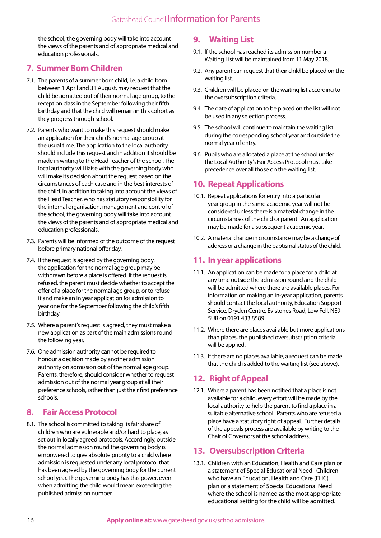the school, the governing body will take into account the views of the parents and of appropriate medical and education professionals.

## **7. Summer Born Children**

- 7.1. The parents of a summer born child, i.e. a child born between 1 April and 31 August, may request that the child be admitted out of their normal age group, to the reception class in the September following their fifth birthday and that the child will remain in this cohort as they progress through school.
- 7.2. Parents who want to make this request should make an application for their child's normal age group at the usual time. The application to the local authority should include this request and in addition it should be made in writing to the Head Teacher of the school. The local authority will liaise with the governing body who will make its decision about the request based on the circumstances of each case and in the best interests of the child. In addition to taking into account the views of the Head Teacher, who has statutory responsibility for the internal organisation, management and control of the school, the governing body will take into account the views of the parents and of appropriate medical and education professionals.
- 7.3. Parents will be informed of the outcome of the request before primary national offer day.
- 7.4. If the request is agreed by the governing body, the application for the normal age group may be withdrawn before a place is offered. If the request is refused, the parent must decide whether to accept the offer of a place for the normal age group, or to refuse it and make an in year application for admission to year one for the September following the child's fifth birthday.
- 7.5. Where a parent's request is agreed, they must make a new application as part of the main admissions round the following year.
- 7.6. One admission authority cannot be required to honour a decision made by another admission authority on admission out of the normal age group. Parents, therefore, should consider whether to request admission out of the normal year group at all their preference schools, rather than just their first preference schools.

## **8. Fair Access Protocol**

8.1. The school is committed to taking its fair share of children who are vulnerable and/or hard to place, as set out in locally agreed protocols. Accordingly, outside the normal admission round the governing body is empowered to give absolute priority to a child where admission is requested under any local protocol that has been agreed by the governing body for the current school year. The governing body has this power, even when admitting the child would mean exceeding the published admission number.

## **9. Waiting List**

- 9.1. If the school has reached its admission number a Waiting List will be maintained from 11 May 2018.
- 9.2. Any parent can request that their child be placed on the waiting list.
- 9.3. Children will be placed on the waiting list according to the oversubscription criteria.
- 9.4. The date of application to be placed on the list will not be used in any selection process.
- 9.5. The school will continue to maintain the waiting list during the corresponding school year and outside the normal year of entry.
- 9.6. Pupils who are allocated a place at the school under the Local Authority's Fair Access Protocol must take precedence over all those on the waiting list.

## **10. Repeat Applications**

- 10.1. Repeat applications for entry into a particular year group in the same academic year will not be considered unless there is a material change in the circumstances of the child or parent. An application may be made for a subsequent academic year.
- 10.2. A material change in circumstance may be a change of address or a change in the baptismal status of the child.

### **11. In year applications**

- 11.1. An application can be made for a place for a child at any time outside the admission round and the child will be admitted where there are available places. For information on making an in-year application, parents should contact the local authority, Education Support Service, Dryden Centre, Evistones Road, Low Fell, NE9 5UR on 0191 433 8589.
- 11.2. Where there are places available but more applications than places, the published oversubscription criteria will be applied.
- 11.3. If there are no places available, a request can be made that the child is added to the waiting list (see above).

## **12. Right of Appeal**

12.1. Where a parent has been notified that a place is not available for a child, every effort will be made by the local authority to help the parent to find a place in a suitable alternative school. Parents who are refused a place have a statutory right of appeal. Further details of the appeals process are available by writing to the Chair of Governors at the school address.

## **13. Oversubscription Criteria**

13.1. Children with an Education, Health and Care plan or a statement of Special Educational Need: Children who have an Education, Health and Care (EHC) plan or a statement of Special Educational Need where the school is named as the most appropriate educational setting for the child will be admitted.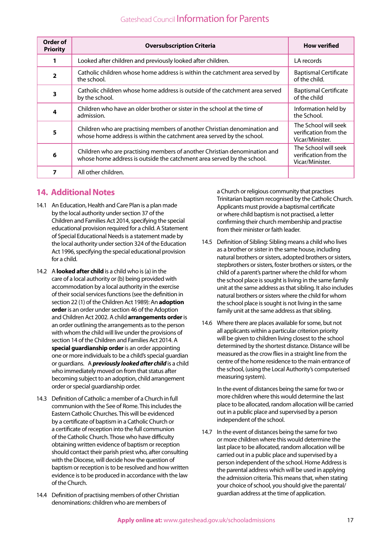| Order of<br><b>Priority</b> | <b>Oversubscription Criteria</b>                                                                                                                    | <b>How verified</b>                                              |
|-----------------------------|-----------------------------------------------------------------------------------------------------------------------------------------------------|------------------------------------------------------------------|
|                             | Looked after children and previously looked after children.                                                                                         | LA records                                                       |
| $\overline{2}$              | Catholic children whose home address is within the catchment area served by<br>the school.                                                          | <b>Baptismal Certificate</b><br>of the child.                    |
| 3                           | Catholic children whose home address is outside of the catchment area served<br>by the school.                                                      | <b>Baptismal Certificate</b><br>of the child                     |
| 4                           | Children who have an older brother or sister in the school at the time of<br>admission.                                                             | Information held by<br>the School.                               |
| 5                           | Children who are practising members of another Christian denomination and<br>whose home address is within the catchment area served by the school.  | The School will seek<br>verification from the<br>Vicar/Minister. |
| 6                           | Children who are practising members of another Christian denomination and<br>whose home address is outside the catchment area served by the school. | The School will seek<br>verification from the<br>Vicar/Minister. |
|                             | All other children.                                                                                                                                 |                                                                  |

## **14. Additional Notes**

- 14.1 An Education, Health and Care Plan is a plan made by the local authority under section 37 of the Children and Families Act 2014, specifying the special educational provision required for a child. A Statement of Special Educational Needs is a statement made by the local authority under section 324 of the Education Act 1996, specifying the special educational provision for a child.
- 14.2 A **looked after child** is a child who is (a) in the care of a local authority or (b) being provided with accommodation by a local authority in the exercise of their social services functions (see the definition in section 22 (1) of the Children Act 1989): An **adoption order** is an order under section 46 of the Adoption and Children Act 2002. A child **arrangements order** is an order outlining the arrangements as to the person with whom the child will live under the provisions of section 14 of the Children and Families Act 2014. A **special guardianship order** is an order appointing one or more individuals to be a child's special guardian or guardians. A *previously looked after child* is a child who immediately moved on from that status after becoming subject to an adoption, child arrangement order or special guardianship order.
- 14.3 Definition of Catholic: a member of a Church in full communion with the See of Rome. This includes the Eastern Catholic Churches. This will be evidenced by a certificate of baptism in a Catholic Church or a certificate of reception into the full communion of the Catholic Church. Those who have difficulty obtaining written evidence of baptism or reception should contact their parish priest who, after consulting with the Diocese, will decide how the question of baptism or reception is to be resolved and how written evidence is to be produced in accordance with the law of the Church.
- 14.4 Definition of practising members of other Christian denominations: children who are members of

a Church or religious community that practises Trinitarian baptism recognised by the Catholic Church. Applicants must provide a baptismal certificate or where child baptism is not practised, a letter confirming their church membership and practise from their minister or faith leader.

- 14.5 Definition of Sibling: Sibling means a child who lives as a brother or sister in the same house, including natural brothers or sisters, adopted brothers or sisters, stepbrothers or sisters, foster brothers or sisters, or the child of a parent's partner where the child for whom the school place is sought is living in the same family unit at the same address as that sibling. It also includes natural brothers or sisters where the child for whom the school place is sought is not living in the same family unit at the same address as that sibling.
- 14.6 Where there are places available for some, but not all applicants within a particular criterion priority will be given to children living closest to the school determined by the shortest distance. Distance will be measured as the crow flies in a straight line from the centre of the home residence to the main entrance of the school, (using the Local Authority's computerised measuring system).

In the event of distances being the same for two or more children where this would determine the last place to be allocated, random allocation will be carried out in a public place and supervised by a person independent of the school.

14.7 In the event of distances being the same for two or more children where this would determine the last place to be allocated, random allocation will be carried out in a public place and supervised by a person independent of the school. Home Address is the parental address which will be used in applying the admission criteria. This means that, when stating your choice of school, you should give the parental/ guardian address at the time of application.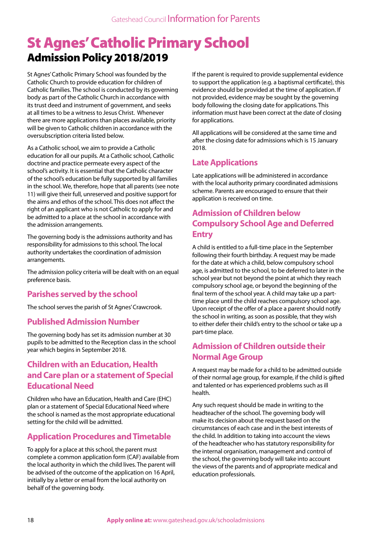## St Agnes' Catholic Primary School Admission Policy 2018/2019

St Agnes' Catholic Primary School was founded by the Catholic Church to provide education for children of Catholic families. The school is conducted by its governing body as part of the Catholic Church in accordance with its trust deed and instrument of government, and seeks at all times to be a witness to Jesus Christ. Whenever there are more applications than places available, priority will be given to Catholic children in accordance with the oversubscription criteria listed below.

As a Catholic school, we aim to provide a Catholic education for all our pupils. At a Catholic school, Catholic doctrine and practice permeate every aspect of the school's activity. It is essential that the Catholic character of the school's education be fully supported by all families in the school. We, therefore, hope that all parents (see note 11) will give their full, unreserved and positive support for the aims and ethos of the school. This does not affect the right of an applicant who is not Catholic to apply for and be admitted to a place at the school in accordance with the admission arrangements.

The governing body is the admissions authority and has responsibility for admissions to this school. The local authority undertakes the coordination of admission arrangements.

The admission policy criteria will be dealt with on an equal preference basis.

## **Parishes served by the school**

The school serves the parish of St Agnes' Crawcrook.

## **Published Admission Number**

The governing body has set its admission number at 30 pupils to be admitted to the Reception class in the school year which begins in September 2018.

## **Children with an Education, Health and Care plan or a statement of Special Educational Need**

Children who have an Education, Health and Care (EHC) plan or a statement of Special Educational Need where the school is named as the most appropriate educational setting for the child will be admitted.

## **Application Procedures and Timetable**

To apply for a place at this school, the parent must complete a common application form (CAF) available from the local authority in which the child lives. The parent will be advised of the outcome of the application on 16 April, initially by a letter or email from the local authority on behalf of the governing body.

If the parent is required to provide supplemental evidence to support the application (e.g. a baptismal certificate), this evidence should be provided at the time of application. If not provided, evidence may be sought by the governing body following the closing date for applications. This information must have been correct at the date of closing for applications.

All applications will be considered at the same time and after the closing date for admissions which is 15 January 2018.

## **Late Applications**

Late applications will be administered in accordance with the local authority primary coordinated admissions scheme. Parents are encouraged to ensure that their application is received on time.

## **Admission of Children below Compulsory School Age and Deferred Entry**

A child is entitled to a full-time place in the September following their fourth birthday. A request may be made for the date at which a child, below compulsory school age, is admitted to the school, to be deferred to later in the school year but not beyond the point at which they reach compulsory school age, or beyond the beginning of the final term of the school year. A child may take up a parttime place until the child reaches compulsory school age. Upon receipt of the offer of a place a parent should notify the school in writing, as soon as possible, that they wish to either defer their child's entry to the school or take up a part-time place.

## **Admission of Children outside their Normal Age Group**

A request may be made for a child to be admitted outside of their normal age group, for example, if the child is gifted and talented or has experienced problems such as ill health.

Any such request should be made in writing to the headteacher of the school. The governing body will make its decision about the request based on the circumstances of each case and in the best interests of the child. In addition to taking into account the views of the headteacher who has statutory responsibility for the internal organisation, management and control of the school, the governing body will take into account the views of the parents and of appropriate medical and education professionals.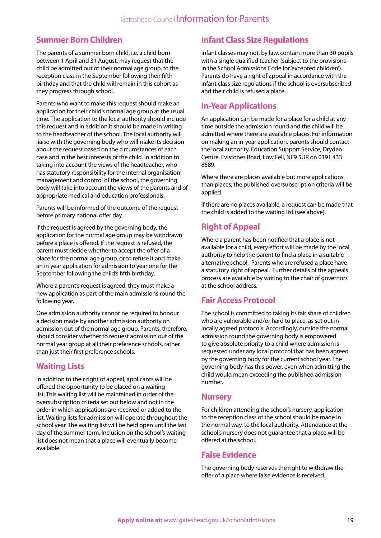## **Summer Born Children**

The parents of a summer born child, i.e. a child born between 1 April and 31 August, may request that the child be admitted out of their normal age group, to the reception class in the September following their fifth birthday and that the child will remain in this cohort as they progress through school.

Parents who want to make this request should make an application for their child's normal age group at the usual time. The application to the local authority should include this request and in addition it should be made in writing to the headteacher of the school. The local authority will liaise with the governing body who will make its decision about the request based on the circumstances of each case and in the best interests of the child. In addition to taking into account the views of the headteacher, who has statutory responsibility for the internal organisation, management and control of the school, the governing body will take into account the views of the parents and of appropriate medical and education professionals.

Parents will be informed of the outcome of the request before primary national offer day.

If the request is agreed by the governing body, the application for the normal age group may be withdrawn before a place is offered. If the request is refused, the parent must decide whether to accept the offer of a place for the normal age group, or to refuse it and make an in year application for admission to year one for the September following the child's fifth birthday.

Where a parent's request is agreed, they must make a new application as part of the main admissions round the following year.

One admission authority cannot be required to honour a decision made by another admission authority on admission out of the normal age group. Parents, therefore, should consider whether to request admission out of the normal year group at all their preference schools, rather than just their first preference schools.

## **Waiting Lists**

In addition to their right of appeal, applicants will be offered the opportunity to be placed on a waiting list. This waiting list will be maintained in order of the oversubscription criteria set out below and not in the order in which applications are received or added to the list. Waiting lists for admission will operate throughout the school year. The waiting list will be held open until the last day of the summer term. Inclusion on the school's waiting list does not mean that a place will eventually become available.

## **Infant Class Size Regulations**

Infant classes may not, by law, contain more than 30 pupils with a single qualified teacher (subject to the provisions in the School Admissions Code for 'excepted children'). Parents do have a right of appeal in accordance with the infant class size regulations if the school is oversubscribed and their child is refused a place.

## **In-Year Applications**

An application can be made for a place for a child at any time outside the admission round and the child will be admitted where there are available places. For information on making an in-year application, parents should contact the local authority, Education Support Service, Dryden Centre, Evistones Road, Low Fell, NE9 5UR on 0191 433 8589.

Where there are places available but more applications than places, the published oversubscription criteria will be applied.

If there are no places available, a request can be made that the child is added to the waiting list (see above).

## **Right of Appeal**

Where a parent has been notified that a place is not available for a child, every effort will be made by the local authority to help the parent to find a place in a suitable alternative school. Parents who are refused a place have a statutory right of appeal. Further details of the appeals process are available by writing to the chair of governors at the school address.

## **Fair Access Protocol**

The school is committed to taking its fair share of children who are vulnerable and/or hard to place, as set out in locally agreed protocols. Accordingly, outside the normal admission round the governing body is empowered to give absolute priority to a child where admission is requested under any local protocol that has been agreed by the governing body for the current school year. The governing body has this power, even when admitting the child would mean exceeding the published admission number.

## **Nursery**

For children attending the school's nursery, application to the reception class of the school should be made in the normal way, to the local authority. Attendance at the school's nursery does not guarantee that a place will be offered at the school.

## **False Evidence**

The governing body reserves the right to withdraw the offer of a place where false evidence is received.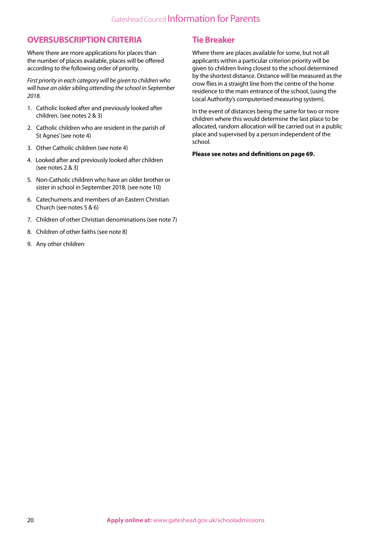### **OVERSUBSCRIPTION CRITERIA**

Where there are more applications for places than the number of places available, places will be offered according to the following order of priority.

*First priority in each category will be given to children who will have an older sibling attending the school in September 2018.*

- 1. Catholic looked after and previously looked after children. (see notes 2 & 3)
- 2. Catholic children who are resident in the parish of St Agnes' (see note 4)
- 3. Other Catholic children (see note 4)
- 4. Looked after and previously looked after children (see notes 2 & 3)
- 5. Non-Catholic children who have an older brother or sister in school in September 2018. (see note 10)
- 6. Catechumens and members of an Eastern Christian Church (see notes 5 & 6)
- 7. Children of other Christian denominations (see note 7)
- 8. Children of other faiths (see note 8)
- 9. Any other children

## **Tie Breaker**

Where there are places available for some, but not all applicants within a particular criterion priority will be given to children living closest to the school determined by the shortest distance. Distance will be measured as the crow flies in a straight line from the centre of the home residence to the main entrance of the school, (using the Local Authority's computerised measuring system).

In the event of distances being the same for two or more children where this would determine the last place to be allocated, random allocation will be carried out in a public place and supervised by a person independent of the school.

#### **Please see notes and definitions on page 69.**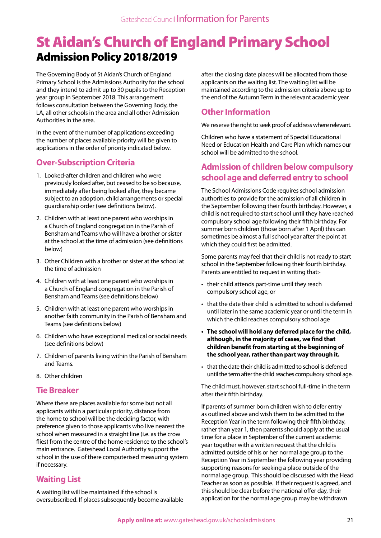## St Aidan's Church of England Primary School Admission Policy 2018/2019

The Governing Body of St Aidan's Church of England Primary School is the Admissions Authority for the school and they intend to admit up to 30 pupils to the Reception year group in September 2018. This arrangement follows consultation between the Governing Body, the LA, all other schools in the area and all other Admission Authorities in the area.

In the event of the number of applications exceeding the number of places available priority will be given to applications in the order of priority indicated below.

## **Over-Subscription Criteria**

- 1. Looked-after children and children who were previously looked after, but ceased to be so because, immediately after being looked after, they became subject to an adoption, child arrangements or special guardianship order (see definitions below).
- 2. Children with at least one parent who worships in a Church of England congregation in the Parish of Bensham and Teams who will have a brother or sister at the school at the time of admission (see definitions below)
- 3. Other Children with a brother or sister at the school at the time of admission
- 4. Children with at least one parent who worships in a Church of England congregation in the Parish of Bensham and Teams (see definitions below)
- 5. Children with at least one parent who worships in another faith community in the Parish of Bensham and Teams (see definitions below)
- 6. Children who have exceptional medical or social needs (see definitions below)
- 7. Children of parents living within the Parish of Bensham and Teams.
- 8. Other children

## **Tie Breaker**

Where there are places available for some but not all applicants within a particular priority, distance from the home to school will be the deciding factor, with preference given to those applicants who live nearest the school when measured in a straight line (i.e. as the crow flies) from the centre of the home residence to the school's main entrance. Gateshead Local Authority support the school in the use of there computerised measuring system if necessary.

## **Waiting List**

A waiting list will be maintained if the school is oversubscribed. If places subsequently become available after the closing date places will be allocated from those applicants on the waiting list. The waiting list will be maintained according to the admission criteria above up to the end of the Autumn Term in the relevant academic year.

## **Other Information**

We reserve the right to seek proof of address where relevant.

Children who have a statement of Special Educational Need or Education Health and Care Plan which names our school will be admitted to the school.

## **Admission of children below compulsory school age and deferred entry to school**

The School Admissions Code requires school admission authorities to provide for the admission of all children in the September following their fourth birthday. However, a child is not required to start school until they have reached compulsory school age following their fifth birthday. For summer born children (those born after 1 April) this can sometimes be almost a full school year after the point at which they could first be admitted.

Some parents may feel that their child is not ready to start school in the September following their fourth birthday. Parents are entitled to request in writing that:-

- their child attends part-time until they reach compulsory school age, or
- that the date their child is admitted to school is deferred until later in the same academic year or until the term in which the child reaches compulsory school age
- **• The school will hold any deferred place for the child, although, in the majority of cases, we find that children benefit from starting at the beginning of the school year, rather than part way through it.**
- that the date their child is admitted to school is deferred until the term after the child reaches compulsory school age.

The child must, however, start school full-time in the term after their fifth birthday.

If parents of summer born children wish to defer entry as outlined above and wish them to be admitted to the Reception Year in the term following their fifth birthday, rather than year 1, then parents should apply at the usual time for a place in September of the current academic year together with a written request that the child is admitted outside of his or her normal age group to the Reception Year in September the following year providing supporting reasons for seeking a place outside of the normal age group. This should be discussed with the Head Teacher as soon as possible. If their request is agreed, and this should be clear before the national offer day, their application for the normal age group may be withdrawn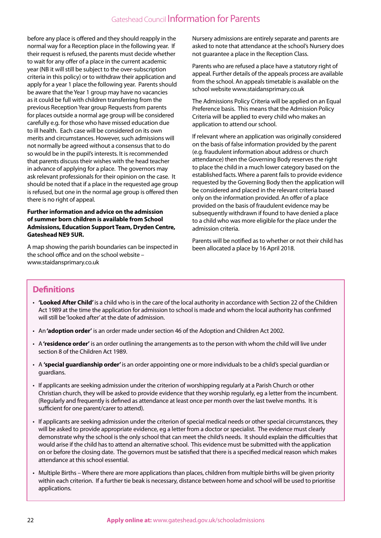before any place is offered and they should reapply in the normal way for a Reception place in the following year. If their request is refused, the parents must decide whether to wait for any offer of a place in the current academic year (NB it will still be subject to the over-subscription criteria in this policy) or to withdraw their application and apply for a year 1 place the following year. Parents should be aware that the Year 1 group may have no vacancies as it could be full with children transferring from the previous Reception Year group Requests from parents for places outside a normal age group will be considered carefully e.g. for those who have missed education due to ill health. Each case will be considered on its own merits and circumstances. However, such admissions will not normally be agreed without a consensus that to do so would be in the pupil's interests. It is recommended that parents discuss their wishes with the head teacher in advance of applying for a place. The governors may ask relevant professionals for their opinion on the case. It should be noted that if a place in the requested age group is refused, but one in the normal age group is offered then there is no right of appeal.

#### **Further information and advice on the admission of summer born children is available from School Admissions, Education Support Team, Dryden Centre, Gateshead NE9 5UR.**

A map showing the parish boundaries can be inspected in the school office and on the school website – www.staidansprimary.co.uk

Nursery admissions are entirely separate and parents are asked to note that attendance at the school's Nursery does not guarantee a place in the Reception Class.

Parents who are refused a place have a statutory right of appeal. Further details of the appeals process are available from the school. An appeals timetable is available on the school website www.staidansprimary.co.uk

The Admissions Policy Criteria will be applied on an Equal Preference basis. This means that the Admission Policy Criteria will be applied to every child who makes an application to attend our school.

If relevant where an application was originally considered on the basis of false information provided by the parent (e.g. fraudulent information about address or church attendance) then the Governing Body reserves the right to place the child in a much lower category based on the established facts. Where a parent fails to provide evidence requested by the Governing Body then the application will be considered and placed in the relevant criteria based only on the information provided. An offer of a place provided on the basis of fraudulent evidence may be subsequently withdrawn if found to have denied a place to a child who was more eligible for the place under the admission criteria.

Parents will be notified as to whether or not their child has been allocated a place by 16 April 2018.

## **Definitions**

- **'Looked After Child'** is a child who is in the care of the local authority in accordance with Section 22 of the Children Act 1989 at the time the application for admission to school is made and whom the local authority has confirmed will still be 'looked after' at the date of admission.
- An **'adoption order'** is an order made under section 46 of the Adoption and Children Act 2002.
- A **'residence order'** is an order outlining the arrangements as to the person with whom the child will live under section 8 of the Children Act 1989.
- A **'special guardianship order'** is an order appointing one or more individuals to be a child's special guardian or guardians.
- If applicants are seeking admission under the criterion of worshipping regularly at a Parish Church or other Christian church, they will be asked to provide evidence that they worship regularly, eg a letter from the incumbent. (Regularly and frequently is defined as attendance at least once per month over the last twelve months. It is sufficient for one parent/carer to attend).
- If applicants are seeking admission under the criterion of special medical needs or other special circumstances, they will be asked to provide appropriate evidence, eg a letter from a doctor or specialist. The evidence must clearly demonstrate why the school is the only school that can meet the child's needs. It should explain the difficulties that would arise if the child has to attend an alternative school. This evidence must be submitted with the application on or before the closing date. The governors must be satisfied that there is a specified medical reason which makes attendance at this school essential.
- Multiple Births Where there are more applications than places, children from multiple births will be given priority within each criterion. If a further tie beak is necessary, distance between home and school will be used to prioritise applications.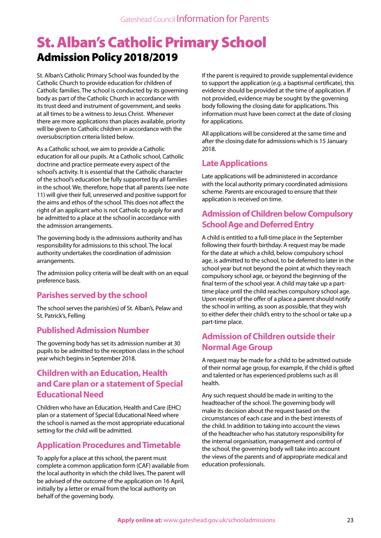## St. Alban's Catholic Primary School Admission Policy 2018/2019

St. Alban's Catholic Primary School was founded by the Catholic Church to provide education for children of Catholic families. The school is conducted by its governing body as part of the Catholic Church in accordance with its trust deed and instrument of government, and seeks at all times to be a witness to Jesus Christ. Whenever there are more applications than places available, priority will be given to Catholic children in accordance with the oversubscription criteria listed below.

As a Catholic school, we aim to provide a Catholic education for all our pupils. At a Catholic school, Catholic doctrine and practice permeate every aspect of the school's activity. It is essential that the Catholic character of the school's education be fully supported by all families in the school. We, therefore, hope that all parents (see note 11) will give their full, unreserved and positive support for the aims and ethos of the school. This does not affect the right of an applicant who is not Catholic to apply for and be admitted to a place at the school in accordance with the admission arrangements.

The governing body is the admissions authority and has responsibility for admissions to this school. The local authority undertakes the coordination of admission arrangements.

The admission policy criteria will be dealt with on an equal preference basis.

## **Parishes served by the school**

The school serves the parish(es) of St. Alban's, Pelaw and St. Patrick's, Felling

## **Published Admission Number**

The governing body has set its admission number at 30 pupils to be admitted to the reception class in the school year which begins in September 2018.

## **Children with an Education, Health and Care plan or a statement of Special Educational Need**

Children who have an Education, Health and Care (EHC) plan or a statement of Special Educational Need where the school is named as the most appropriate educational setting for the child will be admitted.

## **Application Procedures and Timetable**

To apply for a place at this school, the parent must complete a common application form (CAF) available from the local authority in which the child lives. The parent will be advised of the outcome of the application on 16 April, initially by a letter or email from the local authority on behalf of the governing body.

If the parent is required to provide supplemental evidence to support the application (e.g. a baptismal certificate), this evidence should be provided at the time of application. If not provided, evidence may be sought by the governing body following the closing date for applications. This information must have been correct at the date of closing for applications.

All applications will be considered at the same time and after the closing date for admissions which is 15 January 2018.

## **Late Applications**

Late applications will be administered in accordance with the local authority primary coordinated admissions scheme. Parents are encouraged to ensure that their application is received on time.

## **Admission of Children below Compulsory School Age and Deferred Entry**

A child is entitled to a full-time place in the September following their fourth birthday. A request may be made for the date at which a child, below compulsory school age, is admitted to the school, to be deferred to later in the school year but not beyond the point at which they reach compulsory school age, or beyond the beginning of the final term of the school year. A child may take up a parttime place until the child reaches compulsory school age. Upon receipt of the offer of a place a parent should notify the school in writing, as soon as possible, that they wish to either defer their child's entry to the school or take up a part-time place.

## **Admission of Children outside their Normal Age Group**

A request may be made for a child to be admitted outside of their normal age group, for example, if the child is gifted and talented or has experienced problems such as ill health.

Any such request should be made in writing to the headteacher of the school. The governing body will make its decision about the request based on the circumstances of each case and in the best interests of the child. In addition to taking into account the views of the headteacher who has statutory responsibility for the internal organisation, management and control of the school, the governing body will take into account the views of the parents and of appropriate medical and education professionals.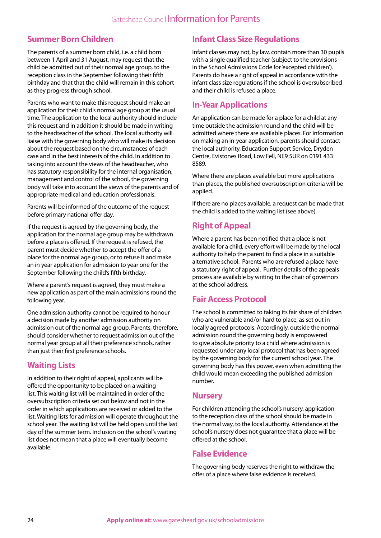## **Summer Born Children**

The parents of a summer born child, i.e. a child born between 1 April and 31 August, may request that the child be admitted out of their normal age group, to the reception class in the September following their fifth birthday and that that the child will remain in this cohort as they progress through school.

Parents who want to make this request should make an application for their child's normal age group at the usual time. The application to the local authority should include this request and in addition it should be made in writing to the headteacher of the school. The local authority will liaise with the governing body who will make its decision about the request based on the circumstances of each case and in the best interests of the child. In addition to taking into account the views of the headteacher, who has statutory responsibility for the internal organisation, management and control of the school, the governing body will take into account the views of the parents and of appropriate medical and education professionals.

Parents will be informed of the outcome of the request before primary national offer day.

If the request is agreed by the governing body, the application for the normal age group may be withdrawn before a place is offered. If the request is refused, the parent must decide whether to accept the offer of a place for the normal age group, or to refuse it and make an in year application for admission to year one for the September following the child's fifth birthday.

Where a parent's request is agreed, they must make a new application as part of the main admissions round the following year.

One admission authority cannot be required to honour a decision made by another admission authority on admission out of the normal age group. Parents, therefore, should consider whether to request admission out of the normal year group at all their preference schools, rather than just their first preference schools.

## **Waiting Lists**

In addition to their right of appeal, applicants will be offered the opportunity to be placed on a waiting list. This waiting list will be maintained in order of the oversubscription criteria set out below and not in the order in which applications are received or added to the list. Waiting lists for admission will operate throughout the school year. The waiting list will be held open until the last day of the summer term. Inclusion on the school's waiting list does not mean that a place will eventually become available.

## **Infant Class Size Regulations**

Infant classes may not, by law, contain more than 30 pupils with a single qualified teacher (subject to the provisions in the School Admissions Code for 'excepted children'). Parents do have a right of appeal in accordance with the infant class size regulations if the school is oversubscribed and their child is refused a place.

## **In-Year Applications**

An application can be made for a place for a child at any time outside the admission round and the child will be admitted where there are available places. For information on making an in-year application, parents should contact the local authority, Education Support Service, Dryden Centre, Evistones Road, Low Fell, NE9 5UR on 0191 433 8589.

Where there are places available but more applications than places, the published oversubscription criteria will be applied.

If there are no places available, a request can be made that the child is added to the waiting list (see above).

## **Right of Appeal**

Where a parent has been notified that a place is not available for a child, every effort will be made by the local authority to help the parent to find a place in a suitable alternative school. Parents who are refused a place have a statutory right of appeal. Further details of the appeals process are available by writing to the chair of governors at the school address.

## **Fair Access Protocol**

The school is committed to taking its fair share of children who are vulnerable and/or hard to place, as set out in locally agreed protocols. Accordingly, outside the normal admission round the governing body is empowered to give absolute priority to a child where admission is requested under any local protocol that has been agreed by the governing body for the current school year. The governing body has this power, even when admitting the child would mean exceeding the published admission number.

## **Nursery**

For children attending the school's nursery, application to the reception class of the school should be made in the normal way, to the local authority. Attendance at the school's nursery does not guarantee that a place will be offered at the school.

## **False Evidence**

The governing body reserves the right to withdraw the offer of a place where false evidence is received.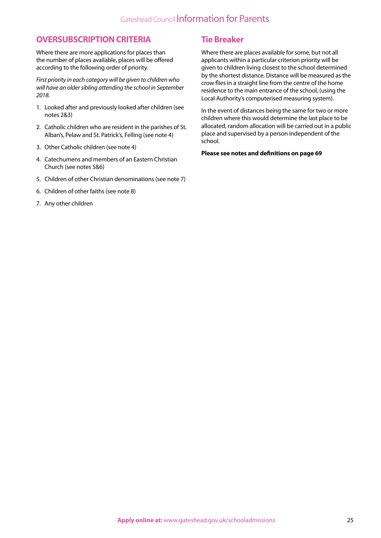### **OVERSUBSCRIPTION CRITERIA**

Where there are more applications for places than the number of places available, places will be offered according to the following order of priority.

*First priority in each category will be given to children who will have an older sibling attending the school in September 2018.*

- 1. Looked after and previously looked after children (see notes 2&3)
- 2. Catholic children who are resident in the parishes of St. Alban's, Pelaw and St. Patrick's, Felling (see note 4)
- 3. Other Catholic children (see note 4)
- 4. Catechumens and members of an Eastern Christian Church (see notes 5&6)
- 5. Children of other Christian denominations (see note 7)
- 6. Children of other faiths (see note 8)
- 7. Any other children

### **Tie Breaker**

Where there are places available for some, but not all applicants within a particular criterion priority will be given to children living closest to the school determined by the shortest distance. Distance will be measured as the crow flies in a straight line from the centre of the home residence to the main entrance of the school, (using the Local Authority's computerised measuring system).

In the event of distances being the same for two or more children where this would determine the last place to be allocated, random allocation will be carried out in a public place and supervised by a person independent of the school.

#### **Please see notes and definitions on page 69**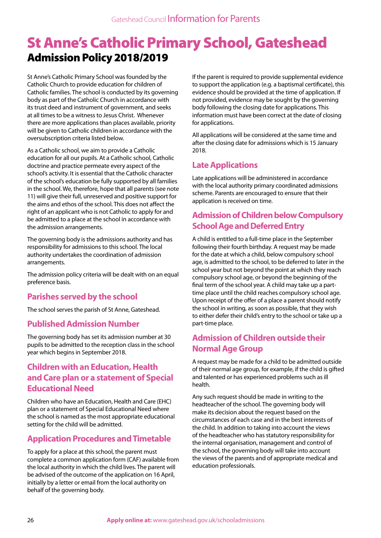## St Anne's Catholic Primary School, Gateshead Admission Policy 2018/2019

St Anne's Catholic Primary School was founded by the Catholic Church to provide education for children of Catholic families. The school is conducted by its governing body as part of the Catholic Church in accordance with its trust deed and instrument of government, and seeks at all times to be a witness to Jesus Christ. Whenever there are more applications than places available, priority will be given to Catholic children in accordance with the oversubscription criteria listed below.

As a Catholic school, we aim to provide a Catholic education for all our pupils. At a Catholic school, Catholic doctrine and practice permeate every aspect of the school's activity. It is essential that the Catholic character of the school's education be fully supported by all families in the school. We, therefore, hope that all parents (see note 11) will give their full, unreserved and positive support for the aims and ethos of the school. This does not affect the right of an applicant who is not Catholic to apply for and be admitted to a place at the school in accordance with the admission arrangements.

The governing body is the admissions authority and has responsibility for admissions to this school. The local authority undertakes the coordination of admission arrangements.

The admission policy criteria will be dealt with on an equal preference basis.

## **Parishes served by the school**

The school serves the parish of St Anne, Gateshead.

## **Published Admission Number**

The governing body has set its admission number at 30 pupils to be admitted to the reception class in the school year which begins in September 2018.

## **Children with an Education, Health and Care plan or a statement of Special Educational Need**

Children who have an Education, Health and Care (EHC) plan or a statement of Special Educational Need where the school is named as the most appropriate educational setting for the child will be admitted.

## **Application Procedures and Timetable**

To apply for a place at this school, the parent must complete a common application form (CAF) available from the local authority in which the child lives. The parent will be advised of the outcome of the application on 16 April, initially by a letter or email from the local authority on behalf of the governing body.

If the parent is required to provide supplemental evidence to support the application (e.g. a baptismal certificate), this evidence should be provided at the time of application. If not provided, evidence may be sought by the governing body following the closing date for applications. This information must have been correct at the date of closing for applications.

All applications will be considered at the same time and after the closing date for admissions which is 15 January 2018.

## **Late Applications**

Late applications will be administered in accordance with the local authority primary coordinated admissions scheme. Parents are encouraged to ensure that their application is received on time.

## **Admission of Children below Compulsory School Age and Deferred Entry**

A child is entitled to a full-time place in the September following their fourth birthday. A request may be made for the date at which a child, below compulsory school age, is admitted to the school, to be deferred to later in the school year but not beyond the point at which they reach compulsory school age, or beyond the beginning of the final term of the school year. A child may take up a parttime place until the child reaches compulsory school age. Upon receipt of the offer of a place a parent should notify the school in writing, as soon as possible, that they wish to either defer their child's entry to the school or take up a part-time place.

## **Admission of Children outside their Normal Age Group**

A request may be made for a child to be admitted outside of their normal age group, for example, if the child is gifted and talented or has experienced problems such as ill health.

Any such request should be made in writing to the headteacher of the school. The governing body will make its decision about the request based on the circumstances of each case and in the best interests of the child. In addition to taking into account the views of the headteacher who has statutory responsibility for the internal organisation, management and control of the school, the governing body will take into account the views of the parents and of appropriate medical and education professionals.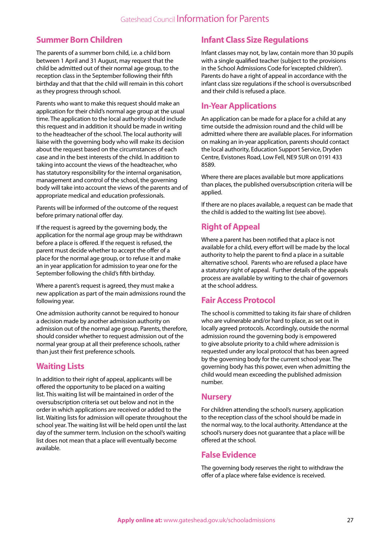## **Summer Born Children**

The parents of a summer born child, i.e. a child born between 1 April and 31 August, may request that the child be admitted out of their normal age group, to the reception class in the September following their fifth birthday and that that the child will remain in this cohort as they progress through school.

Parents who want to make this request should make an application for their child's normal age group at the usual time. The application to the local authority should include this request and in addition it should be made in writing to the headteacher of the school. The local authority will liaise with the governing body who will make its decision about the request based on the circumstances of each case and in the best interests of the child. In addition to taking into account the views of the headteacher, who has statutory responsibility for the internal organisation, management and control of the school, the governing body will take into account the views of the parents and of appropriate medical and education professionals.

Parents will be informed of the outcome of the request before primary national offer day.

If the request is agreed by the governing body, the application for the normal age group may be withdrawn before a place is offered. If the request is refused, the parent must decide whether to accept the offer of a place for the normal age group, or to refuse it and make an in year application for admission to year one for the September following the child's fifth birthday.

Where a parent's request is agreed, they must make a new application as part of the main admissions round the following year.

One admission authority cannot be required to honour a decision made by another admission authority on admission out of the normal age group. Parents, therefore, should consider whether to request admission out of the normal year group at all their preference schools, rather than just their first preference schools.

## **Waiting Lists**

In addition to their right of appeal, applicants will be offered the opportunity to be placed on a waiting list. This waiting list will be maintained in order of the oversubscription criteria set out below and not in the order in which applications are received or added to the list. Waiting lists for admission will operate throughout the school year. The waiting list will be held open until the last day of the summer term. Inclusion on the school's waiting list does not mean that a place will eventually become available.

## **Infant Class Size Regulations**

Infant classes may not, by law, contain more than 30 pupils with a single qualified teacher (subject to the provisions in the School Admissions Code for 'excepted children'). Parents do have a right of appeal in accordance with the infant class size regulations if the school is oversubscribed and their child is refused a place.

## **In-Year Applications**

An application can be made for a place for a child at any time outside the admission round and the child will be admitted where there are available places. For information on making an in-year application, parents should contact the local authority, Education Support Service, Dryden Centre, Evistones Road, Low Fell, NE9 5UR on 0191 433 8589.

Where there are places available but more applications than places, the published oversubscription criteria will be applied.

If there are no places available, a request can be made that the child is added to the waiting list (see above).

## **Right of Appeal**

Where a parent has been notified that a place is not available for a child, every effort will be made by the local authority to help the parent to find a place in a suitable alternative school. Parents who are refused a place have a statutory right of appeal. Further details of the appeals process are available by writing to the chair of governors at the school address.

## **Fair Access Protocol**

The school is committed to taking its fair share of children who are vulnerable and/or hard to place, as set out in locally agreed protocols. Accordingly, outside the normal admission round the governing body is empowered to give absolute priority to a child where admission is requested under any local protocol that has been agreed by the governing body for the current school year. The governing body has this power, even when admitting the child would mean exceeding the published admission number.

## **Nursery**

For children attending the school's nursery, application to the reception class of the school should be made in the normal way, to the local authority. Attendance at the school's nursery does not guarantee that a place will be offered at the school.

## **False Evidence**

The governing body reserves the right to withdraw the offer of a place where false evidence is received.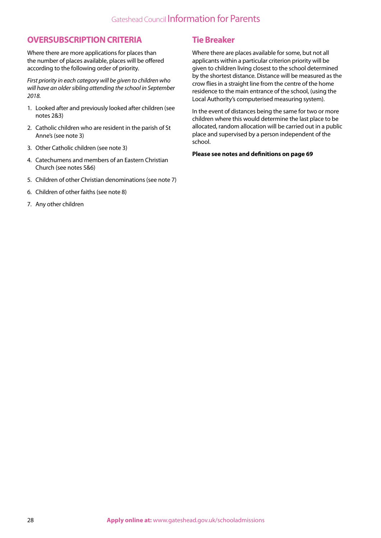### **OVERSUBSCRIPTION CRITERIA**

Where there are more applications for places than the number of places available, places will be offered according to the following order of priority.

*First priority in each category will be given to children who will have an older sibling attending the school in September 2018.*

- 1. Looked after and previously looked after children (see notes 2&3)
- 2. Catholic children who are resident in the parish of St Anne's (see note 3)
- 3. Other Catholic children (see note 3)
- 4. Catechumens and members of an Eastern Christian Church (see notes 5&6)
- 5. Children of other Christian denominations (see note 7)
- 6. Children of other faiths (see note 8)
- 7. Any other children

### **Tie Breaker**

Where there are places available for some, but not all applicants within a particular criterion priority will be given to children living closest to the school determined by the shortest distance. Distance will be measured as the crow flies in a straight line from the centre of the home residence to the main entrance of the school, (using the Local Authority's computerised measuring system).

In the event of distances being the same for two or more children where this would determine the last place to be allocated, random allocation will be carried out in a public place and supervised by a person independent of the school.

#### **Please see notes and definitions on page 69**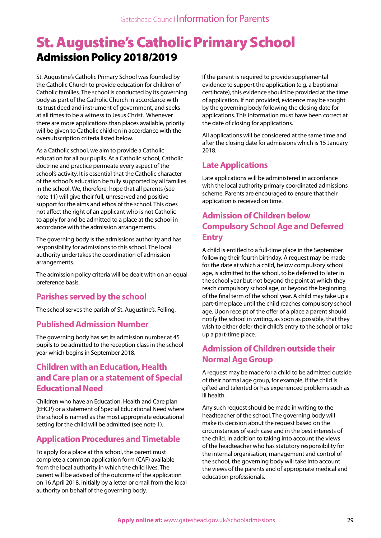## St. Augustine's Catholic Primary School Admission Policy 2018/2019

St. Augustine's Catholic Primary School was founded by the Catholic Church to provide education for children of Catholic families. The school is conducted by its governing body as part of the Catholic Church in accordance with its trust deed and instrument of government, and seeks at all times to be a witness to Jesus Christ. Whenever there are more applications than places available, priority will be given to Catholic children in accordance with the oversubscription criteria listed below.

As a Catholic school, we aim to provide a Catholic education for all our pupils. At a Catholic school, Catholic doctrine and practice permeate every aspect of the school's activity. It is essential that the Catholic character of the school's education be fully supported by all families in the school. We, therefore, hope that all parents (see note 11) will give their full, unreserved and positive support for the aims and ethos of the school. This does not affect the right of an applicant who is not Catholic to apply for and be admitted to a place at the school in accordance with the admission arrangements.

The governing body is the admissions authority and has responsibility for admissions to this school. The local authority undertakes the coordination of admission arrangements.

The admission policy criteria will be dealt with on an equal preference basis.

## **Parishes served by the school**

The school serves the parish of St. Augustine's, Felling.

## **Published Admission Number**

The governing body has set its admission number at 45 pupils to be admitted to the reception class in the school year which begins in September 2018.

## **Children with an Education, Health and Care plan or a statement of Special Educational Need**

Children who have an Education, Health and Care plan (EHCP) or a statement of Special Educational Need where the school is named as the most appropriate educational setting for the child will be admitted (see note 1).

## **Application Procedures and Timetable**

To apply for a place at this school, the parent must complete a common application form (CAF) available from the local authority in which the child lives. The parent will be advised of the outcome of the application on 16 April 2018, initially by a letter or email from the local authority on behalf of the governing body.

If the parent is required to provide supplemental evidence to support the application (e.g. a baptismal certificate), this evidence should be provided at the time of application. If not provided, evidence may be sought by the governing body following the closing date for applications. This information must have been correct at the date of closing for applications.

All applications will be considered at the same time and after the closing date for admissions which is 15 January 2018.

## **Late Applications**

Late applications will be administered in accordance with the local authority primary coordinated admissions scheme. Parents are encouraged to ensure that their application is received on time.

## **Admission of Children below Compulsory School Age and Deferred Entry**

A child is entitled to a full-time place in the September following their fourth birthday. A request may be made for the date at which a child, below compulsory school age, is admitted to the school, to be deferred to later in the school year but not beyond the point at which they reach compulsory school age, or beyond the beginning of the final term of the school year. A child may take up a part-time place until the child reaches compulsory school age. Upon receipt of the offer of a place a parent should notify the school in writing, as soon as possible, that they wish to either defer their child's entry to the school or take up a part-time place.

## **Admission of Children outside their Normal Age Group**

A request may be made for a child to be admitted outside of their normal age group, for example, if the child is gifted and talented or has experienced problems such as ill health.

Any such request should be made in writing to the headteacher of the school. The governing body will make its decision about the request based on the circumstances of each case and in the best interests of the child. In addition to taking into account the views of the headteacher who has statutory responsibility for the internal organisation, management and control of the school, the governing body will take into account the views of the parents and of appropriate medical and education professionals.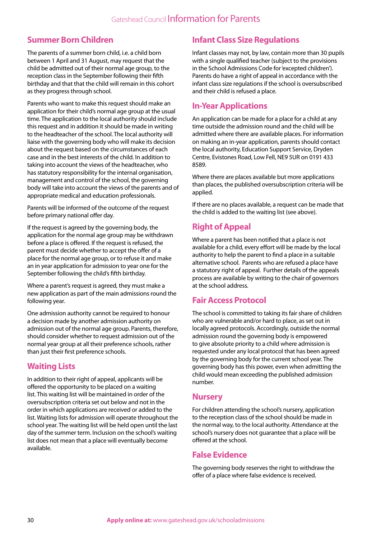## **Summer Born Children**

The parents of a summer born child, i.e. a child born between 1 April and 31 August, may request that the child be admitted out of their normal age group, to the reception class in the September following their fifth birthday and that that the child will remain in this cohort as they progress through school.

Parents who want to make this request should make an application for their child's normal age group at the usual time. The application to the local authority should include this request and in addition it should be made in writing to the headteacher of the school. The local authority will liaise with the governing body who will make its decision about the request based on the circumstances of each case and in the best interests of the child. In addition to taking into account the views of the headteacher, who has statutory responsibility for the internal organisation, management and control of the school, the governing body will take into account the views of the parents and of appropriate medical and education professionals.

Parents will be informed of the outcome of the request before primary national offer day.

If the request is agreed by the governing body, the application for the normal age group may be withdrawn before a place is offered. If the request is refused, the parent must decide whether to accept the offer of a place for the normal age group, or to refuse it and make an in year application for admission to year one for the September following the child's fifth birthday.

Where a parent's request is agreed, they must make a new application as part of the main admissions round the following year.

One admission authority cannot be required to honour a decision made by another admission authority on admission out of the normal age group. Parents, therefore, should consider whether to request admission out of the normal year group at all their preference schools, rather than just their first preference schools.

## **Waiting Lists**

In addition to their right of appeal, applicants will be offered the opportunity to be placed on a waiting list. This waiting list will be maintained in order of the oversubscription criteria set out below and not in the order in which applications are received or added to the list. Waiting lists for admission will operate throughout the school year. The waiting list will be held open until the last day of the summer term. Inclusion on the school's waiting list does not mean that a place will eventually become available.

## **Infant Class Size Regulations**

Infant classes may not, by law, contain more than 30 pupils with a single qualified teacher (subject to the provisions in the School Admissions Code for 'excepted children'). Parents do have a right of appeal in accordance with the infant class size regulations if the school is oversubscribed and their child is refused a place.

## **In-Year Applications**

An application can be made for a place for a child at any time outside the admission round and the child will be admitted where there are available places. For information on making an in-year application, parents should contact the local authority, Education Support Service, Dryden Centre, Evistones Road, Low Fell, NE9 5UR on 0191 433 8589.

Where there are places available but more applications than places, the published oversubscription criteria will be applied.

If there are no places available, a request can be made that the child is added to the waiting list (see above).

## **Right of Appeal**

Where a parent has been notified that a place is not available for a child, every effort will be made by the local authority to help the parent to find a place in a suitable alternative school. Parents who are refused a place have a statutory right of appeal. Further details of the appeals process are available by writing to the chair of governors at the school address.

## **Fair Access Protocol**

The school is committed to taking its fair share of children who are vulnerable and/or hard to place, as set out in locally agreed protocols. Accordingly, outside the normal admission round the governing body is empowered to give absolute priority to a child where admission is requested under any local protocol that has been agreed by the governing body for the current school year. The governing body has this power, even when admitting the child would mean exceeding the published admission number.

## **Nursery**

For children attending the school's nursery, application to the reception class of the school should be made in the normal way, to the local authority. Attendance at the school's nursery does not guarantee that a place will be offered at the school.

## **False Evidence**

The governing body reserves the right to withdraw the offer of a place where false evidence is received.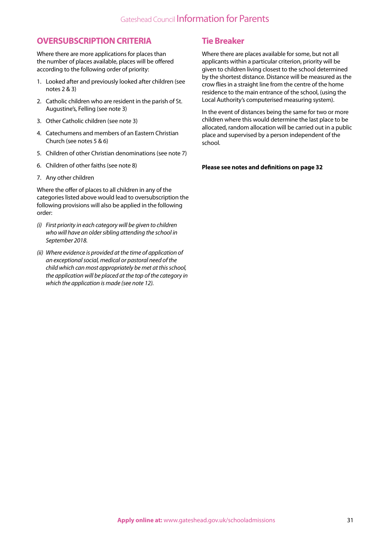### **OVERSUBSCRIPTION CRITERIA**

Where there are more applications for places than the number of places available, places will be offered according to the following order of priority:

- 1. Looked after and previously looked after children (see notes 2 & 3)
- 2. Catholic children who are resident in the parish of St. Augustine's, Felling (see note 3)
- 3. Other Catholic children (see note 3)
- 4. Catechumens and members of an Eastern Christian Church (see notes 5 & 6)
- 5. Children of other Christian denominations (see note 7)
- 6. Children of other faiths (see note 8)
- 7. Any other children

Where the offer of places to all children in any of the categories listed above would lead to oversubscription the following provisions will also be applied in the following order:

- *(i) First priority in each category will be given to children who will have an older sibling attending the school in September 2018.*
- *(ii) Where evidence is provided at the time of application of an exceptional social, medical or pastoral need of the child which can most appropriately be met at this school, the application will be placed at the top of the category in which the application is made (see note 12).*

## **Tie Breaker**

Where there are places available for some, but not all applicants within a particular criterion, priority will be given to children living closest to the school determined by the shortest distance. Distance will be measured as the crow flies in a straight line from the centre of the home residence to the main entrance of the school, (using the Local Authority's computerised measuring system).

In the event of distances being the same for two or more children where this would determine the last place to be allocated, random allocation will be carried out in a public place and supervised by a person independent of the school.

**Please see notes and definitions on page 32**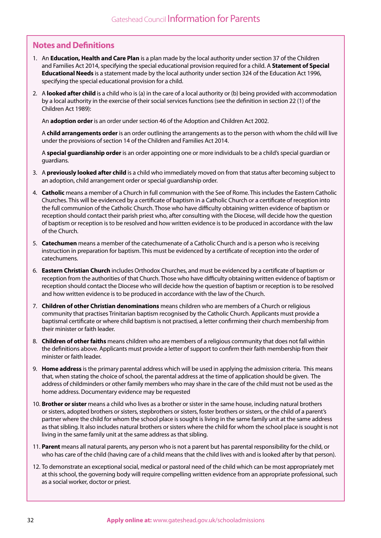## **Notes and Definitions**

- 1. An **Education, Health and Care Plan** is a plan made by the local authority under section 37 of the Children and Families Act 2014, specifying the special educational provision required for a child. A **Statement of Special Educational Needs** is a statement made by the local authority under section 324 of the Education Act 1996, specifying the special educational provision for a child.
- 2. A **looked after child** is a child who is (a) in the care of a local authority or (b) being provided with accommodation by a local authority in the exercise of their social services functions (see the definition in section 22 (1) of the Children Act 1989):

An **adoption order** is an order under section 46 of the Adoption and Children Act 2002.

A **child arrangements order** is an order outlining the arrangements as to the person with whom the child will live under the provisions of section 14 of the Children and Families Act 2014.

A **special guardianship order** is an order appointing one or more individuals to be a child's special guardian or guardians.

- 3. A **previously looked after child** is a child who immediately moved on from that status after becoming subject to an adoption, child arrangement order or special guardianship order.
- 4. **Catholic** means a member of a Church in full communion with the See of Rome. This includes the Eastern Catholic Churches. This will be evidenced by a certificate of baptism in a Catholic Church or a certificate of reception into the full communion of the Catholic Church. Those who have difficulty obtaining written evidence of baptism or reception should contact their parish priest who, after consulting with the Diocese, will decide how the question of baptism or reception is to be resolved and how written evidence is to be produced in accordance with the law of the Church.
- 5. **Catechumen** means a member of the catechumenate of a Catholic Church and is a person who is receiving instruction in preparation for baptism. This must be evidenced by a certificate of reception into the order of catechumens.
- 6. **Eastern Christian Church** includes Orthodox Churches, and must be evidenced by a certificate of baptism or reception from the authorities of that Church. Those who have difficulty obtaining written evidence of baptism or reception should contact the Diocese who will decide how the question of baptism or reception is to be resolved and how written evidence is to be produced in accordance with the law of the Church.
- 7. **Children of other Christian denominations** means children who are members of a Church or religious community that practises Trinitarian baptism recognised by the Catholic Church. Applicants must provide a baptismal certificate or where child baptism is not practised, a letter confirming their church membership from their minister or faith leader.
- 8. **Children of other faiths** means children who are members of a religious community that does not fall within the definitions above. Applicants must provide a letter of support to confirm their faith membership from their minister or faith leader.
- 9. **Home address** is the primary parental address which will be used in applying the admission criteria. This means that, when stating the choice of school, the parental address at the time of application should be given. The address of childminders or other family members who may share in the care of the child must not be used as the home address. Documentary evidence may be requested
- 10. **Brother or sister** means a child who lives as a brother or sister in the same house, including natural brothers or sisters, adopted brothers or sisters, stepbrothers or sisters, foster brothers or sisters, or the child of a parent's partner where the child for whom the school place is sought is living in the same family unit at the same address as that sibling. It also includes natural brothers or sisters where the child for whom the school place is sought is not living in the same family unit at the same address as that sibling.
- 11. **Parent** means all natural parents, any person who is not a parent but has parental responsibility for the child, or who has care of the child (having care of a child means that the child lives with and is looked after by that person).
- 12. To demonstrate an exceptional social, medical or pastoral need of the child which can be most appropriately met at this school, the governing body will require compelling written evidence from an appropriate professional, such as a social worker, doctor or priest.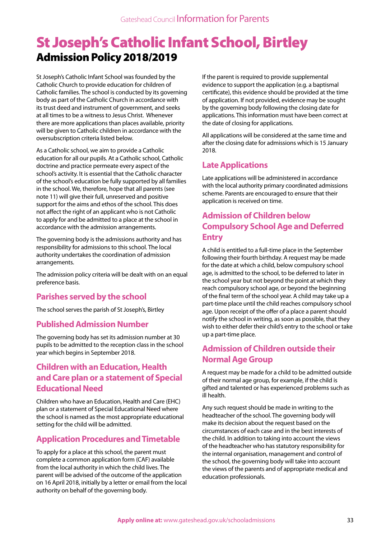## St Joseph's Catholic Infant School, Birtley Admission Policy 2018/2019

St Joseph's Catholic Infant School was founded by the Catholic Church to provide education for children of Catholic families. The school is conducted by its governing body as part of the Catholic Church in accordance with its trust deed and instrument of government, and seeks at all times to be a witness to Jesus Christ. Whenever there are more applications than places available, priority will be given to Catholic children in accordance with the oversubscription criteria listed below.

As a Catholic school, we aim to provide a Catholic education for all our pupils. At a Catholic school, Catholic doctrine and practice permeate every aspect of the school's activity. It is essential that the Catholic character of the school's education be fully supported by all families in the school. We, therefore, hope that all parents (see note 11) will give their full, unreserved and positive support for the aims and ethos of the school. This does not affect the right of an applicant who is not Catholic to apply for and be admitted to a place at the school in accordance with the admission arrangements.

The governing body is the admissions authority and has responsibility for admissions to this school. The local authority undertakes the coordination of admission arrangements.

The admission policy criteria will be dealt with on an equal preference basis.

## **Parishes served by the school**

The school serves the parish of St Joseph's, Birtley

## **Published Admission Number**

The governing body has set its admission number at 30 pupils to be admitted to the reception class in the school year which begins in September 2018.

## **Children with an Education, Health and Care plan or a statement of Special Educational Need**

Children who have an Education, Health and Care (EHC) plan or a statement of Special Educational Need where the school is named as the most appropriate educational setting for the child will be admitted.

## **Application Procedures and Timetable**

To apply for a place at this school, the parent must complete a common application form (CAF) available from the local authority in which the child lives. The parent will be advised of the outcome of the application on 16 April 2018, initially by a letter or email from the local authority on behalf of the governing body.

If the parent is required to provide supplemental evidence to support the application (e.g. a baptismal certificate), this evidence should be provided at the time of application. If not provided, evidence may be sought by the governing body following the closing date for applications. This information must have been correct at the date of closing for applications.

All applications will be considered at the same time and after the closing date for admissions which is 15 January 2018.

## **Late Applications**

Late applications will be administered in accordance with the local authority primary coordinated admissions scheme. Parents are encouraged to ensure that their application is received on time.

## **Admission of Children below Compulsory School Age and Deferred Entry**

A child is entitled to a full-time place in the September following their fourth birthday. A request may be made for the date at which a child, below compulsory school age, is admitted to the school, to be deferred to later in the school year but not beyond the point at which they reach compulsory school age, or beyond the beginning of the final term of the school year. A child may take up a part-time place until the child reaches compulsory school age. Upon receipt of the offer of a place a parent should notify the school in writing, as soon as possible, that they wish to either defer their child's entry to the school or take up a part-time place.

## **Admission of Children outside their Normal Age Group**

A request may be made for a child to be admitted outside of their normal age group, for example, if the child is gifted and talented or has experienced problems such as ill health.

Any such request should be made in writing to the headteacher of the school. The governing body will make its decision about the request based on the circumstances of each case and in the best interests of the child. In addition to taking into account the views of the headteacher who has statutory responsibility for the internal organisation, management and control of the school, the governing body will take into account the views of the parents and of appropriate medical and education professionals.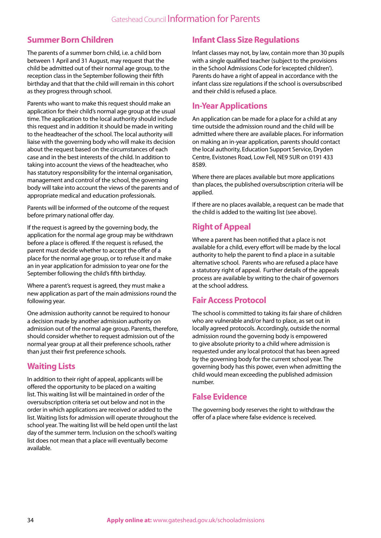## **Summer Born Children**

The parents of a summer born child, i.e. a child born between 1 April and 31 August, may request that the child be admitted out of their normal age group, to the reception class in the September following their fifth birthday and that that the child will remain in this cohort as they progress through school.

Parents who want to make this request should make an application for their child's normal age group at the usual time. The application to the local authority should include this request and in addition it should be made in writing to the headteacher of the school. The local authority will liaise with the governing body who will make its decision about the request based on the circumstances of each case and in the best interests of the child. In addition to taking into account the views of the headteacher, who has statutory responsibility for the internal organisation, management and control of the school, the governing body will take into account the views of the parents and of appropriate medical and education professionals.

Parents will be informed of the outcome of the request before primary national offer day.

If the request is agreed by the governing body, the application for the normal age group may be withdrawn before a place is offered. If the request is refused, the parent must decide whether to accept the offer of a place for the normal age group, or to refuse it and make an in year application for admission to year one for the September following the child's fifth birthday.

Where a parent's request is agreed, they must make a new application as part of the main admissions round the following year.

One admission authority cannot be required to honour a decision made by another admission authority on admission out of the normal age group. Parents, therefore, should consider whether to request admission out of the normal year group at all their preference schools, rather than just their first preference schools.

## **Waiting Lists**

In addition to their right of appeal, applicants will be offered the opportunity to be placed on a waiting list. This waiting list will be maintained in order of the oversubscription criteria set out below and not in the order in which applications are received or added to the list. Waiting lists for admission will operate throughout the school year. The waiting list will be held open until the last day of the summer term. Inclusion on the school's waiting list does not mean that a place will eventually become available.

## **Infant Class Size Regulations**

Infant classes may not, by law, contain more than 30 pupils with a single qualified teacher (subject to the provisions in the School Admissions Code for 'excepted children'). Parents do have a right of appeal in accordance with the infant class size regulations if the school is oversubscribed and their child is refused a place.

## **In-Year Applications**

An application can be made for a place for a child at any time outside the admission round and the child will be admitted where there are available places. For information on making an in-year application, parents should contact the local authority, Education Support Service, Dryden Centre, Evistones Road, Low Fell, NE9 5UR on 0191 433 8589.

Where there are places available but more applications than places, the published oversubscription criteria will be applied.

If there are no places available, a request can be made that the child is added to the waiting list (see above).

## **Right of Appeal**

Where a parent has been notified that a place is not available for a child, every effort will be made by the local authority to help the parent to find a place in a suitable alternative school. Parents who are refused a place have a statutory right of appeal. Further details of the appeals process are available by writing to the chair of governors at the school address.

## **Fair Access Protocol**

The school is committed to taking its fair share of children who are vulnerable and/or hard to place, as set out in locally agreed protocols. Accordingly, outside the normal admission round the governing body is empowered to give absolute priority to a child where admission is requested under any local protocol that has been agreed by the governing body for the current school year. The governing body has this power, even when admitting the child would mean exceeding the published admission number.

## **False Evidence**

The governing body reserves the right to withdraw the offer of a place where false evidence is received.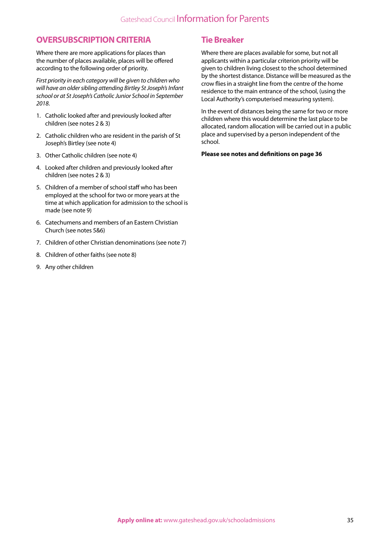### **OVERSUBSCRIPTION CRITERIA**

Where there are more applications for places than the number of places available, places will be offered according to the following order of priority.

*First priority in each category will be given to children who will have an older sibling attending Birtley St Joseph's Infant school or at St Joseph's Catholic Junior School in September 2018*.

- 1. Catholic looked after and previously looked after children (see notes 2 & 3)
- 2. Catholic children who are resident in the parish of St Joseph's Birtley (see note 4)
- 3. Other Catholic children (see note 4)
- 4. Looked after children and previously looked after children (see notes 2 & 3)
- 5. Children of a member of school staff who has been employed at the school for two or more years at the time at which application for admission to the school is made (see note 9)
- 6. Catechumens and members of an Eastern Christian Church (see notes 5&6)
- 7. Children of other Christian denominations (see note 7)
- 8. Children of other faiths (see note 8)
- 9. Any other children

## **Tie Breaker**

Where there are places available for some, but not all applicants within a particular criterion priority will be given to children living closest to the school determined by the shortest distance. Distance will be measured as the crow flies in a straight line from the centre of the home residence to the main entrance of the school, (using the Local Authority's computerised measuring system).

In the event of distances being the same for two or more children where this would determine the last place to be allocated, random allocation will be carried out in a public place and supervised by a person independent of the school.

#### **Please see notes and definitions on page 36**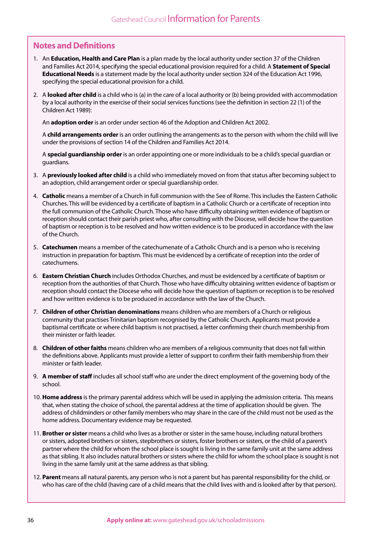## **Notes and Definitions**

- 1. An **Education, Health and Care Plan** is a plan made by the local authority under section 37 of the Children and Families Act 2014, specifying the special educational provision required for a child. A **Statement of Special Educational Needs** is a statement made by the local authority under section 324 of the Education Act 1996, specifying the special educational provision for a child.
- 2. A **looked after child** is a child who is (a) in the care of a local authority or (b) being provided with accommodation by a local authority in the exercise of their social services functions (see the definition in section 22 (1) of the Children Act 1989):

An **adoption order** is an order under section 46 of the Adoption and Children Act 2002.

A **child arrangements order** is an order outlining the arrangements as to the person with whom the child will live under the provisions of section 14 of the Children and Families Act 2014.

A **special guardianship order** is an order appointing one or more individuals to be a child's special guardian or guardians.

- 3. A **previously looked after child** is a child who immediately moved on from that status after becoming subject to an adoption, child arrangement order or special guardianship order.
- 4. **Catholic** means a member of a Church in full communion with the See of Rome. This includes the Eastern Catholic Churches. This will be evidenced by a certificate of baptism in a Catholic Church or a certificate of reception into the full communion of the Catholic Church. Those who have difficulty obtaining written evidence of baptism or reception should contact their parish priest who, after consulting with the Diocese, will decide how the question of baptism or reception is to be resolved and how written evidence is to be produced in accordance with the law of the Church.
- 5. **Catechumen** means a member of the catechumenate of a Catholic Church and is a person who is receiving instruction in preparation for baptism. This must be evidenced by a certificate of reception into the order of catechumens.
- 6. **Eastern Christian Church** includes Orthodox Churches, and must be evidenced by a certificate of baptism or reception from the authorities of that Church. Those who have difficulty obtaining written evidence of baptism or reception should contact the Diocese who will decide how the question of baptism or reception is to be resolved and how written evidence is to be produced in accordance with the law of the Church.
- 7. **Children of other Christian denominations** means children who are members of a Church or religious community that practises Trinitarian baptism recognised by the Catholic Church. Applicants must provide a baptismal certificate or where child baptism is not practised, a letter confirming their church membership from their minister or faith leader.
- 8. **Children of other faiths** means children who are members of a religious community that does not fall within the definitions above. Applicants must provide a letter of support to confirm their faith membership from their minister or faith leader.
- 9. **A member of staff** includes all school staff who are under the direct employment of the governing body of the school.
- 10. **Home address** is the primary parental address which will be used in applying the admission criteria. This means that, when stating the choice of school, the parental address at the time of application should be given. The address of childminders or other family members who may share in the care of the child must not be used as the home address. Documentary evidence may be requested.
- 11. **Brother or sister** means a child who lives as a brother or sister in the same house, including natural brothers or sisters, adopted brothers or sisters, stepbrothers or sisters, foster brothers or sisters, or the child of a parent's partner where the child for whom the school place is sought is living in the same family unit at the same address as that sibling. It also includes natural brothers or sisters where the child for whom the school place is sought is not living in the same family unit at the same address as that sibling.
- 12. **Parent** means all natural parents, any person who is not a parent but has parental responsibility for the child, or who has care of the child (having care of a child means that the child lives with and is looked after by that person).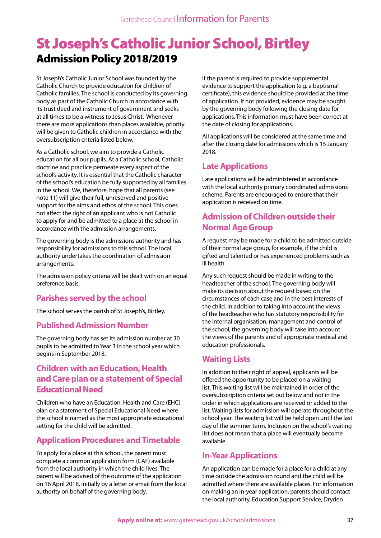## St Joseph's Catholic Junior School, Birtley Admission Policy 2018/2019

St Joseph's Catholic Junior School was founded by the Catholic Church to provide education for children of Catholic families. The school is conducted by its governing body as part of the Catholic Church in accordance with its trust deed and instrument of government and seeks at all times to be a witness to Jesus Christ. Whenever there are more applications than places available, priority will be given to Catholic children in accordance with the oversubscription criteria listed below.

As a Catholic school, we aim to provide a Catholic education for all our pupils. At a Catholic school, Catholic doctrine and practice permeate every aspect of the school's activity. It is essential that the Catholic character of the school's education be fully supported by all families in the school. We, therefore, hope that all parents (see note 11) will give their full, unreserved and positive support for the aims and ethos of the school. This does not affect the right of an applicant who is not Catholic to apply for and be admitted to a place at the school in accordance with the admission arrangements.

The governing body is the admissions authority and has responsibility for admissions to this school. The local authority undertakes the coordination of admission arrangements.

The admission policy criteria will be dealt with on an equal preference basis.

### **Parishes served by the school**

The school serves the parish of St Joseph's, Birtley.

#### **Published Admission Number**

The governing body has set its admission number at 30 pupils to be admitted to Year 3 in the school year which begins in September 2018.

### **Children with an Education, Health and Care plan or a statement of Special Educational Need**

Children who have an Education, Health and Care (EHC) plan or a statement of Special Educational Need where the school is named as the most appropriate educational setting for the child will be admitted.

### **Application Procedures and Timetable**

To apply for a place at this school, the parent must complete a common application form (CAF) available from the local authority in which the child lives. The parent will be advised of the outcome of the application on 16 April 2018, initially by a letter or email from the local authority on behalf of the governing body.

If the parent is required to provide supplemental evidence to support the application (e.g. a baptismal certificate), this evidence should be provided at the time of application. If not provided, evidence may be sought by the governing body following the closing date for applications. This information must have been correct at the date of closing for applications.

All applications will be considered at the same time and after the closing date for admissions which is 15 January 2018.

### **Late Applications**

Late applications will be administered in accordance with the local authority primary coordinated admissions scheme. Parents are encouraged to ensure that their application is received on time.

## **Admission of Children outside their Normal Age Group**

A request may be made for a child to be admitted outside of their normal age group, for example, if the child is gifted and talented or has experienced problems such as ill health.

Any such request should be made in writing to the headteacher of the school. The governing body will make its decision about the request based on the circumstances of each case and in the best interests of the child. In addition to taking into account the views of the headteacher who has statutory responsibility for the internal organisation, management and control of the school, the governing body will take into account the views of the parents and of appropriate medical and education professionals.

#### **Waiting Lists**

In addition to their right of appeal, applicants will be offered the opportunity to be placed on a waiting list. This waiting list will be maintained in order of the oversubscription criteria set out below and not in the order in which applications are received or added to the list. Waiting lists for admission will operate throughout the school year. The waiting list will be held open until the last day of the summer term. Inclusion on the school's waiting list does not mean that a place will eventually become available.

### **In-Year Applications**

An application can be made for a place for a child at any time outside the admission round and the child will be admitted where there are available places. For information on making an in-year application, parents should contact the local authority, Education Support Service, Dryden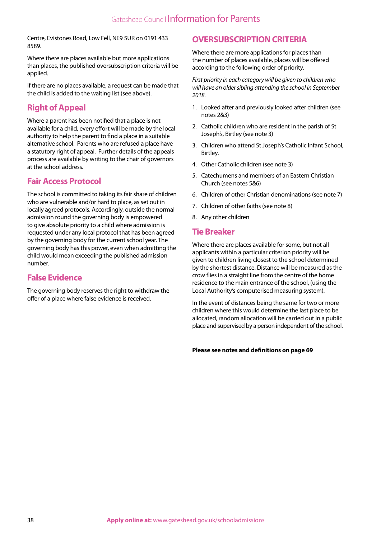Centre, Evistones Road, Low Fell, NE9 5UR on 0191 433 8589.

Where there are places available but more applications than places, the published oversubscription criteria will be applied.

If there are no places available, a request can be made that the child is added to the waiting list (see above).

#### **Right of Appeal**

Where a parent has been notified that a place is not available for a child, every effort will be made by the local authority to help the parent to find a place in a suitable alternative school. Parents who are refused a place have a statutory right of appeal. Further details of the appeals process are available by writing to the chair of governors at the school address.

#### **Fair Access Protocol**

The school is committed to taking its fair share of children who are vulnerable and/or hard to place, as set out in locally agreed protocols. Accordingly, outside the normal admission round the governing body is empowered to give absolute priority to a child where admission is requested under any local protocol that has been agreed by the governing body for the current school year. The governing body has this power, even when admitting the child would mean exceeding the published admission number.

#### **False Evidence**

The governing body reserves the right to withdraw the offer of a place where false evidence is received.

#### **OVERSUBSCRIPTION CRITERIA**

Where there are more applications for places than the number of places available, places will be offered according to the following order of priority.

*First priority in each category will be given to children who will have an older sibling attending the school in September 2018.*

- 1. Looked after and previously looked after children (see notes 2&3)
- 2. Catholic children who are resident in the parish of St Joseph's, Birtley (see note 3)
- 3. Children who attend St Joseph's Catholic Infant School, Birtley.
- 4. Other Catholic children (see note 3)
- 5. Catechumens and members of an Eastern Christian Church (see notes 5&6)
- 6. Children of other Christian denominations (see note 7)
- 7. Children of other faiths (see note 8)
- 8. Any other children

#### **Tie Breaker**

Where there are places available for some, but not all applicants within a particular criterion priority will be given to children living closest to the school determined by the shortest distance. Distance will be measured as the crow flies in a straight line from the centre of the home residence to the main entrance of the school, (using the Local Authority's computerised measuring system).

In the event of distances being the same for two or more children where this would determine the last place to be allocated, random allocation will be carried out in a public place and supervised by a person independent of the school.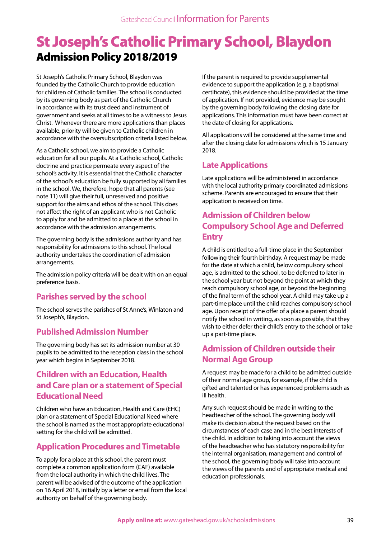# St Joseph's Catholic Primary School, Blaydon Admission Policy 2018/2019

St Joseph's Catholic Primary School, Blaydon was founded by the Catholic Church to provide education for children of Catholic families. The school is conducted by its governing body as part of the Catholic Church in accordance with its trust deed and instrument of government and seeks at all times to be a witness to Jesus Christ. Whenever there are more applications than places available, priority will be given to Catholic children in accordance with the oversubscription criteria listed below.

As a Catholic school, we aim to provide a Catholic education for all our pupils. At a Catholic school, Catholic doctrine and practice permeate every aspect of the school's activity. It is essential that the Catholic character of the school's education be fully supported by all families in the school. We, therefore, hope that all parents (see note 11) will give their full, unreserved and positive support for the aims and ethos of the school. This does not affect the right of an applicant who is not Catholic to apply for and be admitted to a place at the school in accordance with the admission arrangements.

The governing body is the admissions authority and has responsibility for admissions to this school. The local authority undertakes the coordination of admission arrangements.

The admission policy criteria will be dealt with on an equal preference basis.

### **Parishes served by the school**

The school serves the parishes of St Anne's, Winlaton and St Joseph's, Blaydon.

### **Published Admission Number**

The governing body has set its admission number at 30 pupils to be admitted to the reception class in the school year which begins in September 2018.

### **Children with an Education, Health and Care plan or a statement of Special Educational Need**

Children who have an Education, Health and Care (EHC) plan or a statement of Special Educational Need where the school is named as the most appropriate educational setting for the child will be admitted.

### **Application Procedures and Timetable**

To apply for a place at this school, the parent must complete a common application form (CAF) available from the local authority in which the child lives. The parent will be advised of the outcome of the application on 16 April 2018, initially by a letter or email from the local authority on behalf of the governing body.

If the parent is required to provide supplemental evidence to support the application (e.g. a baptismal certificate), this evidence should be provided at the time of application. If not provided, evidence may be sought by the governing body following the closing date for applications. This information must have been correct at the date of closing for applications.

All applications will be considered at the same time and after the closing date for admissions which is 15 January 2018.

## **Late Applications**

Late applications will be administered in accordance with the local authority primary coordinated admissions scheme. Parents are encouraged to ensure that their application is received on time.

## **Admission of Children below Compulsory School Age and Deferred Entry**

A child is entitled to a full-time place in the September following their fourth birthday. A request may be made for the date at which a child, below compulsory school age, is admitted to the school, to be deferred to later in the school year but not beyond the point at which they reach compulsory school age, or beyond the beginning of the final term of the school year. A child may take up a part-time place until the child reaches compulsory school age. Upon receipt of the offer of a place a parent should notify the school in writing, as soon as possible, that they wish to either defer their child's entry to the school or take up a part-time place.

### **Admission of Children outside their Normal Age Group**

A request may be made for a child to be admitted outside of their normal age group, for example, if the child is gifted and talented or has experienced problems such as ill health.

Any such request should be made in writing to the headteacher of the school. The governing body will make its decision about the request based on the circumstances of each case and in the best interests of the child. In addition to taking into account the views of the headteacher who has statutory responsibility for the internal organisation, management and control of the school, the governing body will take into account the views of the parents and of appropriate medical and education professionals.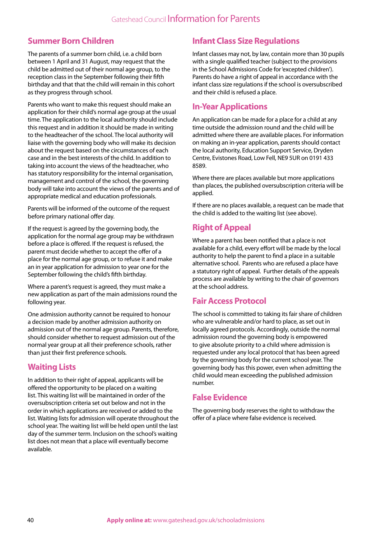### **Summer Born Children**

The parents of a summer born child, i.e. a child born between 1 April and 31 August, may request that the child be admitted out of their normal age group, to the reception class in the September following their fifth birthday and that that the child will remain in this cohort as they progress through school.

Parents who want to make this request should make an application for their child's normal age group at the usual time. The application to the local authority should include this request and in addition it should be made in writing to the headteacher of the school. The local authority will liaise with the governing body who will make its decision about the request based on the circumstances of each case and in the best interests of the child. In addition to taking into account the views of the headteacher, who has statutory responsibility for the internal organisation, management and control of the school, the governing body will take into account the views of the parents and of appropriate medical and education professionals.

Parents will be informed of the outcome of the request before primary national offer day.

If the request is agreed by the governing body, the application for the normal age group may be withdrawn before a place is offered. If the request is refused, the parent must decide whether to accept the offer of a place for the normal age group, or to refuse it and make an in year application for admission to year one for the September following the child's fifth birthday.

Where a parent's request is agreed, they must make a new application as part of the main admissions round the following year.

One admission authority cannot be required to honour a decision made by another admission authority on admission out of the normal age group. Parents, therefore, should consider whether to request admission out of the normal year group at all their preference schools, rather than just their first preference schools.

## **Waiting Lists**

In addition to their right of appeal, applicants will be offered the opportunity to be placed on a waiting list. This waiting list will be maintained in order of the oversubscription criteria set out below and not in the order in which applications are received or added to the list. Waiting lists for admission will operate throughout the school year. The waiting list will be held open until the last day of the summer term. Inclusion on the school's waiting list does not mean that a place will eventually become available.

## **Infant Class Size Regulations**

Infant classes may not, by law, contain more than 30 pupils with a single qualified teacher (subject to the provisions in the School Admissions Code for 'excepted children'). Parents do have a right of appeal in accordance with the infant class size regulations if the school is oversubscribed and their child is refused a place.

#### **In-Year Applications**

An application can be made for a place for a child at any time outside the admission round and the child will be admitted where there are available places. For information on making an in-year application, parents should contact the local authority, Education Support Service, Dryden Centre, Evistones Road, Low Fell, NE9 5UR on 0191 433 8589.

Where there are places available but more applications than places, the published oversubscription criteria will be applied.

If there are no places available, a request can be made that the child is added to the waiting list (see above).

## **Right of Appeal**

Where a parent has been notified that a place is not available for a child, every effort will be made by the local authority to help the parent to find a place in a suitable alternative school. Parents who are refused a place have a statutory right of appeal. Further details of the appeals process are available by writing to the chair of governors at the school address.

### **Fair Access Protocol**

The school is committed to taking its fair share of children who are vulnerable and/or hard to place, as set out in locally agreed protocols. Accordingly, outside the normal admission round the governing body is empowered to give absolute priority to a child where admission is requested under any local protocol that has been agreed by the governing body for the current school year. The governing body has this power, even when admitting the child would mean exceeding the published admission number.

#### **False Evidence**

The governing body reserves the right to withdraw the offer of a place where false evidence is received.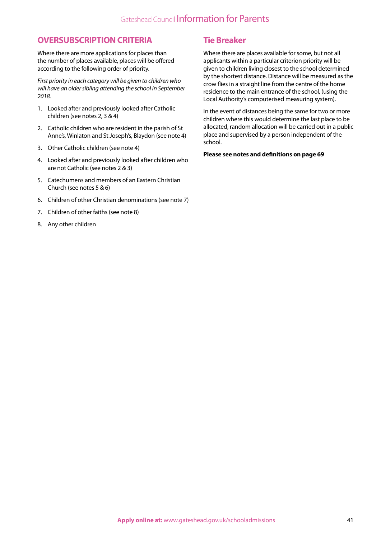#### **OVERSUBSCRIPTION CRITERIA**

Where there are more applications for places than the number of places available, places will be offered according to the following order of priority.

*First priority in each category will be given to children who will have an older sibling attending the school in September 2018.*

- 1. Looked after and previously looked after Catholic children (see notes 2, 3 & 4)
- 2. Catholic children who are resident in the parish of St Anne's, Winlaton and St Joseph's, Blaydon (see note 4)
- 3. Other Catholic children (see note 4)
- 4. Looked after and previously looked after children who are not Catholic (see notes 2 & 3)
- 5. Catechumens and members of an Eastern Christian Church (see notes 5 & 6)
- 6. Children of other Christian denominations (see note 7)
- 7. Children of other faiths (see note 8)
- 8. Any other children

#### **Tie Breaker**

Where there are places available for some, but not all applicants within a particular criterion priority will be given to children living closest to the school determined by the shortest distance. Distance will be measured as the crow flies in a straight line from the centre of the home residence to the main entrance of the school, (using the Local Authority's computerised measuring system).

In the event of distances being the same for two or more children where this would determine the last place to be allocated, random allocation will be carried out in a public place and supervised by a person independent of the school.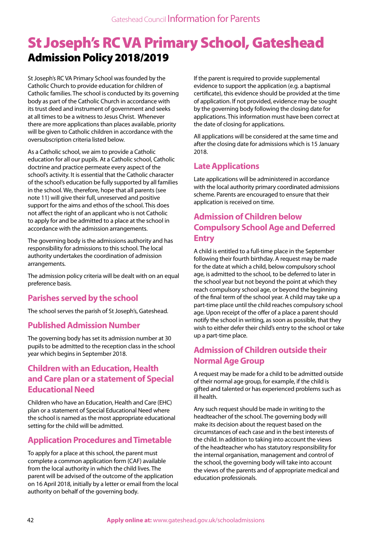## St Joseph's RC VA Primary School, Gateshead Admission Policy 2018/2019

St Joseph's RC VA Primary School was founded by the Catholic Church to provide education for children of Catholic families. The school is conducted by its governing body as part of the Catholic Church in accordance with its trust deed and instrument of government and seeks at all times to be a witness to Jesus Christ. Whenever there are more applications than places available, priority will be given to Catholic children in accordance with the oversubscription criteria listed below.

As a Catholic school, we aim to provide a Catholic education for all our pupils. At a Catholic school, Catholic doctrine and practice permeate every aspect of the school's activity. It is essential that the Catholic character of the school's education be fully supported by all families in the school. We, therefore, hope that all parents (see note 11) will give their full, unreserved and positive support for the aims and ethos of the school. This does not affect the right of an applicant who is not Catholic to apply for and be admitted to a place at the school in accordance with the admission arrangements.

The governing body is the admissions authority and has responsibility for admissions to this school. The local authority undertakes the coordination of admission arrangements.

The admission policy criteria will be dealt with on an equal preference basis.

## **Parishes served by the school**

The school serves the parish of St Joseph's, Gateshead.

#### **Published Admission Number**

The governing body has set its admission number at 30 pupils to be admitted to the reception class in the school year which begins in September 2018.

## **Children with an Education, Health and Care plan or a statement of Special Educational Need**

Children who have an Education, Health and Care (EHC) plan or a statement of Special Educational Need where the school is named as the most appropriate educational setting for the child will be admitted.

### **Application Procedures and Timetable**

To apply for a place at this school, the parent must complete a common application form (CAF) available from the local authority in which the child lives. The parent will be advised of the outcome of the application on 16 April 2018, initially by a letter or email from the local authority on behalf of the governing body.

If the parent is required to provide supplemental evidence to support the application (e.g. a baptismal certificate), this evidence should be provided at the time of application. If not provided, evidence may be sought by the governing body following the closing date for applications. This information must have been correct at the date of closing for applications.

All applications will be considered at the same time and after the closing date for admissions which is 15 January 2018.

## **Late Applications**

Late applications will be administered in accordance with the local authority primary coordinated admissions scheme. Parents are encouraged to ensure that their application is received on time.

## **Admission of Children below Compulsory School Age and Deferred Entry**

A child is entitled to a full-time place in the September following their fourth birthday. A request may be made for the date at which a child, below compulsory school age, is admitted to the school, to be deferred to later in the school year but not beyond the point at which they reach compulsory school age, or beyond the beginning of the final term of the school year. A child may take up a part-time place until the child reaches compulsory school age. Upon receipt of the offer of a place a parent should notify the school in writing, as soon as possible, that they wish to either defer their child's entry to the school or take up a part-time place.

## **Admission of Children outside their Normal Age Group**

A request may be made for a child to be admitted outside of their normal age group, for example, if the child is gifted and talented or has experienced problems such as ill health.

Any such request should be made in writing to the headteacher of the school. The governing body will make its decision about the request based on the circumstances of each case and in the best interests of the child. In addition to taking into account the views of the headteacher who has statutory responsibility for the internal organisation, management and control of the school, the governing body will take into account the views of the parents and of appropriate medical and education professionals.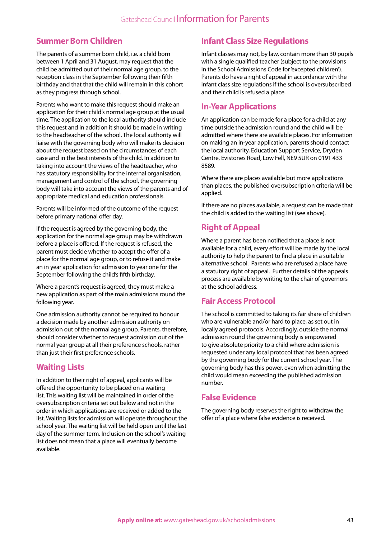#### **Summer Born Children**

The parents of a summer born child, i.e. a child born between 1 April and 31 August, may request that the child be admitted out of their normal age group, to the reception class in the September following their fifth birthday and that that the child will remain in this cohort as they progress through school.

Parents who want to make this request should make an application for their child's normal age group at the usual time. The application to the local authority should include this request and in addition it should be made in writing to the headteacher of the school. The local authority will liaise with the governing body who will make its decision about the request based on the circumstances of each case and in the best interests of the child. In addition to taking into account the views of the headteacher, who has statutory responsibility for the internal organisation, management and control of the school, the governing body will take into account the views of the parents and of appropriate medical and education professionals.

Parents will be informed of the outcome of the request before primary national offer day.

If the request is agreed by the governing body, the application for the normal age group may be withdrawn before a place is offered. If the request is refused, the parent must decide whether to accept the offer of a place for the normal age group, or to refuse it and make an in year application for admission to year one for the September following the child's fifth birthday.

Where a parent's request is agreed, they must make a new application as part of the main admissions round the following year.

One admission authority cannot be required to honour a decision made by another admission authority on admission out of the normal age group. Parents, therefore, should consider whether to request admission out of the normal year group at all their preference schools, rather than just their first preference schools.

#### **Waiting Lists**

In addition to their right of appeal, applicants will be offered the opportunity to be placed on a waiting list. This waiting list will be maintained in order of the oversubscription criteria set out below and not in the order in which applications are received or added to the list. Waiting lists for admission will operate throughout the school year. The waiting list will be held open until the last day of the summer term. Inclusion on the school's waiting list does not mean that a place will eventually become available.

### **Infant Class Size Regulations**

Infant classes may not, by law, contain more than 30 pupils with a single qualified teacher (subject to the provisions in the School Admissions Code for 'excepted children'). Parents do have a right of appeal in accordance with the infant class size regulations if the school is oversubscribed and their child is refused a place.

#### **In-Year Applications**

An application can be made for a place for a child at any time outside the admission round and the child will be admitted where there are available places. For information on making an in-year application, parents should contact the local authority, Education Support Service, Dryden Centre, Evistones Road, Low Fell, NE9 5UR on 0191 433 8589.

Where there are places available but more applications than places, the published oversubscription criteria will be applied.

If there are no places available, a request can be made that the child is added to the waiting list (see above).

#### **Right of Appeal**

Where a parent has been notified that a place is not available for a child, every effort will be made by the local authority to help the parent to find a place in a suitable alternative school. Parents who are refused a place have a statutory right of appeal. Further details of the appeals process are available by writing to the chair of governors at the school address.

#### **Fair Access Protocol**

The school is committed to taking its fair share of children who are vulnerable and/or hard to place, as set out in locally agreed protocols. Accordingly, outside the normal admission round the governing body is empowered to give absolute priority to a child where admission is requested under any local protocol that has been agreed by the governing body for the current school year. The governing body has this power, even when admitting the child would mean exceeding the published admission number.

#### **False Evidence**

The governing body reserves the right to withdraw the offer of a place where false evidence is received.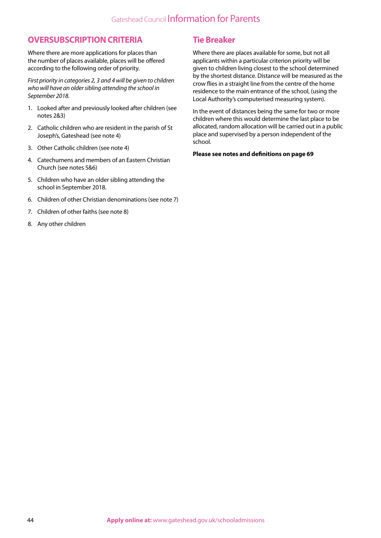## Gateshead Council Information for Parents

#### **OVERSUBSCRIPTION CRITERIA**

Where there are more applications for places than the number of places available, places will be offered according to the following order of priority.

*First priority in categories 2, 3 and 4 will be given to children who will have an older sibling attending the school in September 2018.*

- 1. Looked after and previously looked after children (see notes 2&3)
- 2. Catholic children who are resident in the parish of St Joseph's, Gateshead (see note 4)
- 3. Other Catholic children (see note 4)
- 4. Catechumens and members of an Eastern Christian Church (see notes 5&6)
- 5. Children who have an older sibling attending the school in September 2018.
- 6. Children of other Christian denominations (see note 7)
- 7. Children of other faiths (see note 8)
- 8. Any other children

#### **Tie Breaker**

Where there are places available for some, but not all applicants within a particular criterion priority will be given to children living closest to the school determined by the shortest distance. Distance will be measured as the crow flies in a straight line from the centre of the home residence to the main entrance of the school, (using the Local Authority's computerised measuring system).

In the event of distances being the same for two or more children where this would determine the last place to be allocated, random allocation will be carried out in a public place and supervised by a person independent of the school.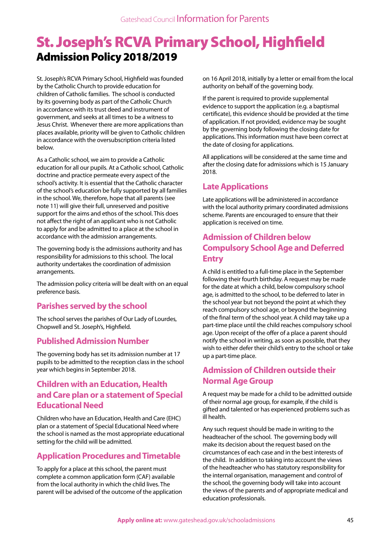# St. Joseph's RCVA Primary School, Highfield Admission Policy 2018/2019

St. Joseph's RCVA Primary School, Highfield was founded by the Catholic Church to provide education for children of Catholic families. The school is conducted by its governing body as part of the Catholic Church in accordance with its trust deed and instrument of government, and seeks at all times to be a witness to Jesus Christ. Whenever there are more applications than places available, priority will be given to Catholic children in accordance with the oversubscription criteria listed below.

As a Catholic school, we aim to provide a Catholic education for all our pupils. At a Catholic school, Catholic doctrine and practice permeate every aspect of the school's activity. It is essential that the Catholic character of the school's education be fully supported by all families in the school. We, therefore, hope that all parents (see note 11) will give their full, unreserved and positive support for the aims and ethos of the school. This does not affect the right of an applicant who is not Catholic to apply for and be admitted to a place at the school in accordance with the admission arrangements.

The governing body is the admissions authority and has responsibility for admissions to this school. The local authority undertakes the coordination of admission arrangements.

The admission policy criteria will be dealt with on an equal preference basis.

### **Parishes served by the school**

The school serves the parishes of Our Lady of Lourdes, Chopwell and St. Joseph's, Highfield.

#### **Published Admission Number**

The governing body has set its admission number at 17 pupils to be admitted to the reception class in the school year which begins in September 2018.

#### **Children with an Education, Health and Care plan or a statement of Special Educational Need**

Children who have an Education, Health and Care (EHC) plan or a statement of Special Educational Need where the school is named as the most appropriate educational setting for the child will be admitted.

#### **Application Procedures and Timetable**

To apply for a place at this school, the parent must complete a common application form (CAF) available from the local authority in which the child lives. The parent will be advised of the outcome of the application on 16 April 2018, initially by a letter or email from the local authority on behalf of the governing body.

If the parent is required to provide supplemental evidence to support the application (e.g. a baptismal certificate), this evidence should be provided at the time of application. If not provided, evidence may be sought by the governing body following the closing date for applications. This information must have been correct at the date of closing for applications.

All applications will be considered at the same time and after the closing date for admissions which is 15 January 2018.

### **Late Applications**

Late applications will be administered in accordance with the local authority primary coordinated admissions scheme. Parents are encouraged to ensure that their application is received on time.

#### **Admission of Children below Compulsory School Age and Deferred Entry**

A child is entitled to a full-time place in the September following their fourth birthday. A request may be made for the date at which a child, below compulsory school age, is admitted to the school, to be deferred to later in the school year but not beyond the point at which they reach compulsory school age, or beyond the beginning of the final term of the school year. A child may take up a part-time place until the child reaches compulsory school age. Upon receipt of the offer of a place a parent should notify the school in writing, as soon as possible, that they wish to either defer their child's entry to the school or take up a part-time place.

## **Admission of Children outside their Normal Age Group**

A request may be made for a child to be admitted outside of their normal age group, for example, if the child is gifted and talented or has experienced problems such as ill health.

Any such request should be made in writing to the headteacher of the school. The governing body will make its decision about the request based on the circumstances of each case and in the best interests of the child. In addition to taking into account the views of the headteacher who has statutory responsibility for the internal organisation, management and control of the school, the governing body will take into account the views of the parents and of appropriate medical and education professionals.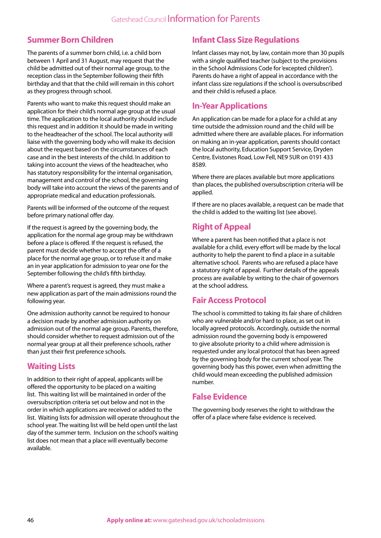#### **Summer Born Children**

The parents of a summer born child, i.e. a child born between 1 April and 31 August, may request that the child be admitted out of their normal age group, to the reception class in the September following their fifth birthday and that that the child will remain in this cohort as they progress through school.

Parents who want to make this request should make an application for their child's normal age group at the usual time. The application to the local authority should include this request and in addition it should be made in writing to the headteacher of the school. The local authority will liaise with the governing body who will make its decision about the request based on the circumstances of each case and in the best interests of the child. In addition to taking into account the views of the headteacher, who has statutory responsibility for the internal organisation, management and control of the school, the governing body will take into account the views of the parents and of appropriate medical and education professionals.

Parents will be informed of the outcome of the request before primary national offer day.

If the request is agreed by the governing body, the application for the normal age group may be withdrawn before a place is offered. If the request is refused, the parent must decide whether to accept the offer of a place for the normal age group, or to refuse it and make an in year application for admission to year one for the September following the child's fifth birthday.

Where a parent's request is agreed, they must make a new application as part of the main admissions round the following year.

One admission authority cannot be required to honour a decision made by another admission authority on admission out of the normal age group. Parents, therefore, should consider whether to request admission out of the normal year group at all their preference schools, rather than just their first preference schools.

#### **Waiting Lists**

In addition to their right of appeal, applicants will be offered the opportunity to be placed on a waiting list. This waiting list will be maintained in order of the oversubscription criteria set out below and not in the order in which applications are received or added to the list. Waiting lists for admission will operate throughout the school year. The waiting list will be held open until the last day of the summer term. Inclusion on the school's waiting list does not mean that a place will eventually become available.

### **Infant Class Size Regulations**

Infant classes may not, by law, contain more than 30 pupils with a single qualified teacher (subject to the provisions in the School Admissions Code for 'excepted children'). Parents do have a right of appeal in accordance with the infant class size regulations if the school is oversubscribed and their child is refused a place.

#### **In-Year Applications**

An application can be made for a place for a child at any time outside the admission round and the child will be admitted where there are available places. For information on making an in-year application, parents should contact the local authority, Education Support Service, Dryden Centre, Evistones Road, Low Fell, NE9 5UR on 0191 433 8589.

Where there are places available but more applications than places, the published oversubscription criteria will be applied.

If there are no places available, a request can be made that the child is added to the waiting list (see above).

## **Right of Appeal**

Where a parent has been notified that a place is not available for a child, every effort will be made by the local authority to help the parent to find a place in a suitable alternative school. Parents who are refused a place have a statutory right of appeal. Further details of the appeals process are available by writing to the chair of governors at the school address.

### **Fair Access Protocol**

The school is committed to taking its fair share of children who are vulnerable and/or hard to place, as set out in locally agreed protocols. Accordingly, outside the normal admission round the governing body is empowered to give absolute priority to a child where admission is requested under any local protocol that has been agreed by the governing body for the current school year. The governing body has this power, even when admitting the child would mean exceeding the published admission number.

#### **False Evidence**

The governing body reserves the right to withdraw the offer of a place where false evidence is received.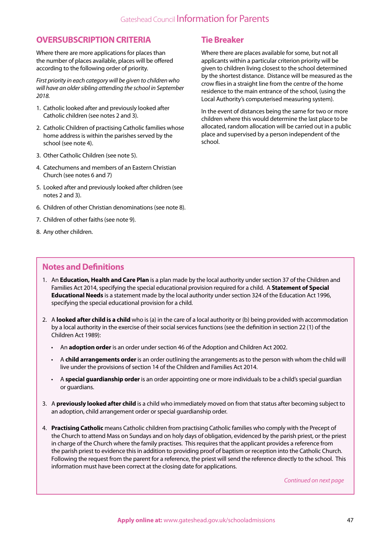#### **OVERSUBSCRIPTION CRITERIA**

Where there are more applications for places than the number of places available, places will be offered according to the following order of priority.

*First priority in each category will be given to children who will have an older sibling attending the school in September 2018.*

- 1. Catholic looked after and previously looked after Catholic children (see notes 2 and 3).
- 2. Catholic Children of practising Catholic families whose home address is within the parishes served by the school (see note 4).
- 3. Other Catholic Children (see note 5).
- 4. Catechumens and members of an Eastern Christian Church (see notes 6 and 7)
- 5. Looked after and previously looked after children (see notes 2 and 3).
- 6. Children of other Christian denominations (see note 8).
- 7. Children of other faiths (see note 9).
- 8. Any other children.

#### **Tie Breaker**

Where there are places available for some, but not all applicants within a particular criterion priority will be given to children living closest to the school determined by the shortest distance. Distance will be measured as the crow flies in a straight line from the centre of the home residence to the main entrance of the school, (using the Local Authority's computerised measuring system).

In the event of distances being the same for two or more children where this would determine the last place to be allocated, random allocation will be carried out in a public place and supervised by a person independent of the school.

#### **Notes and Definitions**

- 1. An **Education, Health and Care Plan** is a plan made by the local authority under section 37 of the Children and Families Act 2014, specifying the special educational provision required for a child. A **Statement of Special Educational Needs** is a statement made by the local authority under section 324 of the Education Act 1996, specifying the special educational provision for a child.
- 2. A **looked after child is a child** who is (a) in the care of a local authority or (b) being provided with accommodation by a local authority in the exercise of their social services functions (see the definition in section 22 (1) of the Children Act 1989):
	- An **adoption order** is an order under section 46 of the Adoption and Children Act 2002.
	- A **child arrangements order** is an order outlining the arrangements as to the person with whom the child will live under the provisions of section 14 of the Children and Families Act 2014.
	- A **special guardianship order** is an order appointing one or more individuals to be a child's special guardian or guardians.
- 3. A **previously looked after child** is a child who immediately moved on from that status after becoming subject to an adoption, child arrangement order or special guardianship order.
- 4. **Practising Catholic** means Catholic children from practising Catholic families who comply with the Precept of the Church to attend Mass on Sundays and on holy days of obligation, evidenced by the parish priest, or the priest in charge of the Church where the family practises. This requires that the applicant provides a reference from the parish priest to evidence this in addition to providing proof of baptism or reception into the Catholic Church. Following the request from the parent for a reference, the priest will send the reference directly to the school. This information must have been correct at the closing date for applications.

*Continued on next page*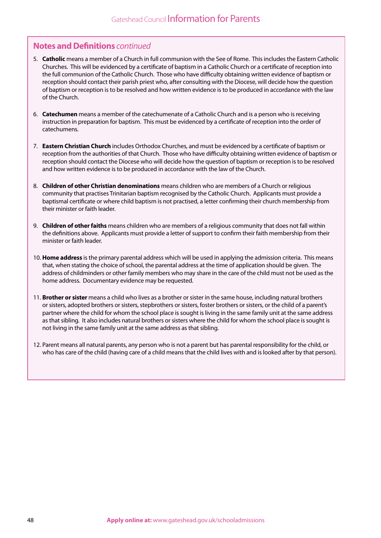#### **Notes and Definitions** *continued*

- 5. **Catholic** means a member of a Church in full communion with the See of Rome. This includes the Eastern Catholic Churches. This will be evidenced by a certificate of baptism in a Catholic Church or a certificate of reception into the full communion of the Catholic Church. Those who have difficulty obtaining written evidence of baptism or reception should contact their parish priest who, after consulting with the Diocese, will decide how the question of baptism or reception is to be resolved and how written evidence is to be produced in accordance with the law of the Church.
- 6. **Catechumen** means a member of the catechumenate of a Catholic Church and is a person who is receiving instruction in preparation for baptism. This must be evidenced by a certificate of reception into the order of catechumens.
- 7. **Eastern Christian Church** includes Orthodox Churches, and must be evidenced by a certificate of baptism or reception from the authorities of that Church. Those who have difficulty obtaining written evidence of baptism or reception should contact the Diocese who will decide how the question of baptism or reception is to be resolved and how written evidence is to be produced in accordance with the law of the Church.
- 8. **Children of other Christian denominations** means children who are members of a Church or religious community that practises Trinitarian baptism recognised by the Catholic Church. Applicants must provide a baptismal certificate or where child baptism is not practised, a letter confirming their church membership from their minister or faith leader.
- 9. **Children of other faiths** means children who are members of a religious community that does not fall within the definitions above. Applicants must provide a letter of support to confirm their faith membership from their minister or faith leader.
- 10. **Home address** is the primary parental address which will be used in applying the admission criteria. This means that, when stating the choice of school, the parental address at the time of application should be given. The address of childminders or other family members who may share in the care of the child must not be used as the home address. Documentary evidence may be requested.
- 11. **Brother or sister** means a child who lives as a brother or sister in the same house, including natural brothers or sisters, adopted brothers or sisters, stepbrothers or sisters, foster brothers or sisters, or the child of a parent's partner where the child for whom the school place is sought is living in the same family unit at the same address as that sibling. It also includes natural brothers or sisters where the child for whom the school place is sought is not living in the same family unit at the same address as that sibling.
- 12. Parent means all natural parents, any person who is not a parent but has parental responsibility for the child, or who has care of the child (having care of a child means that the child lives with and is looked after by that person).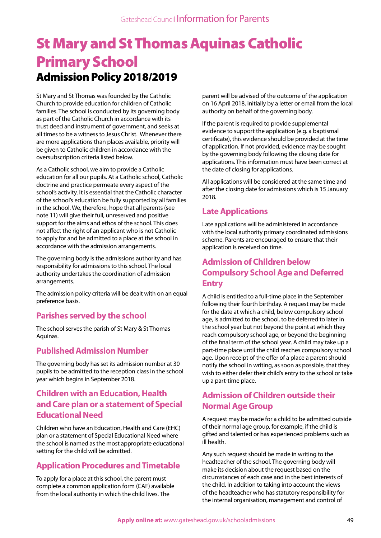# St Mary and St Thomas Aquinas Catholic Primary School Admission Policy 2018/2019

St Mary and St Thomas was founded by the Catholic Church to provide education for children of Catholic families. The school is conducted by its governing body as part of the Catholic Church in accordance with its trust deed and instrument of government, and seeks at all times to be a witness to Jesus Christ. Whenever there are more applications than places available, priority will be given to Catholic children in accordance with the oversubscription criteria listed below.

As a Catholic school, we aim to provide a Catholic education for all our pupils. At a Catholic school, Catholic doctrine and practice permeate every aspect of the school's activity. It is essential that the Catholic character of the school's education be fully supported by all families in the school. We, therefore, hope that all parents (see note 11) will give their full, unreserved and positive support for the aims and ethos of the school. This does not affect the right of an applicant who is not Catholic to apply for and be admitted to a place at the school in accordance with the admission arrangements.

The governing body is the admissions authority and has responsibility for admissions to this school. The local authority undertakes the coordination of admission arrangements.

The admission policy criteria will be dealt with on an equal preference basis.

#### **Parishes served by the school**

The school serves the parish of St Mary & St Thomas Aquinas.

#### **Published Admission Number**

The governing body has set its admission number at 30 pupils to be admitted to the reception class in the school year which begins in September 2018.

#### **Children with an Education, Health and Care plan or a statement of Special Educational Need**

Children who have an Education, Health and Care (EHC) plan or a statement of Special Educational Need where the school is named as the most appropriate educational setting for the child will be admitted.

### **Application Procedures and Timetable**

To apply for a place at this school, the parent must complete a common application form (CAF) available from the local authority in which the child lives. The

parent will be advised of the outcome of the application on 16 April 2018, initially by a letter or email from the local authority on behalf of the governing body.

If the parent is required to provide supplemental evidence to support the application (e.g. a baptismal certificate), this evidence should be provided at the time of application. If not provided, evidence may be sought by the governing body following the closing date for applications. This information must have been correct at the date of closing for applications.

All applications will be considered at the same time and after the closing date for admissions which is 15 January 2018.

#### **Late Applications**

Late applications will be administered in accordance with the local authority primary coordinated admissions scheme. Parents are encouraged to ensure that their application is received on time.

#### **Admission of Children below Compulsory School Age and Deferred Entry**

A child is entitled to a full-time place in the September following their fourth birthday. A request may be made for the date at which a child, below compulsory school age, is admitted to the school, to be deferred to later in the school year but not beyond the point at which they reach compulsory school age, or beyond the beginning of the final term of the school year. A child may take up a part-time place until the child reaches compulsory school age. Upon receipt of the offer of a place a parent should notify the school in writing, as soon as possible, that they wish to either defer their child's entry to the school or take up a part-time place.

## **Admission of Children outside their Normal Age Group**

A request may be made for a child to be admitted outside of their normal age group, for example, if the child is gifted and talented or has experienced problems such as ill health.

Any such request should be made in writing to the headteacher of the school. The governing body will make its decision about the request based on the circumstances of each case and in the best interests of the child. In addition to taking into account the views of the headteacher who has statutory responsibility for the internal organisation, management and control of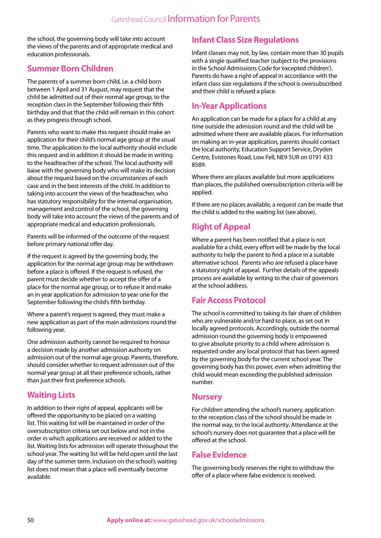the school, the governing body will take into account the views of the parents and of appropriate medical and education professionals.

#### **Summer Born Children**

The parents of a summer born child, i.e. a child born between 1 April and 31 August, may request that the child be admitted out of their normal age group, to the reception class in the September following their fifth birthday and that that the child will remain in this cohort as they progress through school.

Parents who want to make this request should make an application for their child's normal age group at the usual time. The application to the local authority should include this request and in addition it should be made in writing to the headteacher of the school. The local authority will liaise with the governing body who will make its decision about the request based on the circumstances of each case and in the best interests of the child. In addition to taking into account the views of the headteacher, who has statutory responsibility for the internal organisation, management and control of the school, the governing body will take into account the views of the parents and of appropriate medical and education professionals.

Parents will be informed of the outcome of the request before primary national offer day.

If the request is agreed by the governing body, the application for the normal age group may be withdrawn before a place is offered. If the request is refused, the parent must decide whether to accept the offer of a place for the normal age group, or to refuse it and make an in year application for admission to year one for the September following the child's fifth birthday.

Where a parent's request is agreed, they must make a new application as part of the main admissions round the following year.

One admission authority cannot be required to honour a decision made by another admission authority on admission out of the normal age group. Parents, therefore, should consider whether to request admission out of the normal year group at all their preference schools, rather than just their first preference schools.

### **Waiting Lists**

In addition to their right of appeal, applicants will be offered the opportunity to be placed on a waiting list. This waiting list will be maintained in order of the oversubscription criteria set out below and not in the order in which applications are received or added to the list. Waiting lists for admission will operate throughout the school year. The waiting list will be held open until the last day of the summer term. Inclusion on the school's waiting list does not mean that a place will eventually become available.

#### **Infant Class Size Regulations**

Infant classes may not, by law, contain more than 30 pupils with a single qualified teacher (subject to the provisions in the School Admissions Code for 'excepted children'). Parents do have a right of appeal in accordance with the infant class size regulations if the school is oversubscribed and their child is refused a place.

#### **In-Year Applications**

An application can be made for a place for a child at any time outside the admission round and the child will be admitted where there are available places. For information on making an in-year application, parents should contact the local authority, Education Support Service, Dryden Centre, Evistones Road, Low Fell, NE9 5UR on 0191 433 8589.

Where there are places available but more applications than places, the published oversubscription criteria will be applied.

If there are no places available, a request can be made that the child is added to the waiting list (see above).

## **Right of Appeal**

Where a parent has been notified that a place is not available for a child, every effort will be made by the local authority to help the parent to find a place in a suitable alternative school. Parents who are refused a place have a statutory right of appeal. Further details of the appeals process are available by writing to the chair of governors at the school address.

### **Fair Access Protocol**

The school is committed to taking its fair share of children who are vulnerable and/or hard to place, as set out in locally agreed protocols. Accordingly, outside the normal admission round the governing body is empowered to give absolute priority to a child where admission is requested under any local protocol that has been agreed by the governing body for the current school year. The governing body has this power, even when admitting the child would mean exceeding the published admission number.

#### **Nursery**

For children attending the school's nursery, application to the reception class of the school should be made in the normal way, to the local authority. Attendance at the school's nursery does not guarantee that a place will be offered at the school.

#### **False Evidence**

The governing body reserves the right to withdraw the offer of a place where false evidence is received.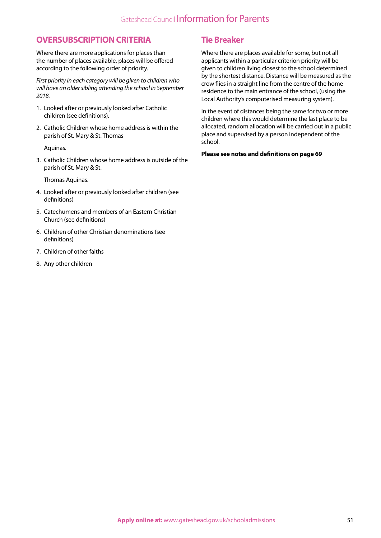#### **OVERSUBSCRIPTION CRITERIA**

Where there are more applications for places than the number of places available, places will be offered according to the following order of priority.

*First priority in each category will be given to children who will have an older sibling attending the school in September 2018.*

- 1. Looked after or previously looked after Catholic children (see definitions).
- 2. Catholic Children whose home address is within the parish of St. Mary & St. Thomas

Aquinas.

3. Catholic Children whose home address is outside of the parish of St. Mary & St.

Thomas Aquinas.

- 4. Looked after or previously looked after children (see definitions)
- 5. Catechumens and members of an Eastern Christian Church (see definitions)
- 6. Children of other Christian denominations (see definitions)
- 7. Children of other faiths
- 8. Any other children

#### **Tie Breaker**

Where there are places available for some, but not all applicants within a particular criterion priority will be given to children living closest to the school determined by the shortest distance. Distance will be measured as the crow flies in a straight line from the centre of the home residence to the main entrance of the school, (using the Local Authority's computerised measuring system).

In the event of distances being the same for two or more children where this would determine the last place to be allocated, random allocation will be carried out in a public place and supervised by a person independent of the school.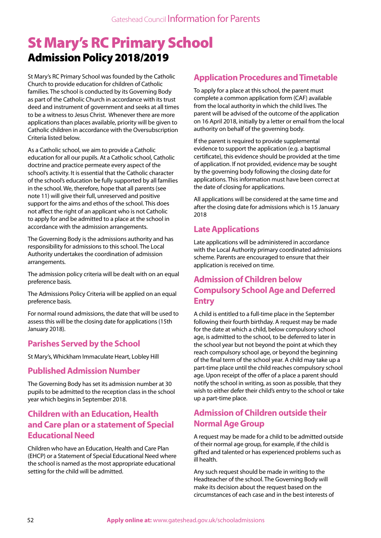## St Mary's RC Primary School Admission Policy 2018/2019

St Mary's RC Primary School was founded by the Catholic Church to provide education for children of Catholic families. The school is conducted by its Governing Body as part of the Catholic Church in accordance with its trust deed and instrument of government and seeks at all times to be a witness to Jesus Christ. Whenever there are more applications than places available, priority will be given to Catholic children in accordance with the Oversubscription Criteria listed below.

As a Catholic school, we aim to provide a Catholic education for all our pupils. At a Catholic school, Catholic doctrine and practice permeate every aspect of the school's activity. It is essential that the Catholic character of the school's education be fully supported by all families in the school. We, therefore, hope that all parents (see note 11) will give their full, unreserved and positive support for the aims and ethos of the school. This does not affect the right of an applicant who is not Catholic to apply for and be admitted to a place at the school in accordance with the admission arrangements.

The Governing Body is the admissions authority and has responsibility for admissions to this school. The Local Authority undertakes the coordination of admission arrangements.

The admission policy criteria will be dealt with on an equal preference basis.

The Admissions Policy Criteria will be applied on an equal preference basis.

For normal round admissions, the date that will be used to assess this will be the closing date for applications (15th January 2018).

### **Parishes Served by the School**

St Mary's, Whickham Immaculate Heart, Lobley Hill

#### **Published Admission Number**

The Governing Body has set its admission number at 30 pupils to be admitted to the reception class in the school year which begins in September 2018.

#### **Children with an Education, Health and Care plan or a statement of Special Educational Need**

Children who have an Education, Health and Care Plan (EHCP) or a Statement of Special Educational Need where the school is named as the most appropriate educational setting for the child will be admitted.

#### **Application Procedures and Timetable**

To apply for a place at this school, the parent must complete a common application form (CAF) available from the local authority in which the child lives. The parent will be advised of the outcome of the application on 16 April 2018, initially by a letter or email from the local authority on behalf of the governing body.

If the parent is required to provide supplemental evidence to support the application (e.g. a baptismal certificate), this evidence should be provided at the time of application. If not provided, evidence may be sought by the governing body following the closing date for applications. This information must have been correct at the date of closing for applications.

All applications will be considered at the same time and after the closing date for admissions which is 15 January 2018

#### **Late Applications**

Late applications will be administered in accordance with the Local Authority primary coordinated admissions scheme. Parents are encouraged to ensure that their application is received on time.

### **Admission of Children below Compulsory School Age and Deferred Entry**

A child is entitled to a full-time place in the September following their fourth birthday. A request may be made for the date at which a child, below compulsory school age, is admitted to the school, to be deferred to later in the school year but not beyond the point at which they reach compulsory school age, or beyond the beginning of the final term of the school year. A child may take up a part-time place until the child reaches compulsory school age. Upon receipt of the offer of a place a parent should notify the school in writing, as soon as possible, that they wish to either defer their child's entry to the school or take up a part-time place.

#### **Admission of Children outside their Normal Age Group**

A request may be made for a child to be admitted outside of their normal age group, for example, if the child is gifted and talented or has experienced problems such as ill health.

Any such request should be made in writing to the Headteacher of the school. The Governing Body will make its decision about the request based on the circumstances of each case and in the best interests of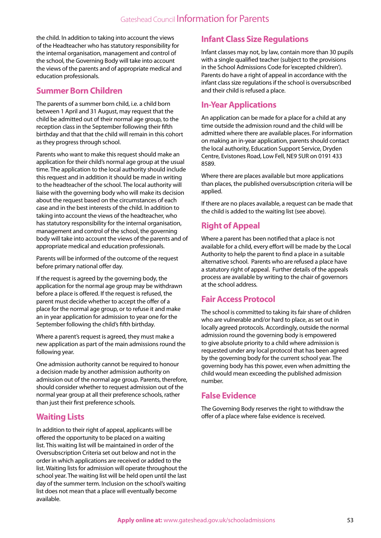the child. In addition to taking into account the views of the Headteacher who has statutory responsibility for the internal organisation, management and control of the school, the Governing Body will take into account the views of the parents and of appropriate medical and education professionals.

#### **Summer Born Children**

The parents of a summer born child, i.e. a child born between 1 April and 31 August, may request that the child be admitted out of their normal age group, to the reception class in the September following their fifth birthday and that that the child will remain in this cohort as they progress through school.

Parents who want to make this request should make an application for their child's normal age group at the usual time. The application to the local authority should include this request and in addition it should be made in writing to the headteacher of the school. The local authority will liaise with the governing body who will make its decision about the request based on the circumstances of each case and in the best interests of the child. In addition to taking into account the views of the headteacher, who has statutory responsibility for the internal organisation, management and control of the school, the governing body will take into account the views of the parents and of appropriate medical and education professionals.

Parents will be informed of the outcome of the request before primary national offer day.

If the request is agreed by the governing body, the application for the normal age group may be withdrawn before a place is offered. If the request is refused, the parent must decide whether to accept the offer of a place for the normal age group, or to refuse it and make an in year application for admission to year one for the September following the child's fifth birthday.

Where a parent's request is agreed, they must make a new application as part of the main admissions round the following year.

One admission authority cannot be required to honour a decision made by another admission authority on admission out of the normal age group. Parents, therefore, should consider whether to request admission out of the normal year group at all their preference schools, rather than just their first preference schools.

### **Waiting Lists**

In addition to their right of appeal, applicants will be offered the opportunity to be placed on a waiting list. This waiting list will be maintained in order of the Oversubscription Criteria set out below and not in the order in which applications are received or added to the list. Waiting lists for admission will operate throughout the school year. The waiting list will be held open until the last day of the summer term. Inclusion on the school's waiting list does not mean that a place will eventually become available.

#### **Infant Class Size Regulations**

Infant classes may not, by law, contain more than 30 pupils with a single qualified teacher (subject to the provisions in the School Admissions Code for 'excepted children'). Parents do have a right of appeal in accordance with the infant class size regulations if the school is oversubscribed and their child is refused a place.

### **In-Year Applications**

An application can be made for a place for a child at any time outside the admission round and the child will be admitted where there are available places. For information on making an in-year application, parents should contact the local authority, Education Support Service, Dryden Centre, Evistones Road, Low Fell, NE9 5UR on 0191 433 8589.

Where there are places available but more applications than places, the published oversubscription criteria will be applied.

If there are no places available, a request can be made that the child is added to the waiting list (see above).

### **Right of Appeal**

Where a parent has been notified that a place is not available for a child, every effort will be made by the Local Authority to help the parent to find a place in a suitable alternative school. Parents who are refused a place have a statutory right of appeal. Further details of the appeals process are available by writing to the chair of governors at the school address.

### **Fair Access Protocol**

The school is committed to taking its fair share of children who are vulnerable and/or hard to place, as set out in locally agreed protocols. Accordingly, outside the normal admission round the governing body is empowered to give absolute priority to a child where admission is requested under any local protocol that has been agreed by the governing body for the current school year. The governing body has this power, even when admitting the child would mean exceeding the published admission number.

#### **False Evidence**

The Governing Body reserves the right to withdraw the offer of a place where false evidence is received.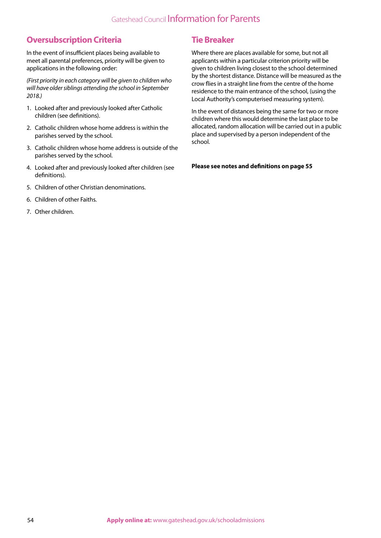## Gateshead Council Information for Parents

#### **Oversubscription Criteria**

In the event of insufficient places being available to meet all parental preferences, priority will be given to applications in the following order:

*(First priority in each category will be given to children who will have older siblings attending the school in September 2018.)*

- 1. Looked after and previously looked after Catholic children (see definitions).
- 2. Catholic children whose home address is within the parishes served by the school.
- 3. Catholic children whose home address is outside of the parishes served by the school.
- 4. Looked after and previously looked after children (see definitions).
- 5. Children of other Christian denominations.
- 6. Children of other Faiths.
- 7. Other children.

#### **Tie Breaker**

Where there are places available for some, but not all applicants within a particular criterion priority will be given to children living closest to the school determined by the shortest distance. Distance will be measured as the crow flies in a straight line from the centre of the home residence to the main entrance of the school, (using the Local Authority's computerised measuring system).

In the event of distances being the same for two or more children where this would determine the last place to be allocated, random allocation will be carried out in a public place and supervised by a person independent of the school.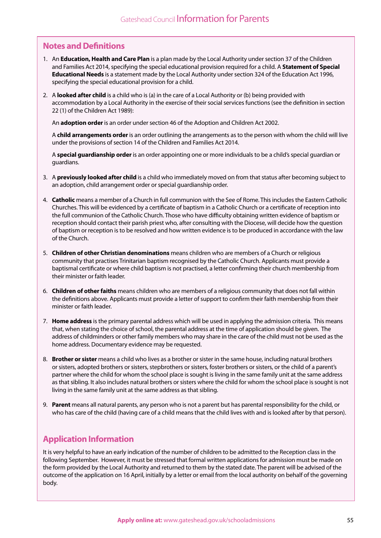#### **Notes and Definitions**

- 1. An **Education, Health and Care Plan** is a plan made by the Local Authority under section 37 of the Children and Families Act 2014, specifying the special educational provision required for a child. A **Statement of Special Educational Needs** is a statement made by the Local Authority under section 324 of the Education Act 1996, specifying the special educational provision for a child.
- 2. A **looked after child** is a child who is (a) in the care of a Local Authority or (b) being provided with accommodation by a Local Authority in the exercise of their social services functions (see the definition in section 22 (1) of the Children Act 1989):

An **adoption order** is an order under section 46 of the Adoption and Children Act 2002.

A **child arrangements order** is an order outlining the arrangements as to the person with whom the child will live under the provisions of section 14 of the Children and Families Act 2014.

A **special guardianship order** is an order appointing one or more individuals to be a child's special guardian or guardians.

- 3. A **previously looked after child** is a child who immediately moved on from that status after becoming subject to an adoption, child arrangement order or special guardianship order.
- 4. **Catholic** means a member of a Church in full communion with the See of Rome. This includes the Eastern Catholic Churches. This will be evidenced by a certificate of baptism in a Catholic Church or a certificate of reception into the full communion of the Catholic Church. Those who have difficulty obtaining written evidence of baptism or reception should contact their parish priest who, after consulting with the Diocese, will decide how the question of baptism or reception is to be resolved and how written evidence is to be produced in accordance with the law of the Church.
- 5. **Children of other Christian denominations** means children who are members of a Church or religious community that practises Trinitarian baptism recognised by the Catholic Church. Applicants must provide a baptismal certificate or where child baptism is not practised, a letter confirming their church membership from their minister or faith leader.
- 6. **Children of other faiths** means children who are members of a religious community that does not fall within the definitions above. Applicants must provide a letter of support to confirm their faith membership from their minister or faith leader.
- 7. **Home address** is the primary parental address which will be used in applying the admission criteria. This means that, when stating the choice of school, the parental address at the time of application should be given. The address of childminders or other family members who may share in the care of the child must not be used as the home address. Documentary evidence may be requested.
- 8. **Brother or sister** means a child who lives as a brother or sister in the same house, including natural brothers or sisters, adopted brothers or sisters, stepbrothers or sisters, foster brothers or sisters, or the child of a parent's partner where the child for whom the school place is sought is living in the same family unit at the same address as that sibling. It also includes natural brothers or sisters where the child for whom the school place is sought is not living in the same family unit at the same address as that sibling.
- 9. **Parent** means all natural parents, any person who is not a parent but has parental responsibility for the child, or who has care of the child (having care of a child means that the child lives with and is looked after by that person).

#### **Application Information**

It is very helpful to have an early indication of the number of children to be admitted to the Reception class in the following September. However, it must be stressed that formal written applications for admission must be made on the form provided by the Local Authority and returned to them by the stated date. The parent will be advised of the outcome of the application on 16 April, initially by a letter or email from the local authority on behalf of the governing body.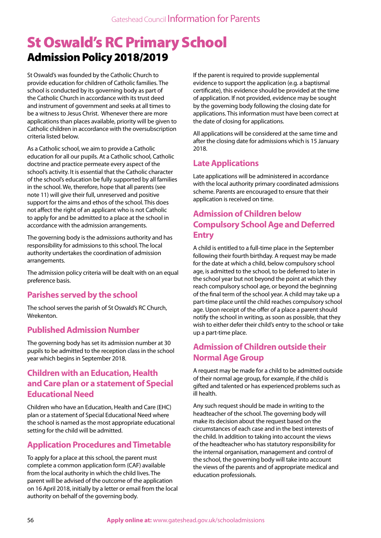# St Oswald's RC Primary School Admission Policy 2018/2019

St Oswald's was founded by the Catholic Church to provide education for children of Catholic families. The school is conducted by its governing body as part of the Catholic Church in accordance with its trust deed and instrument of government and seeks at all times to be a witness to Jesus Christ. Whenever there are more applications than places available, priority will be given to Catholic children in accordance with the oversubscription criteria listed below.

As a Catholic school, we aim to provide a Catholic education for all our pupils. At a Catholic school, Catholic doctrine and practice permeate every aspect of the school's activity. It is essential that the Catholic character of the school's education be fully supported by all families in the school. We, therefore, hope that all parents (see note 11) will give their full, unreserved and positive support for the aims and ethos of the school. This does not affect the right of an applicant who is not Catholic to apply for and be admitted to a place at the school in accordance with the admission arrangements.

The governing body is the admissions authority and has responsibility for admissions to this school. The local authority undertakes the coordination of admission arrangements.

The admission policy criteria will be dealt with on an equal preference basis.

### **Parishes served by the school**

The school serves the parish of St Oswald's RC Church, Wrekenton.

#### **Published Admission Number**

The governing body has set its admission number at 30 pupils to be admitted to the reception class in the school year which begins in September 2018.

#### **Children with an Education, Health and Care plan or a statement of Special Educational Need**

Children who have an Education, Health and Care (EHC) plan or a statement of Special Educational Need where the school is named as the most appropriate educational setting for the child will be admitted.

### **Application Procedures and Timetable**

To apply for a place at this school, the parent must complete a common application form (CAF) available from the local authority in which the child lives. The parent will be advised of the outcome of the application on 16 April 2018, initially by a letter or email from the local authority on behalf of the governing body.

If the parent is required to provide supplemental evidence to support the application (e.g. a baptismal certificate), this evidence should be provided at the time of application. If not provided, evidence may be sought by the governing body following the closing date for applications. This information must have been correct at the date of closing for applications.

All applications will be considered at the same time and after the closing date for admissions which is 15 January 2018.

### **Late Applications**

Late applications will be administered in accordance with the local authority primary coordinated admissions scheme. Parents are encouraged to ensure that their application is received on time.

## **Admission of Children below Compulsory School Age and Deferred Entry**

A child is entitled to a full-time place in the September following their fourth birthday. A request may be made for the date at which a child, below compulsory school age, is admitted to the school, to be deferred to later in the school year but not beyond the point at which they reach compulsory school age, or beyond the beginning of the final term of the school year. A child may take up a part-time place until the child reaches compulsory school age. Upon receipt of the offer of a place a parent should notify the school in writing, as soon as possible, that they wish to either defer their child's entry to the school or take up a part-time place.

### **Admission of Children outside their Normal Age Group**

A request may be made for a child to be admitted outside of their normal age group, for example, if the child is gifted and talented or has experienced problems such as ill health.

Any such request should be made in writing to the headteacher of the school. The governing body will make its decision about the request based on the circumstances of each case and in the best interests of the child. In addition to taking into account the views of the headteacher who has statutory responsibility for the internal organisation, management and control of the school, the governing body will take into account the views of the parents and of appropriate medical and education professionals.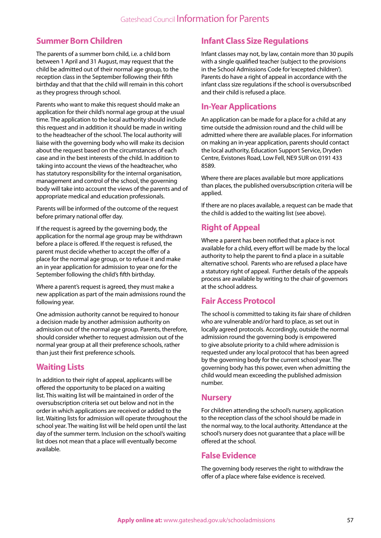#### **Summer Born Children**

The parents of a summer born child, i.e. a child born between 1 April and 31 August, may request that the child be admitted out of their normal age group, to the reception class in the September following their fifth birthday and that that the child will remain in this cohort as they progress through school.

Parents who want to make this request should make an application for their child's normal age group at the usual time. The application to the local authority should include this request and in addition it should be made in writing to the headteacher of the school. The local authority will liaise with the governing body who will make its decision about the request based on the circumstances of each case and in the best interests of the child. In addition to taking into account the views of the headteacher, who has statutory responsibility for the internal organisation, management and control of the school, the governing body will take into account the views of the parents and of appropriate medical and education professionals.

Parents will be informed of the outcome of the request before primary national offer day.

If the request is agreed by the governing body, the application for the normal age group may be withdrawn before a place is offered. If the request is refused, the parent must decide whether to accept the offer of a place for the normal age group, or to refuse it and make an in year application for admission to year one for the September following the child's fifth birthday.

Where a parent's request is agreed, they must make a new application as part of the main admissions round the following year.

One admission authority cannot be required to honour a decision made by another admission authority on admission out of the normal age group. Parents, therefore, should consider whether to request admission out of the normal year group at all their preference schools, rather than just their first preference schools.

#### **Waiting Lists**

In addition to their right of appeal, applicants will be offered the opportunity to be placed on a waiting list. This waiting list will be maintained in order of the oversubscription criteria set out below and not in the order in which applications are received or added to the list. Waiting lists for admission will operate throughout the school year. The waiting list will be held open until the last day of the summer term. Inclusion on the school's waiting list does not mean that a place will eventually become available.

### **Infant Class Size Regulations**

Infant classes may not, by law, contain more than 30 pupils with a single qualified teacher (subject to the provisions in the School Admissions Code for 'excepted children'). Parents do have a right of appeal in accordance with the infant class size regulations if the school is oversubscribed and their child is refused a place.

#### **In-Year Applications**

An application can be made for a place for a child at any time outside the admission round and the child will be admitted where there are available places. For information on making an in-year application, parents should contact the local authority, Education Support Service, Dryden Centre, Evistones Road, Low Fell, NE9 5UR on 0191 433 8589.

Where there are places available but more applications than places, the published oversubscription criteria will be applied.

If there are no places available, a request can be made that the child is added to the waiting list (see above).

#### **Right of Appeal**

Where a parent has been notified that a place is not available for a child, every effort will be made by the local authority to help the parent to find a place in a suitable alternative school. Parents who are refused a place have a statutory right of appeal. Further details of the appeals process are available by writing to the chair of governors at the school address.

#### **Fair Access Protocol**

The school is committed to taking its fair share of children who are vulnerable and/or hard to place, as set out in locally agreed protocols. Accordingly, outside the normal admission round the governing body is empowered to give absolute priority to a child where admission is requested under any local protocol that has been agreed by the governing body for the current school year. The governing body has this power, even when admitting the child would mean exceeding the published admission number.

#### **Nursery**

For children attending the school's nursery, application to the reception class of the school should be made in the normal way, to the local authority. Attendance at the school's nursery does not guarantee that a place will be offered at the school.

#### **False Evidence**

The governing body reserves the right to withdraw the offer of a place where false evidence is received.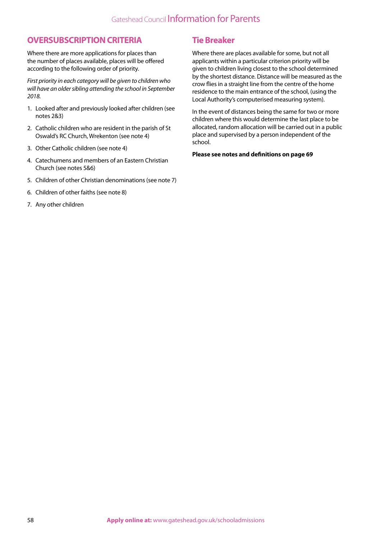#### **OVERSUBSCRIPTION CRITERIA**

Where there are more applications for places than the number of places available, places will be offered according to the following order of priority.

*First priority in each category will be given to children who will have an older sibling attending the school in September 2018.*

- 1. Looked after and previously looked after children (see notes 2&3)
- 2. Catholic children who are resident in the parish of St Oswald's RC Church, Wrekenton (see note 4)
- 3. Other Catholic children (see note 4)
- 4. Catechumens and members of an Eastern Christian Church (see notes 5&6)
- 5. Children of other Christian denominations (see note 7)
- 6. Children of other faiths (see note 8)
- 7. Any other children

#### **Tie Breaker**

Where there are places available for some, but not all applicants within a particular criterion priority will be given to children living closest to the school determined by the shortest distance. Distance will be measured as the crow flies in a straight line from the centre of the home residence to the main entrance of the school, (using the Local Authority's computerised measuring system).

In the event of distances being the same for two or more children where this would determine the last place to be allocated, random allocation will be carried out in a public place and supervised by a person independent of the school.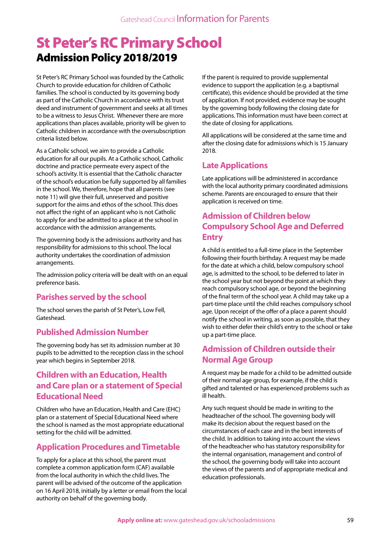## St Peter's RC Primary School Admission Policy 2018/2019

St Peter's RC Primary School was founded by the Catholic Church to provide education for children of Catholic families. The school is conducted by its governing body as part of the Catholic Church in accordance with its trust deed and instrument of government and seeks at all times to be a witness to Jesus Christ. Whenever there are more applications than places available, priority will be given to Catholic children in accordance with the oversubscription criteria listed below.

As a Catholic school, we aim to provide a Catholic education for all our pupils. At a Catholic school, Catholic doctrine and practice permeate every aspect of the school's activity. It is essential that the Catholic character of the school's education be fully supported by all families in the school. We, therefore, hope that all parents (see note 11) will give their full, unreserved and positive support for the aims and ethos of the school. This does not affect the right of an applicant who is not Catholic to apply for and be admitted to a place at the school in accordance with the admission arrangements.

The governing body is the admissions authority and has responsibility for admissions to this school. The local authority undertakes the coordination of admission arrangements.

The admission policy criteria will be dealt with on an equal preference basis.

### **Parishes served by the school**

The school serves the parish of St Peter's, Low Fell, Gateshead.

#### **Published Admission Number**

The governing body has set its admission number at 30 pupils to be admitted to the reception class in the school year which begins in September 2018.

#### **Children with an Education, Health and Care plan or a statement of Special Educational Need**

Children who have an Education, Health and Care (EHC) plan or a statement of Special Educational Need where the school is named as the most appropriate educational setting for the child will be admitted.

#### **Application Procedures and Timetable**

To apply for a place at this school, the parent must complete a common application form (CAF) available from the local authority in which the child lives. The parent will be advised of the outcome of the application on 16 April 2018, initially by a letter or email from the local authority on behalf of the governing body.

If the parent is required to provide supplemental evidence to support the application (e.g. a baptismal certificate), this evidence should be provided at the time of application. If not provided, evidence may be sought by the governing body following the closing date for applications. This information must have been correct at the date of closing for applications.

All applications will be considered at the same time and after the closing date for admissions which is 15 January 2018.

## **Late Applications**

Late applications will be administered in accordance with the local authority primary coordinated admissions scheme. Parents are encouraged to ensure that their application is received on time.

## **Admission of Children below Compulsory School Age and Deferred Entry**

A child is entitled to a full-time place in the September following their fourth birthday. A request may be made for the date at which a child, below compulsory school age, is admitted to the school, to be deferred to later in the school year but not beyond the point at which they reach compulsory school age, or beyond the beginning of the final term of the school year. A child may take up a part-time place until the child reaches compulsory school age. Upon receipt of the offer of a place a parent should notify the school in writing, as soon as possible, that they wish to either defer their child's entry to the school or take up a part-time place.

## **Admission of Children outside their Normal Age Group**

A request may be made for a child to be admitted outside of their normal age group, for example, if the child is gifted and talented or has experienced problems such as ill health.

Any such request should be made in writing to the headteacher of the school. The governing body will make its decision about the request based on the circumstances of each case and in the best interests of the child. In addition to taking into account the views of the headteacher who has statutory responsibility for the internal organisation, management and control of the school, the governing body will take into account the views of the parents and of appropriate medical and education professionals.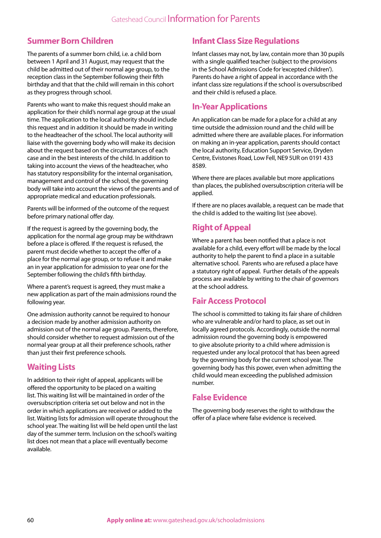### **Summer Born Children**

The parents of a summer born child, i.e. a child born between 1 April and 31 August, may request that the child be admitted out of their normal age group, to the reception class in the September following their fifth birthday and that that the child will remain in this cohort as they progress through school.

Parents who want to make this request should make an application for their child's normal age group at the usual time. The application to the local authority should include this request and in addition it should be made in writing to the headteacher of the school. The local authority will liaise with the governing body who will make its decision about the request based on the circumstances of each case and in the best interests of the child. In addition to taking into account the views of the headteacher, who has statutory responsibility for the internal organisation, management and control of the school, the governing body will take into account the views of the parents and of appropriate medical and education professionals.

Parents will be informed of the outcome of the request before primary national offer day.

If the request is agreed by the governing body, the application for the normal age group may be withdrawn before a place is offered. If the request is refused, the parent must decide whether to accept the offer of a place for the normal age group, or to refuse it and make an in year application for admission to year one for the September following the child's fifth birthday.

Where a parent's request is agreed, they must make a new application as part of the main admissions round the following year.

One admission authority cannot be required to honour a decision made by another admission authority on admission out of the normal age group. Parents, therefore, should consider whether to request admission out of the normal year group at all their preference schools, rather than just their first preference schools.

### **Waiting Lists**

In addition to their right of appeal, applicants will be offered the opportunity to be placed on a waiting list. This waiting list will be maintained in order of the oversubscription criteria set out below and not in the order in which applications are received or added to the list. Waiting lists for admission will operate throughout the school year. The waiting list will be held open until the last day of the summer term. Inclusion on the school's waiting list does not mean that a place will eventually become available.

## **Infant Class Size Regulations**

Infant classes may not, by law, contain more than 30 pupils with a single qualified teacher (subject to the provisions in the School Admissions Code for 'excepted children'). Parents do have a right of appeal in accordance with the infant class size regulations if the school is oversubscribed and their child is refused a place.

#### **In-Year Applications**

An application can be made for a place for a child at any time outside the admission round and the child will be admitted where there are available places. For information on making an in-year application, parents should contact the local authority, Education Support Service, Dryden Centre, Evistones Road, Low Fell, NE9 5UR on 0191 433 8589.

Where there are places available but more applications than places, the published oversubscription criteria will be applied.

If there are no places available, a request can be made that the child is added to the waiting list (see above).

## **Right of Appeal**

Where a parent has been notified that a place is not available for a child, every effort will be made by the local authority to help the parent to find a place in a suitable alternative school. Parents who are refused a place have a statutory right of appeal. Further details of the appeals process are available by writing to the chair of governors at the school address.

### **Fair Access Protocol**

The school is committed to taking its fair share of children who are vulnerable and/or hard to place, as set out in locally agreed protocols. Accordingly, outside the normal admission round the governing body is empowered to give absolute priority to a child where admission is requested under any local protocol that has been agreed by the governing body for the current school year. The governing body has this power, even when admitting the child would mean exceeding the published admission number.

### **False Evidence**

The governing body reserves the right to withdraw the offer of a place where false evidence is received.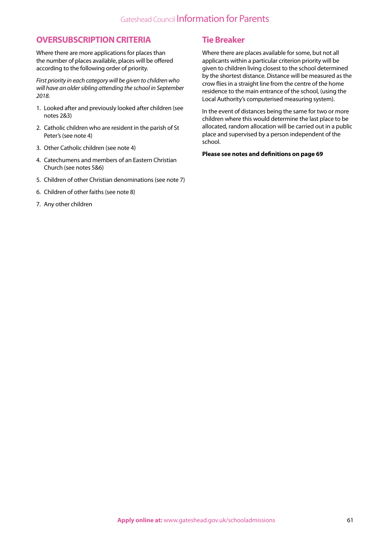#### **OVERSUBSCRIPTION CRITERIA**

Where there are more applications for places than the number of places available, places will be offered according to the following order of priority.

*First priority in each category will be given to children who will have an older sibling attending the school in September 2018.*

- 1. Looked after and previously looked after children (see notes 2&3)
- 2. Catholic children who are resident in the parish of St Peter's (see note 4)
- 3. Other Catholic children (see note 4)
- 4. Catechumens and members of an Eastern Christian Church (see notes 5&6)
- 5. Children of other Christian denominations (see note 7)
- 6. Children of other faiths (see note 8)
- 7. Any other children

#### **Tie Breaker**

Where there are places available for some, but not all applicants within a particular criterion priority will be given to children living closest to the school determined by the shortest distance. Distance will be measured as the crow flies in a straight line from the centre of the home residence to the main entrance of the school, (using the Local Authority's computerised measuring system).

In the event of distances being the same for two or more children where this would determine the last place to be allocated, random allocation will be carried out in a public place and supervised by a person independent of the school.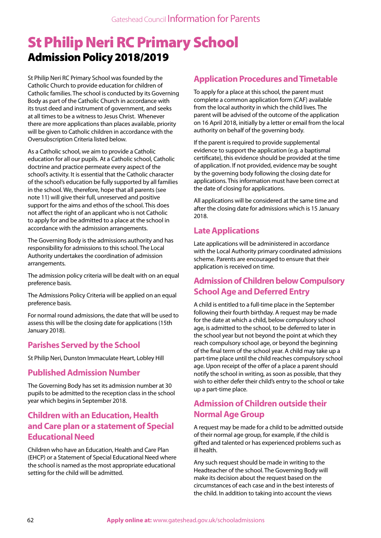## St Philip Neri RC Primary School Admission Policy 2018/2019

St Philip Neri RC Primary School was founded by the Catholic Church to provide education for children of Catholic families. The school is conducted by its Governing Body as part of the Catholic Church in accordance with its trust deed and instrument of government, and seeks at all times to be a witness to Jesus Christ. Whenever there are more applications than places available, priority will be given to Catholic children in accordance with the Oversubscription Criteria listed below.

As a Catholic school, we aim to provide a Catholic education for all our pupils. At a Catholic school, Catholic doctrine and practice permeate every aspect of the school's activity. It is essential that the Catholic character of the school's education be fully supported by all families in the school. We, therefore, hope that all parents (see note 11) will give their full, unreserved and positive support for the aims and ethos of the school. This does not affect the right of an applicant who is not Catholic to apply for and be admitted to a place at the school in accordance with the admission arrangements.

The Governing Body is the admissions authority and has responsibility for admissions to this school. The Local Authority undertakes the coordination of admission arrangements.

The admission policy criteria will be dealt with on an equal preference basis.

The Admissions Policy Criteria will be applied on an equal preference basis.

For normal round admissions, the date that will be used to assess this will be the closing date for applications (15th January 2018).

#### **Parishes Served by the School**

St Philip Neri, Dunston Immaculate Heart, Lobley Hill

#### **Published Admission Number**

The Governing Body has set its admission number at 30 pupils to be admitted to the reception class in the school year which begins in September 2018.

### **Children with an Education, Health and Care plan or a statement of Special Educational Need**

Children who have an Education, Health and Care Plan (EHCP) or a Statement of Special Educational Need where the school is named as the most appropriate educational setting for the child will be admitted.

#### **Application Procedures and Timetable**

To apply for a place at this school, the parent must complete a common application form (CAF) available from the local authority in which the child lives. The parent will be advised of the outcome of the application on 16 April 2018, initially by a letter or email from the local authority on behalf of the governing body.

If the parent is required to provide supplemental evidence to support the application (e.g. a baptismal certificate), this evidence should be provided at the time of application. If not provided, evidence may be sought by the governing body following the closing date for applications. This information must have been correct at the date of closing for applications.

All applications will be considered at the same time and after the closing date for admissions which is 15 January 2018.

#### **Late Applications**

Late applications will be administered in accordance with the Local Authority primary coordinated admissions scheme. Parents are encouraged to ensure that their application is received on time.

#### **Admission of Children below Compulsory School Age and Deferred Entry**

A child is entitled to a full-time place in the September following their fourth birthday. A request may be made for the date at which a child, below compulsory school age, is admitted to the school, to be deferred to later in the school year but not beyond the point at which they reach compulsory school age, or beyond the beginning of the final term of the school year. A child may take up a part-time place until the child reaches compulsory school age. Upon receipt of the offer of a place a parent should notify the school in writing, as soon as possible, that they wish to either defer their child's entry to the school or take up a part-time place.

### **Admission of Children outside their Normal Age Group**

A request may be made for a child to be admitted outside of their normal age group, for example, if the child is gifted and talented or has experienced problems such as ill health.

Any such request should be made in writing to the Headteacher of the school. The Governing Body will make its decision about the request based on the circumstances of each case and in the best interests of the child. In addition to taking into account the views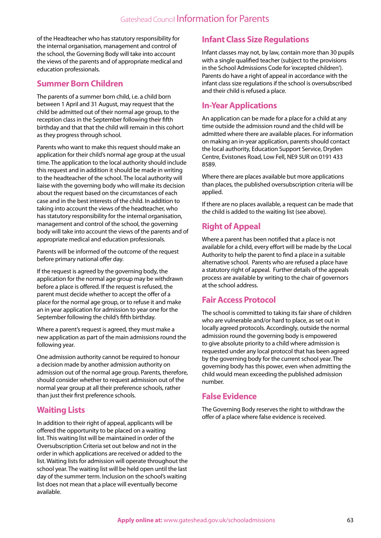of the Headteacher who has statutory responsibility for the internal organisation, management and control of the school, the Governing Body will take into account the views of the parents and of appropriate medical and education professionals.

#### **Summer Born Children**

The parents of a summer born child, i.e. a child born between 1 April and 31 August, may request that the child be admitted out of their normal age group, to the reception class in the September following their fifth birthday and that that the child will remain in this cohort as they progress through school.

Parents who want to make this request should make an application for their child's normal age group at the usual time. The application to the local authority should include this request and in addition it should be made in writing to the headteacher of the school. The local authority will liaise with the governing body who will make its decision about the request based on the circumstances of each case and in the best interests of the child. In addition to taking into account the views of the headteacher, who has statutory responsibility for the internal organisation, management and control of the school, the governing body will take into account the views of the parents and of appropriate medical and education professionals.

Parents will be informed of the outcome of the request before primary national offer day.

If the request is agreed by the governing body, the application for the normal age group may be withdrawn before a place is offered. If the request is refused, the parent must decide whether to accept the offer of a place for the normal age group, or to refuse it and make an in year application for admission to year one for the September following the child's fifth birthday.

Where a parent's request is agreed, they must make a new application as part of the main admissions round the following year.

One admission authority cannot be required to honour a decision made by another admission authority on admission out of the normal age group. Parents, therefore, should consider whether to request admission out of the normal year group at all their preference schools, rather than just their first preference schools.

#### **Waiting Lists**

In addition to their right of appeal, applicants will be offered the opportunity to be placed on a waiting list. This waiting list will be maintained in order of the Oversubscription Criteria set out below and not in the order in which applications are received or added to the list. Waiting lists for admission will operate throughout the school year. The waiting list will be held open until the last day of the summer term. Inclusion on the school's waiting list does not mean that a place will eventually become available.

#### **Infant Class Size Regulations**

Infant classes may not, by law, contain more than 30 pupils with a single qualified teacher (subject to the provisions in the School Admissions Code for 'excepted children'). Parents do have a right of appeal in accordance with the infant class size regulations if the school is oversubscribed and their child is refused a place.

#### **In-Year Applications**

An application can be made for a place for a child at any time outside the admission round and the child will be admitted where there are available places. For information on making an in-year application, parents should contact the local authority, Education Support Service, Dryden Centre, Evistones Road, Low Fell, NE9 5UR on 0191 433 8589.

Where there are places available but more applications than places, the published oversubscription criteria will be applied.

If there are no places available, a request can be made that the child is added to the waiting list (see above).

## **Right of Appeal**

Where a parent has been notified that a place is not available for a child, every effort will be made by the Local Authority to help the parent to find a place in a suitable alternative school. Parents who are refused a place have a statutory right of appeal. Further details of the appeals process are available by writing to the chair of governors at the school address.

### **Fair Access Protocol**

The school is committed to taking its fair share of children who are vulnerable and/or hard to place, as set out in locally agreed protocols. Accordingly, outside the normal admission round the governing body is empowered to give absolute priority to a child where admission is requested under any local protocol that has been agreed by the governing body for the current school year. The governing body has this power, even when admitting the child would mean exceeding the published admission number.

#### **False Evidence**

The Governing Body reserves the right to withdraw the offer of a place where false evidence is received.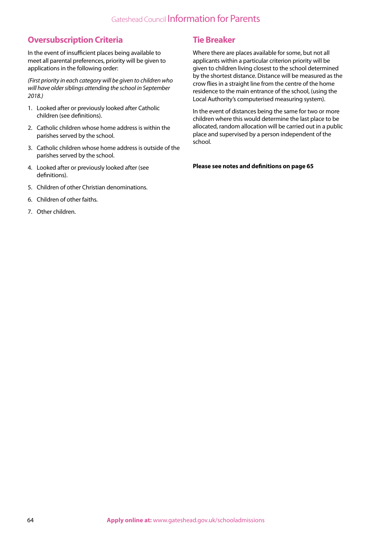## Gateshead Council Information for Parents

#### **Oversubscription Criteria**

In the event of insufficient places being available to meet all parental preferences, priority will be given to applications in the following order:

*(First priority in each category will be given to children who will have older siblings attending the school in September 2018.)*

- 1. Looked after or previously looked after Catholic children (see definitions).
- 2. Catholic children whose home address is within the parishes served by the school.
- 3. Catholic children whose home address is outside of the parishes served by the school.
- 4. Looked after or previously looked after (see definitions).
- 5. Children of other Christian denominations.
- 6. Children of other faiths.
- 7. Other children.

#### **Tie Breaker**

Where there are places available for some, but not all applicants within a particular criterion priority will be given to children living closest to the school determined by the shortest distance. Distance will be measured as the crow flies in a straight line from the centre of the home residence to the main entrance of the school, (using the Local Authority's computerised measuring system).

In the event of distances being the same for two or more children where this would determine the last place to be allocated, random allocation will be carried out in a public place and supervised by a person independent of the school.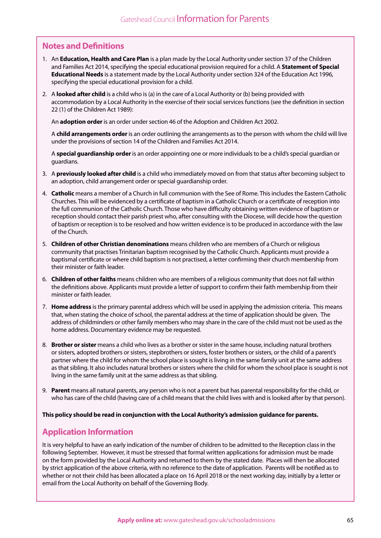#### **Notes and Definitions**

- 1. An **Education, Health and Care Plan** is a plan made by the Local Authority under section 37 of the Children and Families Act 2014, specifying the special educational provision required for a child. A **Statement of Special Educational Needs** is a statement made by the Local Authority under section 324 of the Education Act 1996, specifying the special educational provision for a child.
- 2. A **looked after child** is a child who is (a) in the care of a Local Authority or (b) being provided with accommodation by a Local Authority in the exercise of their social services functions (see the definition in section 22 (1) of the Children Act 1989):

An **adoption order** is an order under section 46 of the Adoption and Children Act 2002.

A **child arrangements order** is an order outlining the arrangements as to the person with whom the child will live under the provisions of section 14 of the Children and Families Act 2014.

A **special guardianship order** is an order appointing one or more individuals to be a child's special guardian or guardians.

- 3. A **previously looked after child** is a child who immediately moved on from that status after becoming subject to an adoption, child arrangement order or special guardianship order.
- 4. **Catholic** means a member of a Church in full communion with the See of Rome. This includes the Eastern Catholic Churches. This will be evidenced by a certificate of baptism in a Catholic Church or a certificate of reception into the full communion of the Catholic Church. Those who have difficulty obtaining written evidence of baptism or reception should contact their parish priest who, after consulting with the Diocese, will decide how the question of baptism or reception is to be resolved and how written evidence is to be produced in accordance with the law of the Church.
- 5. **Children of other Christian denominations** means children who are members of a Church or religious community that practises Trinitarian baptism recognised by the Catholic Church. Applicants must provide a baptismal certificate or where child baptism is not practised, a letter confirming their church membership from their minister or faith leader.
- 6. **Children of other faiths** means children who are members of a religious community that does not fall within the definitions above. Applicants must provide a letter of support to confirm their faith membership from their minister or faith leader.
- 7. **Home address** is the primary parental address which will be used in applying the admission criteria. This means that, when stating the choice of school, the parental address at the time of application should be given. The address of childminders or other family members who may share in the care of the child must not be used as the home address. Documentary evidence may be requested.
- 8. **Brother or sister** means a child who lives as a brother or sister in the same house, including natural brothers or sisters, adopted brothers or sisters, stepbrothers or sisters, foster brothers or sisters, or the child of a parent's partner where the child for whom the school place is sought is living in the same family unit at the same address as that sibling. It also includes natural brothers or sisters where the child for whom the school place is sought is not living in the same family unit at the same address as that sibling.
- 9. **Parent** means all natural parents, any person who is not a parent but has parental responsibility for the child, or who has care of the child (having care of a child means that the child lives with and is looked after by that person).

**This policy should be read in conjunction with the Local Authority's admission guidance for parents.**

#### **Application Information**

It is very helpful to have an early indication of the number of children to be admitted to the Reception class in the following September. However, it must be stressed that formal written applications for admission must be made on the form provided by the Local Authority and returned to them by the stated date. Places will then be allocated by strict application of the above criteria, with no reference to the date of application. Parents will be notified as to whether or not their child has been allocated a place on 16 April 2018 or the next working day, initially by a letter or email from the Local Authority on behalf of the Governing Body.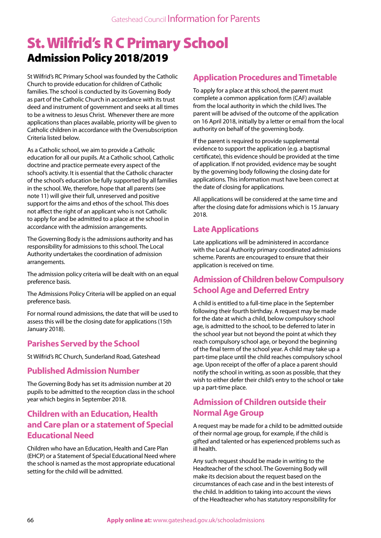## St. Wilfrid's R C Primary School Admission Policy 2018/2019

St Wilfrid's RC Primary School was founded by the Catholic Church to provide education for children of Catholic families. The school is conducted by its Governing Body as part of the Catholic Church in accordance with its trust deed and instrument of government and seeks at all times to be a witness to Jesus Christ. Whenever there are more applications than places available, priority will be given to Catholic children in accordance with the Oversubscription Criteria listed below.

As a Catholic school, we aim to provide a Catholic education for all our pupils. At a Catholic school, Catholic doctrine and practice permeate every aspect of the school's activity. It is essential that the Catholic character of the school's education be fully supported by all families in the school. We, therefore, hope that all parents (see note 11) will give their full, unreserved and positive support for the aims and ethos of the school. This does not affect the right of an applicant who is not Catholic to apply for and be admitted to a place at the school in accordance with the admission arrangements.

The Governing Body is the admissions authority and has responsibility for admissions to this school. The Local Authority undertakes the coordination of admission arrangements.

The admission policy criteria will be dealt with on an equal preference basis.

The Admissions Policy Criteria will be applied on an equal preference basis.

For normal round admissions, the date that will be used to assess this will be the closing date for applications (15th January 2018).

### **Parishes Served by the School**

St Wilfrid's RC Church, Sunderland Road, Gateshead

#### **Published Admission Number**

The Governing Body has set its admission number at 20 pupils to be admitted to the reception class in the school year which begins in September 2018.

#### **Children with an Education, Health and Care plan or a statement of Special Educational Need**

Children who have an Education, Health and Care Plan (EHCP) or a Statement of Special Educational Need where the school is named as the most appropriate educational setting for the child will be admitted.

#### **Application Procedures and Timetable**

To apply for a place at this school, the parent must complete a common application form (CAF) available from the local authority in which the child lives. The parent will be advised of the outcome of the application on 16 April 2018, initially by a letter or email from the local authority on behalf of the governing body.

If the parent is required to provide supplemental evidence to support the application (e.g. a baptismal certificate), this evidence should be provided at the time of application. If not provided, evidence may be sought by the governing body following the closing date for applications. This information must have been correct at the date of closing for applications.

All applications will be considered at the same time and after the closing date for admissions which is 15 January 2018.

#### **Late Applications**

Late applications will be administered in accordance with the Local Authority primary coordinated admissions scheme. Parents are encouraged to ensure that their application is received on time.

#### **Admission of Children below Compulsory School Age and Deferred Entry**

A child is entitled to a full-time place in the September following their fourth birthday. A request may be made for the date at which a child, below compulsory school age, is admitted to the school, to be deferred to later in the school year but not beyond the point at which they reach compulsory school age, or beyond the beginning of the final term of the school year. A child may take up a part-time place until the child reaches compulsory school age. Upon receipt of the offer of a place a parent should notify the school in writing, as soon as possible, that they wish to either defer their child's entry to the school or take up a part-time place.

### **Admission of Children outside their Normal Age Group**

A request may be made for a child to be admitted outside of their normal age group, for example, if the child is gifted and talented or has experienced problems such as ill health.

Any such request should be made in writing to the Headteacher of the school. The Governing Body will make its decision about the request based on the circumstances of each case and in the best interests of the child. In addition to taking into account the views of the Headteacher who has statutory responsibility for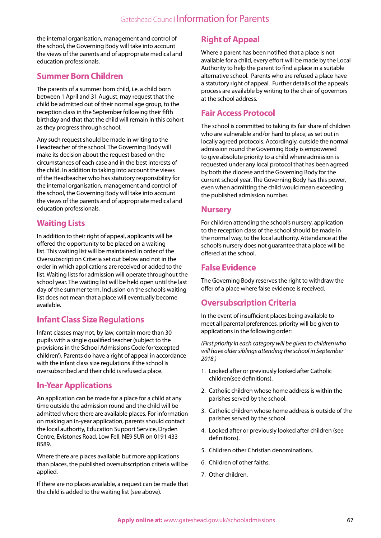the internal organisation, management and control of the school, the Governing Body will take into account the views of the parents and of appropriate medical and education professionals.

#### **Summer Born Children**

The parents of a summer born child, i.e. a child born between 1 April and 31 August, may request that the child be admitted out of their normal age group, to the reception class in the September following their fifth birthday and that that the child will remain in this cohort as they progress through school.

Any such request should be made in writing to the Headteacher of the school. The Governing Body will make its decision about the request based on the circumstances of each case and in the best interests of the child. In addition to taking into account the views of the Headteacher who has statutory responsibility for the internal organisation, management and control of the school, the Governing Body will take into account the views of the parents and of appropriate medical and education professionals.

### **Waiting Lists**

In addition to their right of appeal, applicants will be offered the opportunity to be placed on a waiting list. This waiting list will be maintained in order of the Oversubscription Criteria set out below and not in the order in which applications are received or added to the list. Waiting lists for admission will operate throughout the school year. The waiting list will be held open until the last day of the summer term. Inclusion on the school's waiting list does not mean that a place will eventually become available.

### **Infant Class Size Regulations**

Infant classes may not, by law, contain more than 30 pupils with a single qualified teacher (subject to the provisions in the School Admissions Code for 'excepted children'). Parents do have a right of appeal in accordance with the infant class size regulations if the school is oversubscribed and their child is refused a place.

#### **In-Year Applications**

An application can be made for a place for a child at any time outside the admission round and the child will be admitted where there are available places. For information on making an in-year application, parents should contact the local authority, Education Support Service, Dryden Centre, Evistones Road, Low Fell, NE9 5UR on 0191 433 8589.

Where there are places available but more applications than places, the published oversubscription criteria will be applied.

If there are no places available, a request can be made that the child is added to the waiting list (see above).

## **Right of Appeal**

Where a parent has been notified that a place is not available for a child, every effort will be made by the Local Authority to help the parent to find a place in a suitable alternative school. Parents who are refused a place have a statutory right of appeal. Further details of the appeals process are available by writing to the chair of governors at the school address.

#### **Fair Access Protocol**

The school is committed to taking its fair share of children who are vulnerable and/or hard to place, as set out in locally agreed protocols. Accordingly, outside the normal admission round the Governing Body is empowered to give absolute priority to a child where admission is requested under any local protocol that has been agreed by both the diocese and the Governing Body for the current school year. The Governing Body has this power, even when admitting the child would mean exceeding the published admission number.

#### **Nursery**

For children attending the school's nursery, application to the reception class of the school should be made in the normal way, to the local authority. Attendance at the school's nursery does not guarantee that a place will be offered at the school.

#### **False Evidence**

The Governing Body reserves the right to withdraw the offer of a place where false evidence is received.

### **Oversubscription Criteria**

In the event of insufficient places being available to meet all parental preferences, priority will be given to applications in the following order:

*(First priority in each category will be given to children who will have older siblings attending the school in September 2018.)*

- 1. Looked after or previously looked after Catholic children(see definitions).
- 2. Catholic children whose home address is within the parishes served by the school.
- 3. Catholic children whose home address is outside of the parishes served by the school.
- 4. Looked after or previously looked after children (see definitions).
- 5. Children other Christian denominations.
- 6. Children of other faiths.
- 7. Other children.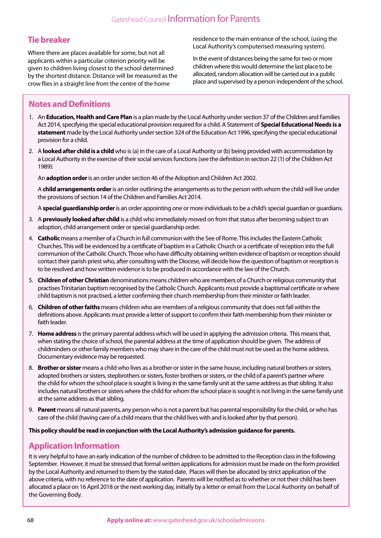#### **Tie breaker**

Where there are places available for some, but not all applicants within a particular criterion priority will be given to children living closest to the school determined by the shortest distance. Distance will be measured as the crow flies in a straight line from the centre of the home

residence to the main entrance of the school, (using the Local Authority's computerised measuring system).

In the event of distances being the same for two or more children where this would determine the last place to be allocated, random allocation will be carried out in a public place and supervised by a person independent of the school.

## **Notes and Definitions**

- 1. An **Education, Health and Care Plan** is a plan made by the Local Authority under section 37 of the Children and Families Act 2014, specifying the special educational provision required for a child. A Statement of **Special Educational Needs is a statement** made by the Local Authority under section 324 of the Education Act 1996, specifying the special educational provision for a child.
- 2. A **looked after child is a child** who is (a) in the care of a Local Authority or (b) being provided with accommodation by a Local Authority in the exercise of their social services functions (see the definition in section 22 (1) of the Children Act 1989):

An **adoption order** is an order under section 46 of the Adoption and Children Act 2002.

A **child arrangements order** is an order outlining the arrangements as to the person with whom the child will live under the provisions of section 14 of the Children and Families Act 2014.

A **special guardianship order** is an order appointing one or more individuals to be a child's special guardian or guardians.

- 3. A **previously looked after child** is a child who immediately moved on from that status after becoming subject to an adoption, child arrangement order or special guardianship order.
- 4. **Catholic** means a member of a Church in full communion with the See of Rome. This includes the Eastern Catholic Churches. This will be evidenced by a certificate of baptism in a Catholic Church or a certificate of reception into the full communion of the Catholic Church. Those who have difficulty obtaining written evidence of baptism or reception should contact their parish priest who, after consulting with the Diocese, will decide how the question of baptism or reception is to be resolved and how written evidence is to be produced in accordance with the law of the Church.
- 5. **Children of other Christian** denominations means children who are members of a Church or religious community that practises Trinitarian baptism recognised by the Catholic Church. Applicants must provide a baptismal certificate or where child baptism is not practised, a letter confirming their church membership from their minister or faith leader.
- 6. **Children of other faiths** means children who are members of a religious community that does not fall within the definitions above. Applicants must provide a letter of support to confirm their faith membership from their minister or faith leader.
- 7. **Home address** is the primary parental address which will be used in applying the admission criteria. This means that, when stating the choice of school, the parental address at the time of application should be given. The address of childminders or other family members who may share in the care of the child must not be used as the home address. Documentary evidence may be requested.
- 8. **Brother or sister** means a child who lives as a brother or sister in the same house, including natural brothers or sisters, adopted brothers or sisters, stepbrothers or sisters, foster brothers or sisters, or the child of a parent's partner where the child for whom the school place is sought is living in the same family unit at the same address as that sibling. It also includes natural brothers or sisters where the child for whom the school place is sought is not living in the same family unit at the same address as that sibling.
- 9. **Parent** means all natural parents, any person who is not a parent but has parental responsibility for the child, or who has care of the child (having care of a child means that the child lives with and is looked after by that person).

**This policy should be read in conjunction with the Local Authority's admission guidance for parents.**

### **Application Information**

It is very helpful to have an early indication of the number of children to be admitted to the Reception class in the following September. However, it must be stressed that formal written applications for admission must be made on the form provided by the Local Authority and returned to them by the stated date. Places will then be allocated by strict application of the above criteria, with no reference to the date of application. Parents will be notified as to whether or not their child has been allocated a place on 16 April 2018 or the next working day, initially by a letter or email from the Local Authority on behalf of the Governing Body.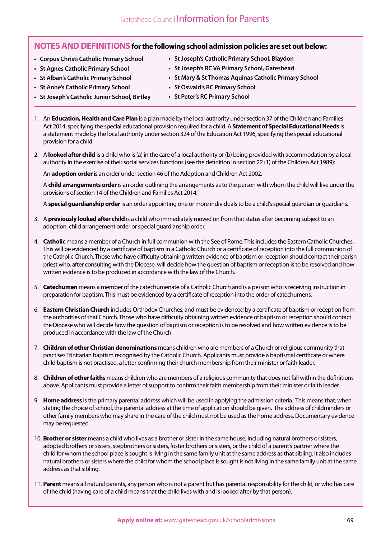#### **NOTES AND DEFINITIONSfor the following school admission policies are set out below:**

- **Corpus Christi Catholic Primary School**
- **St Agnes Catholic Primary School**
- **St Alban's Catholic Primary School**
- **St Anne's Catholic Primary School**
- **St Joseph's Catholic Primary School, Blaydon**
- **St Joseph's RC VA Primary School, Gateshead**
- **St Mary & St Thomas Aquinas Catholic Primary School**
- **St Oswald's RC Primary School**
- **St Joseph's Catholic Junior School, Birtley**
- **St Peter's RC Primary School**
- 1. An **Education, Health and Care Plan** is a plan made by the local authority under section 37 of the Children and Families Act 2014, specifying the special educational provision required for a child. A **Statement of Special Educational Needs** is a statement made by the local authority under section 324 of the Education Act 1996, specifying the special educational provision for a child.
- 2. A **looked after child** is a child who is (a) in the care of a local authority or (b) being provided with accommodation by a local authority in the exercise of their social services functions (see the definition in section 22 (1) of the Children Act 1989):

An **adoption order** is an order under section 46 of the Adoption and Children Act 2002.

A **child arrangements order** is an order outlining the arrangements as to the person with whom the child will live under the provisions of section 14 of the Children and Families Act 2014.

A **special guardianship order** is an order appointing one or more individuals to be a child's special guardian or guardians.

- 3. A **previously looked after child** is a child who immediately moved on from that status after becoming subject to an adoption, child arrangement order or special guardianship order.
- 4. **Catholic** means a member of a Church in full communion with the See of Rome. This includes the Eastern Catholic Churches. This will be evidenced by a certificate of baptism in a Catholic Church or a certificate of reception into the full communion of the Catholic Church. Those who have difficulty obtaining written evidence of baptism or reception should contact their parish priest who, after consulting with the Diocese, will decide how the question of baptism or reception is to be resolved and how written evidence is to be produced in accordance with the law of the Church.
- 5. **Catechumen** means a member of the catechumenate of a Catholic Church and is a person who is receiving instruction in preparation for baptism. This must be evidenced by a certificate of reception into the order of catechumens.
- 6. **Eastern Christian Church** includes Orthodox Churches, and must be evidenced by a certificate of baptism or reception from the authorities of that Church. Those who have difficulty obtaining written evidence of baptism or reception should contact the Diocese who will decide how the question of baptism or reception is to be resolved and how written evidence is to be produced in accordance with the law of the Church.
- 7. **Children of other Christian denominations** means children who are members of a Church or religious community that practises Trinitarian baptism recognised by the Catholic Church. Applicants must provide a baptismal certificate or where child baptism is not practised, a letter confirming their church membership from their minister or faith leader.
- 8. **Children of other faiths** means children who are members of a religious community that does not fall within the definitions above. Applicants must provide a letter of support to confirm their faith membership from their minister or faith leader.
- 9. **Home address** is the primary parental address which will be used in applying the admission criteria. This means that, when stating the choice of school, the parental address at the time of application should be given. The address of childminders or other family members who may share in the care of the child must not be used as the home address. Documentary evidence may be requested.
- 10. **Brother or sister** means a child who lives as a brother or sister in the same house, including natural brothers or sisters, adopted brothers or sisters, stepbrothers or sisters, foster brothers or sisters, or the child of a parent's partner where the child for whom the school place is sought is living in the same family unit at the same address as that sibling. It also includes natural brothers or sisters where the child for whom the school place is sought is not living in the same family unit at the same address as that sibling.
- 11. **Parent** means all natural parents, any person who is not a parent but has parental responsibility for the child, or who has care of the child (having care of a child means that the child lives with and is looked after by that person).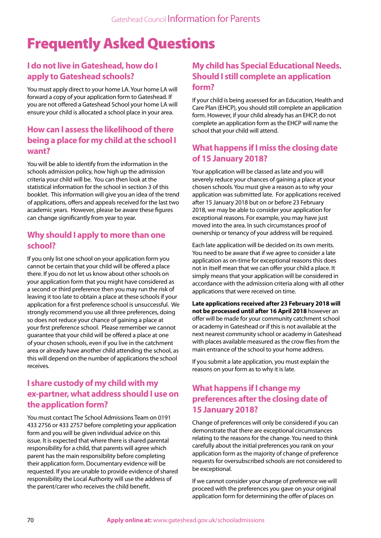# Frequently Asked Questions

## **I do not live in Gateshead, how do I apply to Gateshead schools?**

You must apply direct to your home LA. Your home LA will forward a copy of your application form to Gateshead. If you are not offered a Gateshead School your home LA will ensure your child is allocated a school place in your area.

### **How can I assess the likelihood of there being a place for my child at the school I want?**

You will be able to identify from the information in the schools admission policy, how high up the admission criteria your child will be. You can then look at the statistical information for the school in section 3 of this booklet. This information will give you an idea of the trend of applications, offers and appeals received for the last two academic years. However, please be aware these figures can change significantly from year to year.

#### **Why should I apply to more than one school?**

If you only list one school on your application form you cannot be certain that your child will be offered a place there. If you do not let us know about other schools on your application form that you might have considered as a second or third preference then you may run the risk of leaving it too late to obtain a place at these schools if your application for a first preference school is unsuccessful. We strongly recommend you use all three preferences, doing so does not reduce your chance of gaining a place at your first preference school. Please remember we cannot guarantee that your child will be offered a place at one of your chosen schools, even if you live in the catchment area or already have another child attending the school, as this will depend on the number of applications the school receives.

## **I share custody of my child with my ex-partner, what address should I use on the application form?**

You must contact The School Admissions Team on 0191 433 2756 or 433 2757 before completing your application form and you will be given individual advice on this issue. It is expected that where there is shared parental responsibility for a child, that parents will agree which parent has the main responsibility before completing their application form. Documentary evidence will be requested. If you are unable to provide evidence of shared responsibility the Local Authority will use the address of the parent/carer who receives the child benefit.

## **My child has Special Educational Needs. Should I still complete an application form?**

If your child is being assessed for an Education, Health and Care Plan (EHCP), you should still complete an application form. However, if your child already has an EHCP, do not complete an application form as the EHCP will name the school that your child will attend.

## **What happens if I miss the closing date of 15 January 2018?**

Your application will be classed as late and you will severely reduce your chances of gaining a place at your chosen schools. You must give a reason as to why your application was submitted late. For applications received after 15 January 2018 but on or before 23 February 2018, we may be able to consider your application for exceptional reasons. For example, you may have just moved into the area. In such circumstances proof of ownership or tenancy of your address will be required.

Each late application will be decided on its own merits. You need to be aware that if we agree to consider a late application as on-time for exceptional reasons this does not in itself mean that we can offer your child a place. It simply means that your application will be considered in accordance with the admission criteria along with all other applications that were received on time.

**Late applications received after 23 February 2018 will not be processed until after 16 April 2018** however an offer will be made for your community catchment school or academy in Gateshead or if this is not available at the next nearest community school or academy in Gateshead with places available measured as the crow flies from the main entrance of the school to your home address.

If you submit a late application, you must explain the reasons on your form as to why it is late.

## **What happens if I change my preferences after the closing date of 15 January 2018?**

Change of preferences will only be considered if you can demonstrate that there are exceptional circumstances relating to the reasons for the change. You need to think carefully about the initial preferences you rank on your application form as the majority of change of preference requests for oversubscribed schools are not considered to be exceptional.

If we cannot consider your change of preference we will proceed with the preferences you gave on your original application form for determining the offer of places on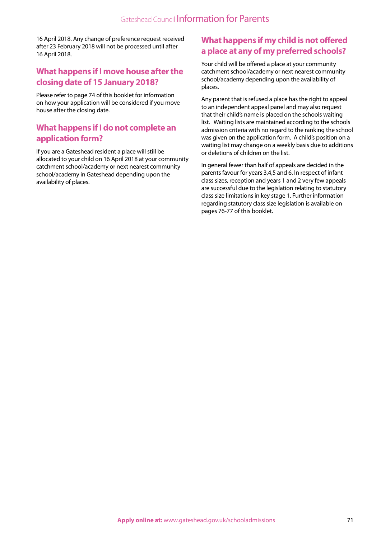16 April 2018. Any change of preference request received after 23 February 2018 will not be processed until after 16 April 2018.

#### **What happens if I move house after the closing date of 15 January 2018?**

Please refer to page 74 of this booklet for information on how your application will be considered if you move house after the closing date.

#### **What happens if I do not complete an application form?**

If you are a Gateshead resident a place will still be allocated to your child on 16 April 2018 at your community catchment school/academy or next nearest community school/academy in Gateshead depending upon the availability of places.

## **What happens if my child is not offered a place at any of my preferred schools?**

Your child will be offered a place at your community catchment school/academy or next nearest community school/academy depending upon the availability of places.

Any parent that is refused a place has the right to appeal to an independent appeal panel and may also request that their child's name is placed on the schools waiting list. Waiting lists are maintained according to the schools admission criteria with no regard to the ranking the school was given on the application form. A child's position on a waiting list may change on a weekly basis due to additions or deletions of children on the list.

In general fewer than half of appeals are decided in the parents favour for years 3,4,5 and 6. In respect of infant class sizes, reception and years 1 and 2 very few appeals are successful due to the legislation relating to statutory class size limitations in key stage 1. Further information regarding statutory class size legislation is available on pages 76-77 of this booklet.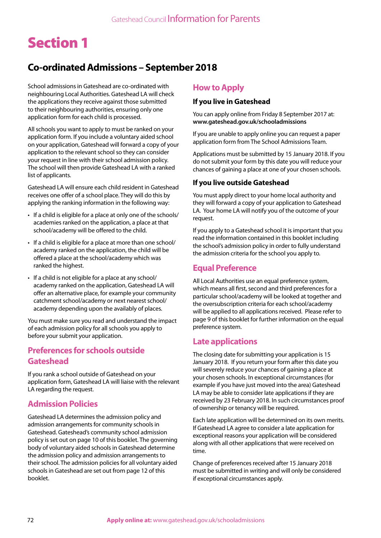# Section 1

## **Co-ordinated Admissions – September 2018**

School admissions in Gateshead are co-ordinated with neighbouring Local Authorities. Gateshead LA will check the applications they receive against those submitted to their neighbouring authorities, ensuring only one application form for each child is processed.

All schools you want to apply to must be ranked on your application form. If you include a voluntary aided school on your application, Gateshead will forward a copy of your application to the relevant school so they can consider your request in line with their school admission policy. The school will then provide Gateshead LA with a ranked list of applicants.

Gateshead LA will ensure each child resident in Gateshead receives one offer of a school place. They will do this by applying the ranking information in the following way:

- If a child is eligible for a place at only one of the schools/ academies ranked on the application, a place at that school/academy will be offered to the child.
- If a child is eligible for a place at more than one school/ academy ranked on the application, the child will be offered a place at the school/academy which was ranked the highest.
- If a child is not eligible for a place at any school/ academy ranked on the application, Gateshead LA will offer an alternative place, for example your community catchment school/academy or next nearest school/ academy depending upon the availably of places.

You must make sure you read and understand the impact of each admission policy for all schools you apply to before your submit your application.

#### **Preferences for schools outside Gateshead**

If you rank a school outside of Gateshead on your application form, Gateshead LA will liaise with the relevant LA regarding the request.

### **Admission Policies**

Gateshead LA determines the admission policy and admission arrangements for community schools in Gateshead. Gateshead's community school admission policy is set out on page 10 of this booklet. The governing body of voluntary aided schools in Gateshead determine the admission policy and admission arrangements to their school. The admission policies for all voluntary aided schools in Gateshead are set out from page 12 of this booklet.

#### **How to Apply**

#### **If you live in Gateshead**

You can apply online from Friday 8 September 2017 at: **www.gateshead.gov.uk/schooladmissions**

If you are unable to apply online you can request a paper application form from The School Admissions Team.

Applications must be submitted by 15 January 2018. If you do not submit your form by this date you will reduce your chances of gaining a place at one of your chosen schools.

#### **If you live outside Gateshead**

You must apply direct to your home local authority and they will forward a copy of your application to Gateshead LA. Your home LA will notify you of the outcome of your request.

If you apply to a Gateshead school it is important that you read the information contained in this booklet including the school's admission policy in order to fully understand the admission criteria for the school you apply to.

#### **Equal Preference**

All Local Authorities use an equal preference system, which means all first, second and third preferences for a particular school/academy will be looked at together and the oversubscription criteria for each school/academy will be applied to all applications received. Please refer to page 9 of this booklet for further information on the equal preference system.

#### **Late applications**

The closing date for submitting your application is 15 January 2018. If you return your form after this date you will severely reduce your chances of gaining a place at your chosen schools. In exceptional circumstances (for example if you have just moved into the area) Gateshead LA may be able to consider late applications if they are received by 23 February 2018. In such circumstances proof of ownership or tenancy will be required.

Each late application will be determined on its own merits. If Gateshead LA agree to consider a late application for exceptional reasons your application will be considered along with all other applications that were received on time.

Change of preferences received after 15 January 2018 must be submitted in writing and will only be considered if exceptional circumstances apply.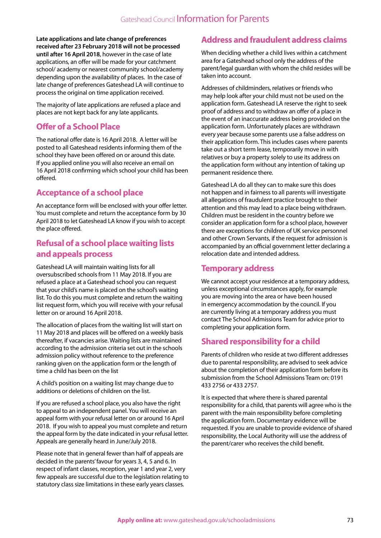**Late applications and late change of preferences received after 23 February 2018 will not be processed until after 16 April 2018**, however in the case of late applications, an offer will be made for your catchment school/ academy or nearest community school/academy depending upon the availability of places. In the case of late change of preferences Gateshead LA will continue to process the original on time application received.

The majority of late applications are refused a place and places are not kept back for any late applicants.

## **Offer of a School Place**

The national offer date is 16 April 2018. A letter will be posted to all Gateshead residents informing them of the school they have been offered on or around this date. If you applied online you will also receive an email on 16 April 2018 confirming which school your child has been offered.

## **Acceptance of a school place**

An acceptance form will be enclosed with your offer letter. You must complete and return the acceptance form by 30 April 2018 to let Gateshead LA know if you wish to accept the place offered.

## **Refusal of a school place waiting lists and appeals process**

Gateshead LA will maintain waiting lists for all oversubscribed schools from 11 May 2018. If you are refused a place at a Gateshead school you can request that your child's name is placed on the school's waiting list. To do this you must complete and return the waiting list request form, which you will receive with your refusal letter on or around 16 April 2018.

The allocation of places from the waiting list will start on 11 May 2018 and places will be offered on a weekly basis thereafter, if vacancies arise. Waiting lists are maintained according to the admission criteria set out in the schools admission policy without reference to the preference ranking given on the application form or the length of time a child has been on the list

A child's position on a waiting list may change due to additions or deletions of children on the list.

If you are refused a school place, you also have the right to appeal to an independent panel. You will receive an appeal form with your refusal letter on or around 16 April 2018. If you wish to appeal you must complete and return the appeal form by the date indicated in your refusal letter. Appeals are generally heard in June/July 2018.

Please note that in general fewer than half of appeals are decided in the parents' favour for years 3, 4, 5 and 6. In respect of infant classes, reception, year 1 and year 2, very few appeals are successful due to the legislation relating to statutory class size limitations in these early years classes.

## **Address and fraudulent address claims**

When deciding whether a child lives within a catchment area for a Gateshead school only the address of the parent/legal guardian with whom the child resides will be taken into account.

Addresses of childminders, relatives or friends who may help look after your child must not be used on the application form. Gateshead LA reserve the right to seek proof of address and to withdraw an offer of a place in the event of an inaccurate address being provided on the application form. Unfortunately places are withdrawn every year because some parents use a false address on their application form. This includes cases where parents take out a short term lease, temporarily move in with relatives or buy a property solely to use its address on the application form without any intention of taking up permanent residence there.

Gateshead LA do all they can to make sure this does not happen and in fairness to all parents will investigate all allegations of fraudulent practice brought to their attention and this may lead to a place being withdrawn. Children must be resident in the country before we consider an application form for a school place, however there are exceptions for children of UK service personnel and other Crown Servants, if the request for admission is accompanied by an official government letter declaring a relocation date and intended address.

## **Temporary address**

We cannot accept your residence at a temporary address, unless exceptional circumstances apply, for example you are moving into the area or have been housed in emergency accommodation by the council. If you are currently living at a temporary address you must contact The School Admissions Team for advice prior to completing your application form.

## **Shared responsibility for a child**

Parents of children who reside at two different addresses due to parental responsibility, are advised to seek advice about the completion of their application form before its submission from the School Admissions Team on: 0191 433 2756 or 433 2757.

It is expected that where there is shared parental responsibility for a child, that parents will agree who is the parent with the main responsibility before completing the application form. Documentary evidence will be requested. If you are unable to provide evidence of shared responsibility, the Local Authority will use the address of the parent/carer who receives the child benefit.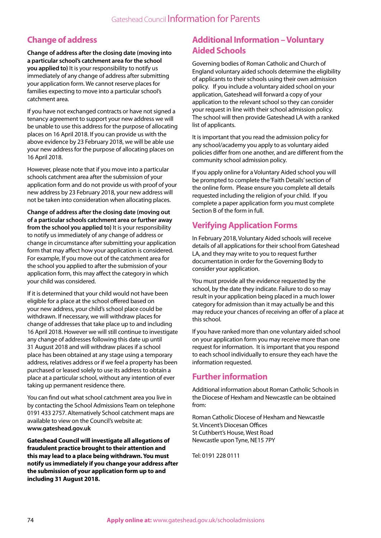## **Change of address**

**Change of address after the closing date (moving into a particular school's catchment area for the school you applied to)** It is your responsibility to notify us immediately of any change of address after submitting your application form. We cannot reserve places for families expecting to move into a particular school's catchment area.

If you have not exchanged contracts or have not signed a tenancy agreement to support your new address we will be unable to use this address for the purpose of allocating places on 16 April 2018. If you can provide us with the above evidence by 23 February 2018, we will be able use your new address for the purpose of allocating places on 16 April 2018.

However, please note that if you move into a particular schools catchment area after the submission of your application form and do not provide us with proof of your new address by 23 February 2018, your new address will not be taken into consideration when allocating places.

**Change of address after the closing date (moving out of a particular schools catchment area or further away from the school you applied to)** It is your responsibility to notify us immediately of any change of address or change in circumstance after submitting your application form that may affect how your application is considered. For example, If you move out of the catchment area for the school you applied to after the submission of your application form, this may affect the category in which your child was considered.

If it is determined that your child would not have been eligible for a place at the school offered based on your new address, your child's school place could be withdrawn. If necessary, we will withdraw places for change of addresses that take place up to and including 16 April 2018. However we will still continue to investigate any change of addresses following this date up until 31 August 2018 and will withdraw places if a school place has been obtained at any stage using a temporary address, relatives address or if we feel a property has been purchased or leased solely to use its address to obtain a place at a particular school, without any intention of ever taking up permanent residence there.

You can find out what school catchment area you live in by contacting the School Admissions Team on telephone 0191 433 2757. Alternatively School catchment maps are available to view on the Council's website at: **www.gateshead.gov.uk**

**Gateshead Council will investigate all allegations of fraudulent practice brought to their attention and this may lead to a place being withdrawn. You must notify us immediately if you change your address after the submission of your application form up to and including 31 August 2018.**

## **Additional Information – Voluntary Aided Schools**

Governing bodies of Roman Catholic and Church of England voluntary aided schools determine the eligibility of applicants to their schools using their own admission policy. If you include a voluntary aided school on your application, Gateshead will forward a copy of your application to the relevant school so they can consider your request in line with their school admission policy. The school will then provide Gateshead LA with a ranked list of applicants.

It is important that you read the admission policy for any school/academy you apply to as voluntary aided policies differ from one another, and are different from the community school admission policy.

If you apply online for a Voluntary Aided school you will be prompted to complete the 'Faith Details' section of the online form. Please ensure you complete all details requested including the religion of your child. If you complete a paper application form you must complete Section B of the form in full.

## **Verifying Application Forms**

In February 2018, Voluntary Aided schools will receive details of all applications for their school from Gateshead LA, and they may write to you to request further documentation in order for the Governing Body to consider your application.

You must provide all the evidence requested by the school, by the date they indicate. Failure to do so may result in your application being placed in a much lower category for admission than it may actually be and this may reduce your chances of receiving an offer of a place at this school.

If you have ranked more than one voluntary aided school on your application form you may receive more than one request for information. It is important that you respond to each school individually to ensure they each have the information requested.

## **Further information**

Additional information about Roman Catholic Schools in the Diocese of Hexham and Newcastle can be obtained from:

Roman Catholic Diocese of Hexham and Newcastle St. Vincent's Diocesan Offices St Cuthbert's House, West Road Newcastle upon Tyne, NE15 7PY

Tel: 0191 228 0111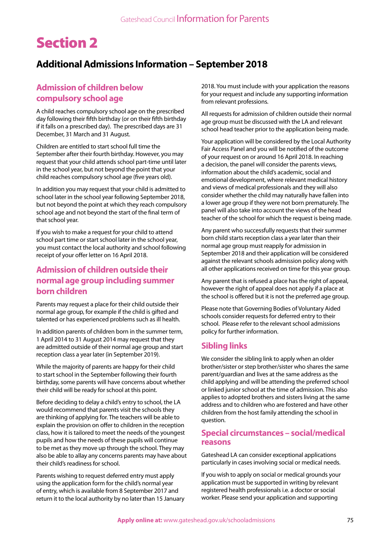# Section 2

# **Additional Admissions Information – September 2018**

## **Admission of children below compulsory school age**

A child reaches compulsory school age on the prescribed day following their fifth birthday (or on their fifth birthday if it falls on a prescribed day). The prescribed days are 31 December, 31 March and 31 August.

Children are entitled to start school full time the September after their fourth birthday. However, you may request that your child attends school part-time until later in the school year, but not beyond the point that your child reaches compulsory school age (five years old).

In addition you may request that your child is admitted to school later in the school year following September 2018, but not beyond the point at which they reach compulsory school age and not beyond the start of the final term of that school year.

If you wish to make a request for your child to attend school part time or start school later in the school year, you must contact the local authority and school following receipt of your offer letter on 16 April 2018.

## **Admission of children outside their normal age group including summer born children**

Parents may request a place for their child outside their normal age group, for example if the child is gifted and talented or has experienced problems such as ill health.

In addition parents of children born in the summer term, 1 April 2014 to 31 August 2014 may request that they are admitted outside of their normal age group and start reception class a year later (in September 2019).

While the majority of parents are happy for their child to start school in the September following their fourth birthday, some parents will have concerns about whether their child will be ready for school at this point.

Before deciding to delay a child's entry to school, the LA would recommend that parents visit the schools they are thinking of applying for. The teachers will be able to explain the provision on offer to children in the reception class, how it is tailored to meet the needs of the youngest pupils and how the needs of these pupils will continue to be met as they move up through the school. They may also be able to allay any concerns parents may have about their child's readiness for school.

Parents wishing to request deferred entry must apply using the application form for the child's normal year of entry, which is available from 8 September 2017 and return it to the local authority by no later than 15 January 2018. You must include with your application the reasons for your request and include any supporting information from relevant professions.

All requests for admission of children outside their normal age group must be discussed with the LA and relevant school head teacher prior to the application being made.

Your application will be considered by the Local Authority Fair Access Panel and you will be notified of the outcome of your request on or around 16 April 2018. In reaching a decision, the panel will consider the parents views, information about the child's academic, social and emotional development, where relevant medical history and views of medical professionals and they will also consider whether the child may naturally have fallen into a lower age group if they were not born prematurely. The panel will also take into account the views of the head teacher of the school for which the request is being made.

Any parent who successfully requests that their summer born child starts reception class a year later than their normal age group must reapply for admission in September 2018 and their application will be considered against the relevant schools admission policy along with all other applications received on time for this year group.

Any parent that is refused a place has the right of appeal, however the right of appeal does not apply if a place at the school is offered but it is not the preferred age group.

Please note that Governing Bodies of Voluntary Aided schools consider requests for deferred entry to their school. Please refer to the relevant school admissions policy for further information.

## **Sibling links**

We consider the sibling link to apply when an older brother/sister or step brother/sister who shares the same parent/guardian and lives at the same address as the child applying and will be attending the preferred school or linked junior school at the time of admission. This also applies to adopted brothers and sisters living at the same address and to children who are fostered and have other children from the host family attending the school in question.

### **Special circumstances – social/medical reasons**

Gateshead LA can consider exceptional applications particularly in cases involving social or medical needs.

If you wish to apply on social or medical grounds your application must be supported in writing by relevant registered health professionals i.e. a doctor or social worker. Please send your application and supporting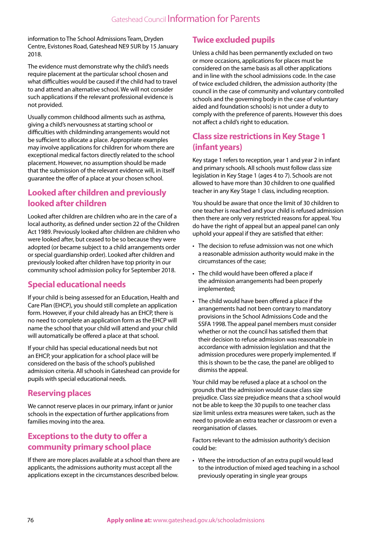information to The School Admissions Team, Dryden Centre, Evistones Road, Gateshead NE9 5UR by 15 January 2018.

The evidence must demonstrate why the child's needs require placement at the particular school chosen and what difficulties would be caused if the child had to travel to and attend an alternative school. We will not consider such applications if the relevant professional evidence is not provided.

Usually common childhood ailments such as asthma, giving a child's nervousness at starting school or difficulties with childminding arrangements would not be sufficient to allocate a place. Appropriate examples may involve applications for children for whom there are exceptional medical factors directly related to the school placement. However, no assumption should be made that the submission of the relevant evidence will, in itself guarantee the offer of a place at your chosen school.

## **Looked after children and previously looked after children**

Looked after children are children who are in the care of a local authority, as defined under section 22 of the Children Act 1989. Previously looked after children are children who were looked after, but ceased to be so because they were adopted (or became subject to a child arrangements order or special guardianship order). Looked after children and previously looked after children have top priority in our community school admission policy for September 2018.

## **Special educational needs**

If your child is being assessed for an Education, Health and Care Plan (EHCP), you should still complete an application form. However, if your child already has an EHCP, there is no need to complete an application form as the EHCP will name the school that your child will attend and your child will automatically be offered a place at that school.

If your child has special educational needs but not an EHCP, your application for a school place will be considered on the basis of the school's published admission criteria. All schools in Gateshead can provide for pupils with special educational needs.

## **Reserving places**

We cannot reserve places in our primary, infant or junior schools in the expectation of further applications from families moving into the area.

## **Exceptions to the duty to offer a community primary school place**

If there are more places available at a school than there are applicants, the admissions authority must accept all the applications except in the circumstances described below.

## **Twice excluded pupils**

Unless a child has been permanently excluded on two or more occasions, applications for places must be considered on the same basis as all other applications and in line with the school admissions code. In the case of twice excluded children, the admission authority (the council in the case of community and voluntary controlled schools and the governing body in the case of voluntary aided and foundation schools) is not under a duty to comply with the preference of parents. However this does not affect a child's right to education.

## **Class size restrictions in Key Stage 1 (infant years)**

Key stage 1 refers to reception, year 1 and year 2 in infant and primary schools. All schools must follow class size legislation in Key Stage 1 (ages 4 to 7). Schools are not allowed to have more than 30 children to one qualified teacher in any Key Stage 1 class, including reception.

You should be aware that once the limit of 30 children to one teacher is reached and your child is refused admission then there are only very restricted reasons for appeal. You do have the right of appeal but an appeal panel can only uphold your appeal if they are satisfied that either:

- The decision to refuse admission was not one which a reasonable admission authority would make in the circumstances of the case;
- The child would have been offered a place if the admission arrangements had been properly implemented;
- The child would have been offered a place if the arrangements had not been contrary to mandatory provisions in the School Admissions Code and the SSFA 1998. The appeal panel members must consider whether or not the council has satisfied them that their decision to refuse admission was reasonable in accordance with admission legislation and that the admission procedures were properly implemented. If this is shown to be the case, the panel are obliged to dismiss the appeal.

Your child may be refused a place at a school on the grounds that the admission would cause class size prejudice. Class size prejudice means that a school would not be able to keep the 30 pupils to one teacher class size limit unless extra measures were taken, such as the need to provide an extra teacher or classroom or even a reorganisation of classes.

Factors relevant to the admission authority's decision could be:

• Where the introduction of an extra pupil would lead to the introduction of mixed aged teaching in a school previously operating in single year groups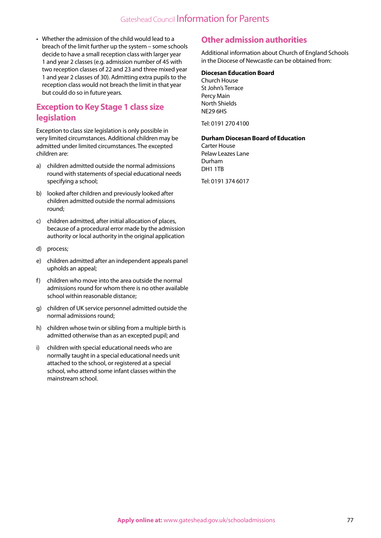• Whether the admission of the child would lead to a breach of the limit further up the system – some schools decide to have a small reception class with larger year 1 and year 2 classes (e.g. admission number of 45 with two reception classes of 22 and 23 and three mixed year 1 and year 2 classes of 30). Admitting extra pupils to the reception class would not breach the limit in that year but could do so in future years.

## **Exception to Key Stage 1 class size legislation**

Exception to class size legislation is only possible in very limited circumstances. Additional children may be admitted under limited circumstances. The excepted children are:

- a) children admitted outside the normal admissions round with statements of special educational needs specifying a school;
- b) looked after children and previously looked after children admitted outside the normal admissions round;
- c) children admitted, after initial allocation of places, because of a procedural error made by the admission authority or local authority in the original application
- d) process;
- e) children admitted after an independent appeals panel upholds an appeal;
- f) children who move into the area outside the normal admissions round for whom there is no other available school within reasonable distance;
- g) children of UK service personnel admitted outside the normal admissions round;
- h) children whose twin or sibling from a multiple birth is admitted otherwise than as an excepted pupil; and
- i) children with special educational needs who are normally taught in a special educational needs unit attached to the school, or registered at a special school, who attend some infant classes within the mainstream school.

## **Other admission authorities**

Additional information about Church of England Schools in the Diocese of Newcastle can be obtained from:

#### **Diocesan Education Board**

Church House St John's Terrace Percy Main North Shields NE29 6HS

Tel: 0191 270 4100

#### **Durham Diocesan Board of Education**

Carter House Pelaw Leazes Lane Durham DH1 1TB

Tel: 0191 374 6017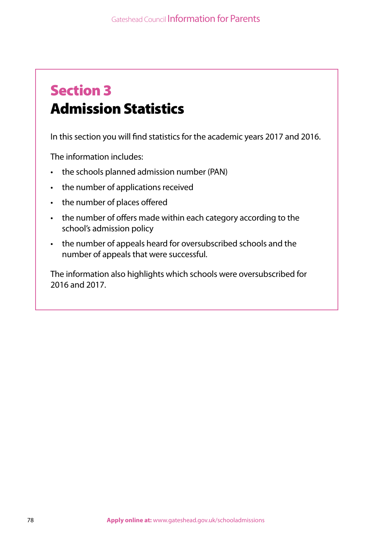# Section 3 Admission Statistics

In this section you will find statistics for the academic years 2017 and 2016.

The information includes:

- the schools planned admission number (PAN)
- the number of applications received
- the number of places offered
- the number of offers made within each category according to the school's admission policy
- the number of appeals heard for oversubscribed schools and the number of appeals that were successful.

The information also highlights which schools were oversubscribed for 2016 and 2017.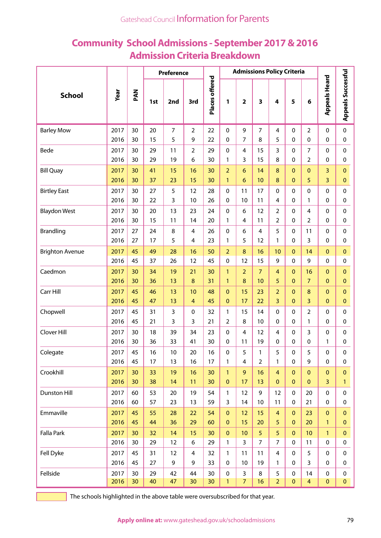# **Community School Admissions - September 2017 & 2016 Admission Criteria Breakdown**

|                        |      |     |     | Preference     |                |                | <b>Admissions Policy Criteria</b> |                |                         |                         |              |                 |                      |                           |
|------------------------|------|-----|-----|----------------|----------------|----------------|-----------------------------------|----------------|-------------------------|-------------------------|--------------|-----------------|----------------------|---------------------------|
| <b>School</b>          | Year | PAN | 1st | 2nd            | 3rd            | Places offered | $\mathbf{1}$                      | $\overline{2}$ | $\overline{\mathbf{3}}$ | $\overline{\mathbf{4}}$ | 5            | 6               | <b>Appeals Heard</b> | <b>Appeals Successful</b> |
| <b>Barley Mow</b>      | 2017 | 30  | 20  | $\overline{7}$ | $\overline{2}$ | 22             | 0                                 | 9              | $\overline{7}$          | 4                       | $\mathbf{0}$ | 2               | $\mathbf{0}$         | 0                         |
|                        | 2016 | 30  | 15  | 5              | 9              | 22             | 0                                 | $\overline{7}$ | 8                       | 5                       | $\mathbf{0}$ | 0               | 0                    | 0                         |
| Bede                   | 2017 | 30  | 29  | 11             | $\overline{2}$ | 29             | $\Omega$                          | 4              | 15                      | 3                       | $\mathbf{0}$ | 7               | 0                    | $\mathbf 0$               |
|                        | 2016 | 30  | 29  | 19             | 6              | 30             | 1                                 | 3              | 15                      | 8                       | 0            | $\overline{2}$  | $\Omega$             | 0                         |
| <b>Bill Quay</b>       | 2017 | 30  | 41  | 15             | 16             | 30             | $\overline{2}$                    | 6              | 14                      | 8                       | $\Omega$     | $\mathbf{0}$    | 3                    | $\mathbf{O}$              |
|                        | 2016 | 30  | 37  | 23             | 15             | 30             | $\mathbf{1}$                      | 6              | 10                      | 8                       | $\mathbf{0}$ | 5               | 3                    | $\pmb{0}$                 |
| <b>Birtley East</b>    | 2017 | 30  | 27  | 5              | 12             | 28             | $\Omega$                          | 11             | 17                      | $\Omega$                | $\mathbf{0}$ | 0               | $\mathbf{0}$         | 0                         |
|                        | 2016 | 30  | 22  | 3              | 10             | 26             | $\Omega$                          | 10             | 11                      | 4                       | 0            | 1               | $\Omega$             | 0                         |
| <b>Blaydon West</b>    | 2017 | 30  | 20  | 13             | 23             | 24             | $\Omega$                          | 6              | 12                      | $\overline{2}$          | $\mathbf{0}$ | 4               | $\mathbf{0}$         | $\mathbf 0$               |
|                        | 2016 | 30  | 15  | 11             | 14             | 20             | 1                                 | 4              | 11                      | $\overline{2}$          | 0            | $\overline{2}$  | $\mathbf{0}$         | 0                         |
| <b>Brandling</b>       | 2017 | 27  | 24  | 8              | 4              | 26             | $\Omega$                          | 6              | 4                       | 5                       | $\mathbf{0}$ | 11              | 0                    | $\Omega$                  |
|                        | 2016 | 27  | 17  | 5              | 4              | 23             | 1                                 | 5              | 12                      | 1                       | $\mathbf{0}$ | 3               | 0                    | 0                         |
| <b>Brighton Avenue</b> | 2017 | 45  | 49  | 28             | 16             | 50             | $\overline{2}$                    | 8              | 16                      | 10                      | $\mathbf{0}$ | 14              | $\Omega$             | $\mathbf{O}$              |
|                        | 2016 | 45  | 37  | 26             | 12             | 45             | $\Omega$                          | 12             | 15                      | 9                       | $\mathbf{0}$ | 9               | $\mathbf{0}$         | $\Omega$                  |
| Caedmon                | 2017 | 30  | 34  | 19             | 21             | 30             | $\mathbf{1}$                      | $\overline{2}$ | $\overline{7}$          | $\overline{4}$          | $\mathbf{0}$ | 16              | $\Omega$             | $\overline{0}$            |
|                        | 2016 | 30  | 36  | 13             | $\bf 8$        | 31             | 1                                 | 8              | 10                      | 5                       | $\mathbf{0}$ | $\overline{7}$  | $\Omega$             | $\mathbf{0}$              |
| Carr Hill              | 2017 | 45  | 46  | 13             | 10             | 48             | $\Omega$                          | 15             | 23                      | $\overline{2}$          | $\mathbf{0}$ | 8               | $\Omega$             | $\overline{0}$            |
|                        | 2016 | 45  | 47  | 13             | $\overline{4}$ | 45             | $\Omega$                          | 17             | 22                      | $\overline{3}$          | $\Omega$     | 3               | $\Omega$             | $\mathbf{O}$              |
| Chopwell               | 2017 | 45  | 31  | 3              | 0              | 32             | 1                                 | 15             | 14                      | $\Omega$                | 0            | $\overline{2}$  | 0                    | $\Omega$                  |
|                        | 2016 | 45  | 21  | 3              | 3              | 21             | 2                                 | 8              | 10                      | 0                       | $\mathbf{0}$ | 1               | $\mathbf{0}$         | 0                         |
| Clover Hill            | 2017 | 30  | 18  | 39             | 34             | 23             | $\Omega$                          | 4              | 12                      | 4                       | 0            | 3               | $\Omega$             | 0                         |
|                        | 2016 | 30  | 36  | 33             | 41             | 30             | 0                                 | 11             | 19                      | 0                       | 0            | 0               | 1                    | 0                         |
| Colegate               | 2017 | 45  | 16  | $10$           | 20             | 16             | $\pmb{0}$                         | 5              | $\mathbf{1}$            | 5                       | $\pmb{0}$    | 5               | 0                    | $\pmb{0}$                 |
|                        | 2016 | 45  | 17  | 13             | 16             | 17             | 1                                 | 4              | $\overline{2}$          | $\mathbf{1}$            | 0            | 9               | $\mathbf 0$          | 0                         |
| Crookhill              | 2017 | 30  | 33  | 19             | 16             | 30             | $\mathbf{1}$                      | 9              | 16                      | $\overline{4}$          | $\mathbf{0}$ | $\mathbf{0}$    | $\mathbf{0}$         | $\overline{0}$            |
|                        | 2016 | 30  | 38  | 14             | 11             | 30             | $\mathbf{0}$                      | 17             | 13                      | $\mathbf{0}$            | $\mathbf{0}$ | $\mathbf{0}$    | 3                    | $\mathbf{1}$              |
| Dunston Hill           | 2017 | 60  | 53  | 20             | 19             | 54             | $\mathbf{1}$                      | 12             | 9                       | 12                      | $\mathbf 0$  | 20              | $\mathbf 0$          | $\mathbf 0$               |
|                        | 2016 | 60  | 57  | 23             | 13             | 59             | 3                                 | 14             | 10                      | 11                      | 0            | 21              | 0                    | 0                         |
| Emmaville              | 2017 | 45  | 55  | 28             | 22             | 54             | $\mathbf{0}$                      | 12             | 15                      | $\overline{4}$          | $\mathbf{0}$ | 23              | $\mathbf{0}$         | $\mathbf{0}$              |
|                        | 2016 | 45  | 44  | 36             | 29             | 60             | $\mathbf{0}$                      | 15             | 20                      | 5                       | $\mathbf{0}$ | 20              | $\mathbf{1}$         | $\mathbf{0}$              |
| Falla Park             | 2017 | 30  | 32  | 14             | 15             | 30             | $\mathbf{0}$                      | 10             | 5                       | 5                       | $\mathbf{0}$ | 10 <sup>°</sup> | $\mathbf{1}$         | $\overline{0}$            |
|                        | 2016 | 30  | 29  | 12             | 6              | 29             | 1                                 | $\overline{3}$ | $\overline{7}$          | $\overline{7}$          | 0            | 11              | $\mathbf 0$          | $\mathbf 0$               |
| Fell Dyke              | 2017 | 45  | 31  | 12             | $\overline{4}$ | 32             | 1                                 | 11             | 11                      | $\overline{4}$          | $\mathbf{0}$ | 5               | $\mathbf{0}$         | 0                         |
|                        | 2016 | 45  | 27  | 9              | 9              | 33             | 0                                 | 10             | 19                      | $\mathbf{1}$            | 0            | 3               | 0                    | 0                         |
| Fellside               | 2017 | 30  | 29  | 42             | 44             | 30             | 0                                 | 3              | 8                       | 5                       | 0            | 14              | 0                    | $\mathbf 0$               |
|                        | 2016 | 30  | 40  | 47             | 30             | 30             | $\mathbf{1}$                      | $\overline{7}$ | 16                      | $\overline{2}$          | $\pmb{0}$    | $\overline{4}$  | $\pmb{0}$            | $\mathbf{0}$              |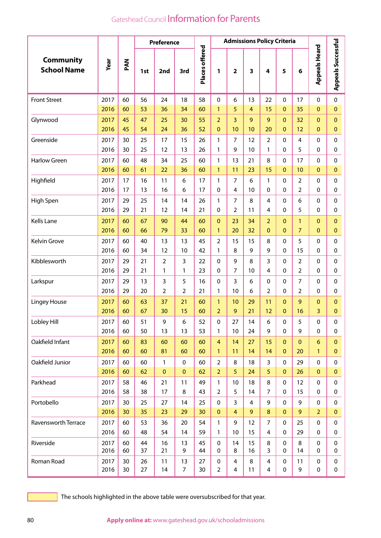|                                        |              |          |          | <b>Preference</b> |                      | <b>Admissions Policy Criteria</b> |                                |                     |                      |                     |                                |                                  |                            |                              |
|----------------------------------------|--------------|----------|----------|-------------------|----------------------|-----------------------------------|--------------------------------|---------------------|----------------------|---------------------|--------------------------------|----------------------------------|----------------------------|------------------------------|
| <b>Community</b><br><b>School Name</b> | Year         | PAN      | 1st      | 2nd               | 3rd                  | Places offered                    | 1                              | $\mathbf{2}$        | 3                    | 4                   | 5                              | 6                                | <b>Appeals Heard</b>       | <b>Appeals Successful</b>    |
| <b>Front Street</b>                    | 2017         | 60       | 56       | 24                | 18                   | 58                                | $\mathbf 0$<br>$\mathbf{1}$    | 6<br>5              | 13<br>$\overline{4}$ | 22                  | $\Omega$                       | 17                               | $\mathbf 0$<br>$\Omega$    | $\mathbf 0$                  |
| Glynwood                               | 2016<br>2017 | 60<br>45 | 53<br>47 | 36<br>25          | 34<br>30             | 60<br>55                          | $\overline{2}$                 | $\overline{3}$      | 9                    | 15<br>9             | $\overline{0}$<br>$\mathbf{0}$ | 35<br>32                         | $\Omega$                   | $\mathbf{0}$<br>$\mathbf{0}$ |
|                                        | 2016         | 45       | 54       | 24                | 36                   | 52                                | $\Omega$                       | 10                  | 10                   | 20                  | $\overline{0}$                 | 12                               | $\mathbf{0}$               | $\mathbf 0$                  |
| Greenside                              | 2017         | 30       | 25       | 17                | 15                   | 26                                | 1                              | $\overline{7}$      | 12                   | $\overline{2}$      | $\Omega$                       | $\overline{4}$                   | $\Omega$                   | $\mathbf 0$                  |
|                                        | 2016         | 30       | 25       | 12                | 13                   | 26                                | 1                              | 9                   | 10                   | 1                   | 0                              | 5                                | 0                          | 0                            |
| <b>Harlow Green</b>                    | 2017         | 60       | 48       | 34                | 25                   | 60                                | 1                              | 13                  | 21                   | 8                   | 0                              | 17                               | $\Omega$                   | $\mathbf 0$                  |
|                                        | 2016         | 60       | 61       | 22                | 36                   | 60                                | $\mathbf{1}$                   | 11                  | 23                   | 15                  | $\overline{0}$                 | 10                               | $\mathbf{0}$               | $\pmb{0}$                    |
| Highfield                              | 2017<br>2016 | 17<br>17 | 16<br>13 | 11<br>16          | 6<br>6               | 17<br>17                          | 1<br>$\mathbf{0}$              | $\overline{7}$<br>4 | 6<br>10              | 1<br>$\mathbf{0}$   | $\Omega$<br>0                  | $\overline{2}$<br>$\overline{2}$ | $\mathbf{0}$<br>$\Omega$   | $\mathbf 0$<br>0             |
| High Spen                              | 2017         | 29       | 25       | 14                | 14                   | 26                                | 1                              | $\overline{7}$      | 8                    | $\overline{4}$      | 0                              | 6                                | 0                          | $\mathbf 0$                  |
|                                        | 2016         | 29       | 21       | 12                | 14                   | 21                                | $\mathbf{0}$                   | $\overline{2}$      | 11                   | 4                   | 0                              | 5                                | 0                          | $\pmb{0}$                    |
| Kells Lane                             | 2017         | 60       | 67       | 90                | 44                   | 60                                | $\mathbf{0}$                   | 23                  | 34                   | $\overline{2}$      | $\mathbf 0$                    | $\mathbf{1}$                     | $\mathbf{0}$               | $\mathbf{0}$                 |
|                                        | 2016         | 60       | 66       | 79                | 33                   | 60                                | $\mathbf{1}$                   | 20                  | 32                   | $\overline{0}$      | $\overline{0}$                 | $\overline{7}$                   | $\overline{0}$             | $\mathbf{0}$                 |
| Kelvin Grove                           | 2017<br>2016 | 60<br>60 | 40<br>34 | 13<br>12          | 13<br>10             | 45<br>42                          | $\overline{2}$<br>1            | 15<br>8             | 15<br>9              | 8<br>9              | $\Omega$<br>$\mathbf 0$        | 5<br>15                          | $\Omega$<br>0              | $\mathbf 0$<br>0             |
| Kibblesworth                           | 2017         | 29       | 21       | $\overline{2}$    | 3                    | 22                                | 0                              | 9                   | 8                    | 3                   | 0                              | $\overline{2}$                   | 0                          | $\mathbf{0}$                 |
|                                        | 2016         | 29       | 21       | $\mathbf{1}$      | 1                    | 23                                | $\mathbf{0}$                   | $\overline{7}$      | 10                   | $\overline{4}$      | 0                              | $\overline{2}$                   | 0                          | 0                            |
| Larkspur                               | 2017         | 29       | 13       | 3                 | 5                    | 16                                | $\mathbf{0}$                   | 3                   | 6                    | $\mathbf 0$         | $\mathbf 0$                    | $\overline{7}$                   | $\mathbf{0}$               | $\mathbf 0$                  |
|                                        | 2016         | 29       | 20       | 2                 | 2                    | 21                                | 1                              | 10                  | 6                    | 2                   | 0                              | $\overline{2}$                   | 0                          | 0                            |
| <b>Lingey House</b>                    | 2017<br>2016 | 60<br>60 | 63<br>67 | 37<br>30          | 21<br>15             | 60<br>60                          | $\mathbf{1}$<br>$\overline{2}$ | 10<br>9             | 29<br>21             | 11<br>12            | $\mathbf 0$<br>0               | 9<br>16                          | $\Omega$<br>3              | $\mathbf{0}$<br>$\mathbf{0}$ |
| Lobley Hill                            | 2017<br>2016 | 60<br>60 | 51       | 9<br>13           | 6<br>13              | 52<br>53                          | $\pmb{0}$<br>$\mathbf{1}$      | 27<br>10            | 14<br>24             | 6<br>9              | 0<br>$\mathbf 0$               | 5<br>9                           | $\pmb{0}$<br>$\mathbf 0$   | 0                            |
| Oakfield Infant                        | 2017         | 60       | 50<br>83 | 60                | 60                   | 60                                | $\overline{4}$                 | 14                  | 27                   | 15                  | $\mathbf{0}$                   | $\mathbf{0}$                     | 6                          | 0<br>$\mathbf{0}$            |
|                                        | 2016         | 60       | 60       | 81                | 60                   | 60                                | $\mathbf{1}$                   | 11                  | 14                   | 14                  | $\mathbf{0}$                   | 20                               | $\mathbf{1}$               | $\pmb{0}$                    |
| Oakfield Junior                        | 2017         | 60       | 60       | 1                 | 0                    | 60                                | $\overline{2}$                 | 8                   | 18                   | 3                   | 0                              | 29                               | $\mathbf 0$                | 0                            |
|                                        | 2016         | 60       | 62       | $\mathbf 0$       | $\mathbf{0}$         | 62                                | $\overline{2}$                 | 5                   | 24                   | 5                   | $\mathbf{0}$                   | 26                               | $\mathbf{0}$               | $\mathbf{0}$                 |
| Parkhead                               | 2017         | 58       | 46       | 21                | 11                   | 49                                | $\mathbf{1}$                   | 10                  | 18                   | 8                   | 0                              | 12                               | $\mathbf 0$                | $\pmb{0}$                    |
|                                        | 2016         | 58       | 38       | 17                | 8                    | 43                                | $\overline{2}$                 | 5                   | 14                   | $\overline{7}$      | 0                              | 15                               | 0                          | 0                            |
| Portobello                             | 2017         | 30       | 25       | 27                | 14                   | 25                                | $\mathbf 0$                    | $\overline{3}$      | 4                    | 9                   | 0                              | 9                                | $\mathbf 0$                | 0                            |
|                                        | 2016         | 30       | 35       | 23                | 29                   | 30                                | $\mathbf{0}$                   | $\overline{4}$      | 9                    | 8                   | $\mathbf{0}$                   | 9                                | $\overline{2}$             | $\overline{0}$               |
| Ravensworth Terrace                    | 2017<br>2016 | 60<br>60 | 53<br>48 | 36<br>54          | 20<br>14             | 54<br>59                          | 1<br>$\mathbf{1}$              | 9<br>10             | 12<br>15             | $\overline{7}$<br>4 | $\mathbf 0$<br>0               | 25<br>29                         | $\mathbf 0$<br>$\mathbf 0$ | $\mathbf 0$<br>0             |
| Riverside                              | 2017         | 60       | 44       | 16                | 13                   | 45                                | 0                              | 14                  | 15                   | 8                   | 0                              | 8                                | $\mathbf 0$                | $\pmb{0}$                    |
|                                        | 2016         | 60       | 37       | 21                | 9                    | 44                                | 0                              | 8                   | 16                   | 3                   | 0                              | 14                               | 0                          | 0                            |
| Roman Road                             | 2017<br>2016 | 30<br>30 | 26<br>27 | 11<br>14          | 13<br>$\overline{7}$ | 27<br>30                          | 0<br>$\overline{2}$            | 4<br>4              | 8<br>11              | 4<br>4              | 0<br>0                         | 11<br>9                          | $\mathbf 0$<br>0           | 0<br>0                       |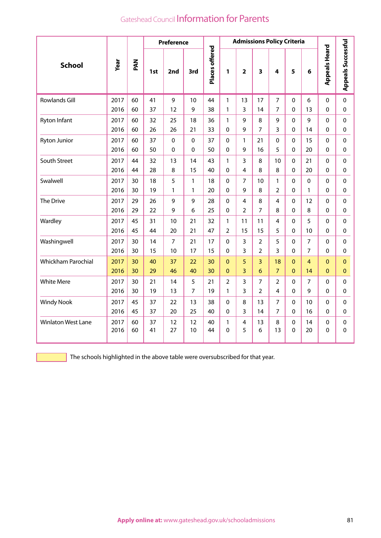|                           |      | <b>Admissions Policy Criteria</b><br><b>Preference</b> |     |                |             |                |                |                |                |                |              |                |                      |                           |
|---------------------------|------|--------------------------------------------------------|-----|----------------|-------------|----------------|----------------|----------------|----------------|----------------|--------------|----------------|----------------------|---------------------------|
| <b>School</b>             | Year | PAN                                                    | 1st | 2nd            | 3rd         | Places offered | 1              | $\overline{2}$ | 3              | 4              | 5            | 6              | <b>Appeals Heard</b> | <b>Appeals Successful</b> |
| <b>Rowlands Gill</b>      | 2017 | 60                                                     | 41  | 9              | 10          | 44             | 1              | 13             | 17             | $\overline{7}$ | $\mathbf 0$  | 6              | $\mathbf 0$          | $\mathbf 0$               |
|                           | 2016 | 60                                                     | 37  | 12             | 9           | 38             | 1              | 3              | 14             | 7              | 0            | 13             | 0                    | $\mathbf 0$               |
| Ryton Infant              | 2017 | 60                                                     | 32  | 25             | 18          | 36             | $\mathbf{1}$   | 9              | 8              | 9              | 0            | 9              | $\Omega$             | $\Omega$                  |
|                           | 2016 | 60                                                     | 26  | 26             | 21          | 33             | $\Omega$       | 9              | 7              | 3              | 0            | 14             | 0                    | $\mathbf 0$               |
| <b>Ryton Junior</b>       | 2017 | 60                                                     | 37  | 0              | $\mathbf 0$ | 37             | 0              | $\mathbf{1}$   | 21             | 0              | 0            | 15             | 0                    | $\mathbf 0$               |
|                           | 2016 | 60                                                     | 50  | 0              | $\Omega$    | 50             | 0              | 9              | 16             | 5              | 0            | 20             | 0                    | $\Omega$                  |
| South Street              | 2017 | 44                                                     | 32  | 13             | 14          | 43             | 1              | 3              | 8              | 10             | $\mathbf{0}$ | 21             | 0                    | $\Omega$                  |
|                           | 2016 | 44                                                     | 28  | 8              | 15          | 40             | 0              | 4              | 8              | 8              | 0            | 20             | $\mathbf{0}$         | $\pmb{0}$                 |
| Swalwell                  | 2017 | 30                                                     | 18  | 5              | 1           | 18             | $\Omega$       | 7              | 10             | 1              | 0            | $\Omega$       | 0                    | $\mathbf 0$               |
|                           | 2016 | 30                                                     | 19  | $\mathbf{1}$   | 1           | 20             | $\mathbf{0}$   | 9              | 8              | $\overline{2}$ | 0            | 1              | 0                    | 0                         |
| The Drive                 | 2017 | 29                                                     | 26  | 9              | 9           | 28             | 0              | 4              | 8              | 4              | 0            | 12             | 0                    | $\mathbf 0$               |
|                           | 2016 | 29                                                     | 22  | 9              | 6           | 25             | $\Omega$       | $\overline{2}$ | $\overline{7}$ | 8              | $\Omega$     | 8              | $\Omega$             | 0                         |
| Wardley                   | 2017 | 45                                                     | 31  | 10             | 21          | 32             | 1              | 11             | 11             | 4              | 0            | 5              | $\Omega$             | $\Omega$                  |
|                           | 2016 | 45                                                     | 44  | 20             | 21          | 47             | $\overline{2}$ | 15             | 15             | 5              | 0            | 10             | 0                    | $\Omega$                  |
| Washingwell               | 2017 | 30                                                     | 14  | $\overline{7}$ | 21          | 17             | $\Omega$       | 3              | $\overline{2}$ | 5              | $\mathbf 0$  | $\overline{7}$ | $\Omega$             | $\Omega$                  |
|                           | 2016 | 30                                                     | 15  | 10             | 17          | 15             | $\Omega$       | 3              | $\overline{2}$ | 3              | $\Omega$     | $\overline{7}$ | 0                    | $\Omega$                  |
| <b>Whickham Parochial</b> | 2017 | 30                                                     | 40  | 37             | 22          | 30             | $\Omega$       | 5              | $\overline{3}$ | 18             | $\Omega$     | 4              | $\Omega$             | $\mathbf{0}$              |
|                           | 2016 | 30                                                     | 29  | 46             | 40          | 30             | $\Omega$       | $\overline{3}$ | 6              | $\overline{7}$ | $\Omega$     | 14             | $\Omega$             | $\mathbf{0}$              |
| <b>White Mere</b>         | 2017 | 30                                                     | 21  | 14             | 5           | 21             | $\overline{2}$ | 3              | $\overline{7}$ | $\overline{2}$ | 0            | $\overline{7}$ | $\Omega$             | $\mathbf 0$               |
|                           | 2016 | 30                                                     | 19  | 13             | 7           | 19             | 1              | 3              | $\overline{2}$ | 4              | 0            | 9              | $\Omega$             | $\Omega$                  |
| <b>Windy Nook</b>         | 2017 | 45                                                     | 37  | 22             | 13          | 38             | 0              | 8              | 13             | $\overline{7}$ | 0            | 10             | $\mathbf 0$          | $\mathbf 0$               |
|                           | 2016 | 45                                                     | 37  | 20             | 25          | 40             | 0              | 3              | 14             | $\overline{7}$ | 0            | 16             | 0                    | 0                         |
| <b>Winlaton West Lane</b> | 2017 | 60                                                     | 37  | 12             | 12          | 40             | 1              | 4              | 13             | 8              | 0            | 14             | 0                    | $\mathbf 0$               |
|                           | 2016 | 60                                                     | 41  | 27             | 10          | 44             | $\Omega$       | 5              | 6              | 13             | 0            | 20             | $\Omega$             | $\Omega$                  |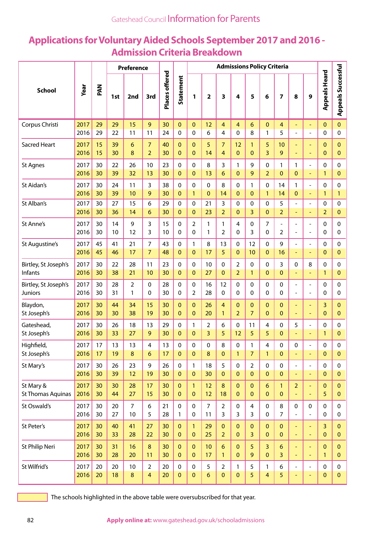## **Applications for Voluntary Aided Schools September 2017 and 2016 - Admission Criteria Breakdown**

|                          |      |     |     | <b>Preference</b> |                         |                 |                | <b>Admissions Policy Criteria</b> |                |                |                |                |                 |                |                          |                          |                      |                           |
|--------------------------|------|-----|-----|-------------------|-------------------------|-----------------|----------------|-----------------------------------|----------------|----------------|----------------|----------------|-----------------|----------------|--------------------------|--------------------------|----------------------|---------------------------|
| <b>School</b>            | Year | MAG | 1st | 2nd               | 3rd                     | Places offered  | Statement      | 1                                 | $\mathbf{2}$   | 3              | 4              | 5              | 6               | 7              | 8                        | 9                        | <b>Appeals Heard</b> | <b>Appeals Successful</b> |
| Corpus Christi           | 2017 | 29  | 29  | 15                | 9                       | 30              | $\mathbf{0}$   | 0                                 | 12             | 4              | $\overline{4}$ | 6              | $\mathbf{0}$    | $\overline{4}$ | $\overline{\phantom{a}}$ | $\overline{\phantom{a}}$ | $\mathbf{0}$         | 0                         |
|                          | 2016 | 29  | 22  | 11                | 11                      | 24              | 0              | 0                                 | 6              | 4              | 0              | 8              | 1               | 5              | $\overline{a}$           | $\overline{a}$           | 0                    | 0                         |
| <b>Sacred Heart</b>      | 2017 | 15  | 39  | $6\phantom{1}6$   | $\overline{7}$          | 40              | $\mathbf{0}$   | 0                                 | 5              | $\overline{7}$ | 12             | 1              | 5               | 10             | $\overline{\phantom{a}}$ | Ξ                        | $\mathbf 0$          | $\overline{0}$            |
|                          | 2016 | 15  | 30  | 8                 | $\overline{2}$          | 30              | $\mathbf{0}$   | $\mathbf{0}$                      | 14             | $\overline{4}$ | $\mathbf 0$    | $\mathbf{0}$   | 3               | 9              | $\overline{\phantom{a}}$ | ۳                        | $\mathbf 0$          | $\mathbf 0$               |
| <b>St Agnes</b>          | 2017 | 30  | 22  | 26                | 10                      | 23              | 0              | $\pmb{0}$                         | 8              | 3              | 1              | 9              | 0               | $\mathbf{1}$   | 1                        | $\frac{1}{2}$            | 0                    | 0                         |
|                          | 2016 | 30  | 39  | 32                | 13                      | 30              | $\mathbf{0}$   | $\mathbf{0}$                      | 13             | 6              | $\mathbf{0}$   | 9              | $\overline{2}$  | $\mathbf{0}$   | $\overline{0}$           | L,                       | $\mathbf{1}$         | 0                         |
| St Aidan's               | 2017 | 30  | 24  | 11                | 3                       | 38              | $\mathbf 0$    | $\pmb{0}$                         | $\Omega$       | 8              | 0              | 1              | $\mathbf 0$     | 14             | 1                        | $\overline{a}$           | 0                    | 0                         |
|                          | 2016 | 30  | 39  | 10                | 9                       | 30              | $\overline{0}$ | $\mathbf{1}$                      | $\overline{0}$ | 14             | $\mathbf{0}$   | $\mathbf{0}$   | $\mathbf{1}$    | 14             | $\mathbf{0}$             | ÷,                       | $\mathbf{1}$         | 1                         |
| St Alban's               | 2017 | 30  | 27  | 15                | 6                       | 29              | $\Omega$       | 0                                 | 21             | 3              | 0              | $\mathbf 0$    | 0               | 5              | $\blacksquare$           | $\overline{a}$           | 0                    | $\mathbf 0$               |
|                          | 2016 | 30  | 36  | 14                | 6                       | 30              | $\mathbf{0}$   | $\pmb{0}$                         | 23             | $\overline{2}$ | $\mathbf{0}$   | 3              | $\mathbf{0}$    | $\overline{2}$ | $\blacksquare$           | ÷,                       | $\overline{2}$       | 0                         |
| St Anne's                | 2017 | 30  | 14  | 9                 | 3                       | 15              | 0              | $\overline{2}$                    | 1              | 1              | 4              | $\mathbf 0$    | 7               | $\frac{1}{2}$  | $\overline{\phantom{0}}$ | $\overline{a}$           | 0                    | 0                         |
|                          | 2016 | 30  | 10  | 12                | 3                       | 10              | 0              | 0                                 | 1              | $\overline{2}$ | $\Omega$       | 3              | 0               | $\overline{2}$ | $\overline{a}$           | ÷,                       | 0                    | 0                         |
| St Augustine's           | 2017 | 45  | 41  | 21                | $\overline{7}$          | 43              | 0              | 1                                 | 8              | 13             | 0              | 12             | $\mathbf 0$     | 9              | $\overline{\phantom{a}}$ | $\overline{a}$           | 0                    | 0                         |
|                          | 2016 | 45  | 46  | 17                | $\overline{7}$          | 48              | $\Omega$       | $\mathbf{0}$                      | 17             | 5              | $\mathbf{0}$   | 10             | $\mathbf{0}$    | 16             | $\blacksquare$           | ÷,                       | $\overline{0}$       | $\pmb{0}$                 |
| Birtley, St Joseph's     | 2017 | 30  | 22  | 28                | 11                      | 23              | $\Omega$       | 0                                 | 10             | 0              | $\overline{2}$ | $\mathbf 0$    | 0               | 3              | 0                        | 8                        | 0                    | 0                         |
| Infants                  | 2016 | 30  | 38  | 21                | 10                      | 30              | $\mathbf{0}$   | $\mathbf{0}$                      | 27             | $\mathbf{0}$   | $\overline{2}$ | $\mathbf{1}$   | $\mathbf{0}$    | $\mathbf 0$    | $\equiv$                 | ÷,                       | 1                    | $\mathbf{0}$              |
| Birtley, St Joseph's     | 2017 | 30  | 28  | $\overline{2}$    | 0                       | 28              | 0              | $\pmb{0}$                         | 16             | 12             | 0              | $\mathbf 0$    | 0               | $\pmb{0}$      | $\overline{\phantom{a}}$ | $\overline{a}$           | 0                    | 0                         |
| <b>Juniors</b>           | 2016 | 30  | 31  | 1                 | 0                       | 30              | 0              | 2                                 | 28             | 0              | $\Omega$       | 0              | 0               | 0              | $\overline{\phantom{a}}$ | ÷                        | 0                    | 0                         |
| Blaydon,                 | 2017 | 30  | 44  | 34                | 15                      | 30              | $\mathbf{0}$   | 0                                 | 26             | 4              | $\mathbf 0$    | $\mathbf{0}$   | $\mathbf{0}$    | $\pmb{0}$      | $\blacksquare$           | ÷,                       | 3                    | $\mathbf{0}$              |
| St Joseph's              | 2016 | 30  | 30  | 38                | 19                      | 30              | $\Omega$       | $\mathbf{0}$                      | 20             | $\mathbf{1}$   | $\overline{2}$ | $\overline{7}$ | $\Omega$        | $\mathbf{0}$   | $\overline{\phantom{a}}$ | ۳                        | $\mathbf 0$          | 0                         |
| Gateshead,               | 2017 | 30  | 26  | 18                | 13                      | 29              | $\Omega$       | 1                                 | 2              | 6              | $\pmb{0}$      | 11             | $\overline{4}$  | 0              | 5                        | $\overline{a}$           | 0                    | 0                         |
| St Joseph's              | 2016 | 30  | 33  | 27                | 9                       | 30              | $\Omega$       | $\mathbf 0$                       | 3              | 5              | 12             | 5              | 5               | $\mathbf{0}$   |                          | L,                       | $\mathbf{1}$         | $\mathbf{0}$              |
| Highfield,               | 2017 | 17  | 13  | 13                | 4                       | 13              | 0              | 0                                 | 0              | 8              | 0              | 1              | 4               | 0              | 0                        | ÷,                       | 0                    | 0                         |
| St Joseph's              | 2016 | 17  | 19  | 8                 | 6                       | 17              | $\mathbf 0$    | $\pmb{0}$                         | 8              | $\mathbf{0}$   | 1              | 7              | $\mathbf{1}$    | $\pmb{0}$      | $\Box$                   |                          | $\mathbf 0$          | $\mathbf{0}$              |
| St Mary's                | 2017 | 30  | 26  | 23                | 9                       | 26              | $\pmb{0}$      | $\mathbf{1}$                      | 18             | 5              | $\pmb{0}$      | $\overline{2}$ | $\mathbf 0$     | $\pmb{0}$      | $\overline{\phantom{a}}$ | ÷,                       | 0                    | $\Omega$                  |
|                          | 2016 | 30  | 39  | 12                | 19                      | 30              | $\mathbf{0}$   | $\pmb{0}$                         | 30             | $\mathbf{0}$   | $\mathbf 0$    | $\mathbf{0}$   | $\mathbf{0}$    | $\pmb{0}$      | $\equiv$                 | ÷,                       | $\mathbf{0}$         | $\overline{0}$            |
| St Mary &                | 2017 | 30  | 30  | 28                | 17                      | 30              | $\mathbf{0}$   | $\mathbf{1}$                      | 12             | 8              | $\mathbf 0$    | $\mathbf{0}$   | $6\phantom{1}6$ | $\mathbf{1}$   | $\overline{2}$           | ÷,                       | 0                    | $\overline{0}$            |
| <b>St Thomas Aquinas</b> | 2016 | 30  | 44  | 27                | 15                      | 30              | $\mathbf{0}$   | $\pmb{0}$                         | 12             | 18             | $\mathbf 0$    | $\mathbf{0}$   | $\mathbf{0}$    | $\pmb{0}$      |                          | ÷,                       | 5                    | $\mathbf{0}$              |
| St Oswald's              | 2017 | 30  | 20  | $\overline{7}$    | 6                       | 21              | $\pmb{0}$      | $\mathbf 0$                       | $\overline{7}$ | $\overline{2}$ | $\pmb{0}$      | 4              | $\mathbf 0$     | 8              | 0                        | $\mathbf 0$              | 0                    | 0                         |
|                          | 2016 | 30  | 27  | 10                | 5                       | 28              | 1              | $\pmb{0}$                         | 11             | 3              | 3              | 3              | $\mathbf 0$     | $\overline{7}$ | $\frac{1}{2}$            | $\overline{a}$           | 0                    | $\pmb{0}$                 |
| St Peter's               | 2017 | 30  | 40  | 41                | 27                      | 30 <sub>o</sub> | $\pmb{0}$      | $\mathbf{1}$                      | 29             | $\pmb{0}$      | $\mathbf 0$    | $\pmb{0}$      | $\pmb{0}$       | $\mathbf 0$    | $\equiv$                 | Ξ                        | 3                    | $\mathbf{0}$              |
|                          | 2016 | 30  | 33  | 28                | 22                      | 30              | $\mathbf{0}$   | $\mathbf 0$                       | 25             | $\overline{2}$ | $\mathbf{0}$   | 3              | $\mathbf{0}$    | $\mathbf 0$    | ÷,                       | ÷,                       | 0                    | $\mathbf{0}$              |
| St Philip Neri           | 2017 | 30  | 31  | 16                | 8                       | 30              | $\overline{0}$ | $\mathbf{0}$                      | 10             | 6              | $\mathbf{0}$   | 5              | $\overline{3}$  | 6              | $\blacksquare$           | $\equiv$                 | $\mathbf 0$          | $\mathbf{0}$              |
|                          | 2016 | 30  | 28  | 20                | 11                      | 30              | $\mathbf{0}$   | $\pmb{0}$                         | 17             | $\mathbf{1}$   | $\mathbf{0}$   | 9              | $\mathbf{0}$    | 3              | $\blacksquare$           | ÷,                       | $\mathbf{1}$         | $\mathbf{0}$              |
| St Wilfrid's             | 2017 | 20  | 20  | 10                | $\overline{2}$          | 20              | $\mathbf 0$    | $\pmb{0}$                         | 5              | $\overline{2}$ | 1              | 5              | 1               | 6              | $\overline{\phantom{a}}$ | $\frac{1}{2}$            | 0                    | 0                         |
|                          | 2016 | 20  | 18  | $\bf 8$           | $\overline{\mathbf{4}}$ | 20              | $\pmb{0}$      | $\pmb{0}$                         | 6              | $\pmb{0}$      | 0              | 5              | $\overline{4}$  | 5              | ٠                        | ÷                        | 0                    | $\overline{0}$            |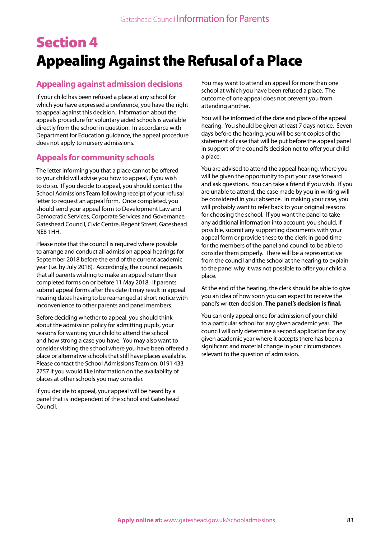# Section 4 Appealing Against the Refusal of a Place

## **Appealing against admission decisions**

If your child has been refused a place at any school for which you have expressed a preference, you have the right to appeal against this decision. Information about the appeals procedure for voluntary aided schools is available directly from the school in question. In accordance with Department for Education guidance, the appeal procedure does not apply to nursery admissions.

### **Appeals for community schools**

The letter informing you that a place cannot be offered to your child will advise you how to appeal, if you wish to do so. If you decide to appeal, you should contact the School Admissions Team following receipt of your refusal letter to request an appeal form. Once completed, you should send your appeal form to Development Law and Democratic Services, Corporate Services and Governance, Gateshead Council, Civic Centre, Regent Street, Gateshead NE8 1HH.

Please note that the council is required where possible to arrange and conduct all admission appeal hearings for September 2018 before the end of the current academic year (i.e. by July 2018). Accordingly, the council requests that all parents wishing to make an appeal return their completed forms on or before 11 May 2018. If parents submit appeal forms after this date it may result in appeal hearing dates having to be rearranged at short notice with inconvenience to other parents and panel members.

Before deciding whether to appeal, you should think about the admission policy for admitting pupils, your reasons for wanting your child to attend the school and how strong a case you have. You may also want to consider visiting the school where you have been offered a place or alternative schools that still have places available. Please contact the School Admissions Team on: 0191 433 2757 if you would like information on the availability of places at other schools you may consider.

If you decide to appeal, your appeal will be heard by a panel that is independent of the school and Gateshead Council.

You may want to attend an appeal for more than one school at which you have been refused a place. The outcome of one appeal does not prevent you from attending another.

You will be informed of the date and place of the appeal hearing. You should be given at least 7 days notice. Seven days before the hearing, you will be sent copies of the statement of case that will be put before the appeal panel in support of the council's decision not to offer your child a place.

You are advised to attend the appeal hearing, where you will be given the opportunity to put your case forward and ask questions. You can take a friend if you wish. If you are unable to attend, the case made by you in writing will be considered in your absence. In making your case, you will probably want to refer back to your original reasons for choosing the school. If you want the panel to take any additional information into account, you should, if possible, submit any supporting documents with your appeal form or provide these to the clerk in good time for the members of the panel and council to be able to consider them properly. There will be a representative from the council and the school at the hearing to explain to the panel why it was not possible to offer your child a place.

At the end of the hearing, the clerk should be able to give you an idea of how soon you can expect to receive the panel's written decision. **The panel's decision is final.**

You can only appeal once for admission of your child to a particular school for any given academic year. The council will only determine a second application for any given academic year where it accepts there has been a significant and material change in your circumstances relevant to the question of admission.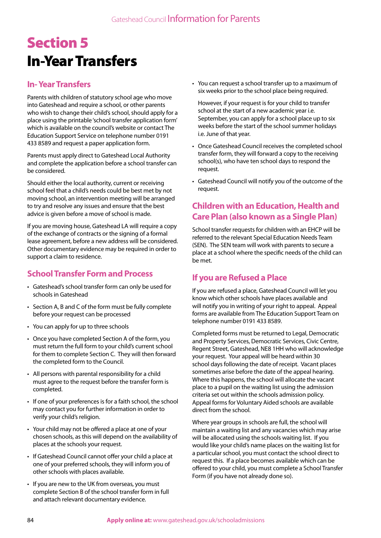# Section 5 In-Year Transfers

## **In- Year Transfers**

Parents with children of statutory school age who move into Gateshead and require a school, or other parents who wish to change their child's school, should apply for a place using the printable 'school transfer application form' which is available on the council's website or contact The Education Support Service on telephone number 0191 433 8589 and request a paper application form.

Parents must apply direct to Gateshead Local Authority and complete the application before a school transfer can be considered.

Should either the local authority, current or receiving school feel that a child's needs could be best met by not moving school, an intervention meeting will be arranged to try and resolve any issues and ensure that the best advice is given before a move of school is made.

If you are moving house, Gateshead LA will require a copy of the exchange of contracts or the signing of a formal lease agreement, before a new address will be considered. Other documentary evidence may be required in order to support a claim to residence.

## **School Transfer Form and Process**

- Gateshead's school transfer form can only be used for schools in Gateshead
- Section A, B and C of the form must be fully complete before your request can be processed
- You can apply for up to three schools
- Once you have completed Section A of the form, you must return the full form to your child's current school for them to complete Section C. They will then forward the completed form to the Council.
- All persons with parental responsibility for a child must agree to the request before the transfer form is completed.
- If one of your preferences is for a faith school, the school may contact you for further information in order to verify your child's religion.
- Your child may not be offered a place at one of your chosen schools, as this will depend on the availability of places at the schools your request.
- If Gateshead Council cannot offer your child a place at one of your preferred schools, they will inform you of other schools with places available.
- If you are new to the UK from overseas, you must complete Section B of the school transfer form in full and attach relevant documentary evidence.

• You can request a school transfer up to a maximum of six weeks prior to the school place being required.

However, if your request is for your child to transfer school at the start of a new academic year i.e. September, you can apply for a school place up to six weeks before the start of the school summer holidays i.e. June of that year.

- Once Gateshead Council receives the completed school transfer form, they will forward a copy to the receiving school(s), who have ten school days to respond the request.
- Gateshead Council will notify you of the outcome of the request.

## **Children with an Education, Health and Care Plan (also known as a Single Plan)**

School transfer requests for children with an EHCP will be referred to the relevant Special Education Needs Team (SEN). The SEN team will work with parents to secure a place at a school where the specific needs of the child can be met.

## **If you are Refused a Place**

If you are refused a place, Gateshead Council will let you know which other schools have places available and will notify you in writing of your right to appeal. Appeal forms are available from The Education Support Team on telephone number 0191 433 8589.

Completed forms must be returned to Legal, Democratic and Property Services, Democratic Services, Civic Centre, Regent Street, Gateshead, NE8 1HH who will acknowledge your request. Your appeal will be heard within 30 school days following the date of receipt. Vacant places sometimes arise before the date of the appeal hearing. Where this happens, the school will allocate the vacant place to a pupil on the waiting list using the admission criteria set out within the schools admission policy. Appeal forms for Voluntary Aided schools are available direct from the school.

Where year groups in schools are full, the school will maintain a waiting list and any vacancies which may arise will be allocated using the schools waiting list. If you would like your child's name places on the waiting list for a particular school, you must contact the school direct to request this. If a place becomes available which can be offered to your child, you must complete a School Transfer Form (if you have not already done so).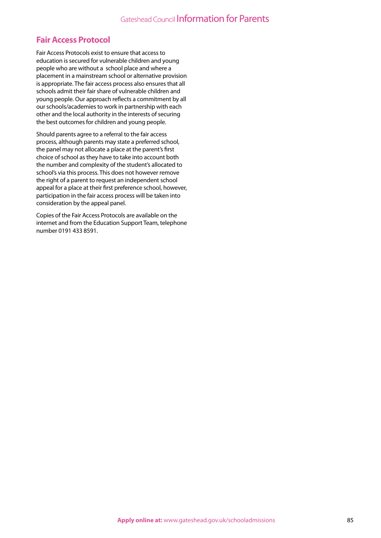## **Fair Access Protocol**

Fair Access Protocols exist to ensure that access to education is secured for vulnerable children and young people who are without a school place and where a placement in a mainstream school or alternative provision is appropriate. The fair access process also ensures that all schools admit their fair share of vulnerable children and young people. Our approach reflects a commitment by all our schools/academies to work in partnership with each other and the local authority in the interests of securing the best outcomes for children and young people.

Should parents agree to a referral to the fair access process, although parents may state a preferred school, the panel may not allocate a place at the parent's first choice of school as they have to take into account both the number and complexity of the student's allocated to school's via this process. This does not however remove the right of a parent to request an independent school appeal for a place at their first preference school, however, participation in the fair access process will be taken into consideration by the appeal panel.

Copies of the Fair Access Protocols are available on the internet and from the Education Support Team, telephone number 0191 433 8591.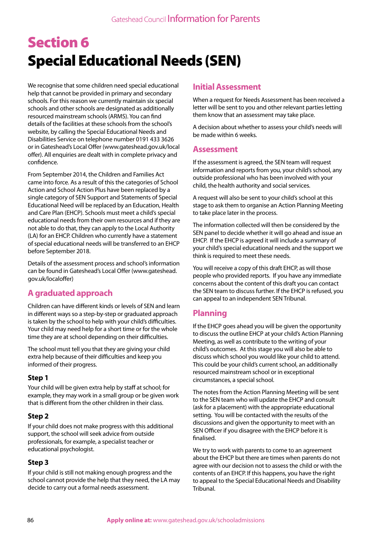# Section 6 Special Educational Needs (SEN)

We recognise that some children need special educational help that cannot be provided in primary and secondary schools. For this reason we currently maintain six special schools and other schools are designated as additionally resourced mainstream schools (ARMS). You can find details of the facilities at these schools from the school's website, by calling the Special Educational Needs and Disabilities Service on telephone number 0191 433 3626 or in Gateshead's Local Offer (www.gateshead.gov.uk/local offer). All enquiries are dealt with in complete privacy and confidence.

From September 2014, the Children and Families Act came into force. As a result of this the categories of School Action and School Action Plus have been replaced by a single category of SEN Support and Statements of Special Educational Need will be replaced by an Education, Health and Care Plan (EHCP). Schools must meet a child's special educational needs from their own resources and if they are not able to do that, they can apply to the Local Authority (LA) for an EHCP. Children who currently have a statement of special educational needs will be transferred to an EHCP before September 2018.

Details of the assessment process and school's information can be found in Gateshead's Local Offer (www.gateshead. gov.uk/localoffer)

## **A graduated approach**

Children can have different kinds or levels of SEN and learn in different ways so a step-by-step or graduated approach is taken by the school to help with your child's difficulties. Your child may need help for a short time or for the whole time they are at school depending on their difficulties.

The school must tell you that they are giving your child extra help because of their difficulties and keep you informed of their progress.

#### **Step 1**

Your child will be given extra help by staff at school; for example, they may work in a small group or be given work that is different from the other children in their class.

#### **Step 2**

If your child does not make progress with this additional support, the school will seek advice from outside professionals, for example, a specialist teacher or educational psychologist.

#### **Step 3**

If your child is still not making enough progress and the school cannot provide the help that they need, the LA may decide to carry out a formal needs assessment.

## **Initial Assessment**

When a request for Needs Assessment has been received a letter will be sent to you and other relevant parties letting them know that an assessment may take place.

A decision about whether to assess your child's needs will be made within 6 weeks.

#### **Assessment**

If the assessment is agreed, the SEN team will request information and reports from you, your child's school, any outside professional who has been involved with your child, the health authority and social services.

A request will also be sent to your child's school at this stage to ask them to organise an Action Planning Meeting to take place later in the process.

The information collected will then be considered by the SEN panel to decide whether it will go ahead and issue an EHCP. If the EHCP is agreed it will include a summary of your child's special educational needs and the support we think is required to meet these needs.

You will receive a copy of this draft EHCP, as will those people who provided reports. If you have any immediate concerns about the content of this draft you can contact the SEN team to discuss further. If the EHCP is refused, you can appeal to an independent SEN Tribunal.

## **Planning**

If the EHCP goes ahead you will be given the opportunity to discuss the outline EHCP at your child's Action Planning Meeting, as well as contribute to the writing of your child's outcomes. At this stage you will also be able to discuss which school you would like your child to attend. This could be your child's current school, an additionally resourced mainstream school or in exceptional circumstances, a special school.

The notes from the Action Planning Meeting will be sent to the SEN team who will update the EHCP and consult (ask for a placement) with the appropriate educational setting. You will be contacted with the results of the discussions and given the opportunity to meet with an SEN Officer if you disagree with the EHCP before it is finalised.

We try to work with parents to come to an agreement about the EHCP but there are times when parents do not agree with our decision not to assess the child or with the contents of an EHCP. If this happens, you have the right to appeal to the Special Educational Needs and Disability Tribunal.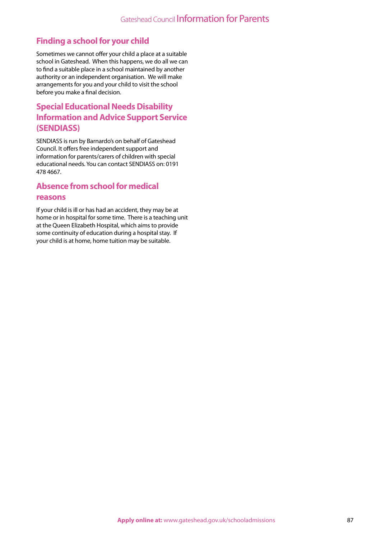## **Finding a school for your child**

Sometimes we cannot offer your child a place at a suitable school in Gateshead. When this happens, we do all we can to find a suitable place in a school maintained by another authority or an independent organisation. We will make arrangements for you and your child to visit the school before you make a final decision.

## **Special Educational Needs Disability Information and Advice Support Service (SENDIASS)**

SENDIASS is run by Barnardo's on behalf of Gateshead Council. It offers free independent support and information for parents/carers of children with special educational needs. You can contact SENDIASS on: 0191 478 4667.

# **Absence from school for medical**

#### **reasons**

If your child is ill or has had an accident, they may be at home or in hospital for some time. There is a teaching unit at the Queen Elizabeth Hospital, which aims to provide some continuity of education during a hospital stay. If your child is at home, home tuition may be suitable.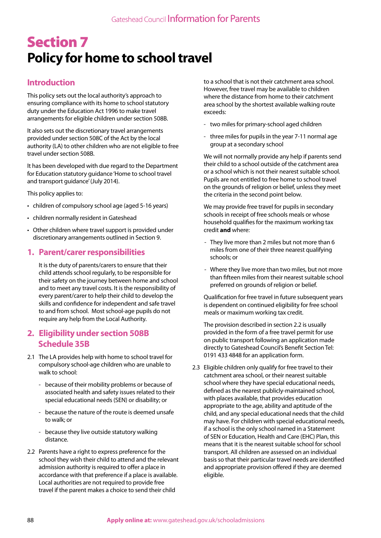# Section 7 **Policy for home to school travel**

## **Introduction**

This policy sets out the local authority's approach to ensuring compliance with its home to school statutory duty under the Education Act 1996 to make travel arrangements for eligible children under section 508B.

It also sets out the discretionary travel arrangements provided under section 508C of the Act by the local authority (LA) to other children who are not eligible to free travel under section 508B.

It has been developed with due regard to the Department for Education statutory guidance 'Home to school travel and transport guidance' (July 2014).

This policy applies to:

- children of compulsory school age (aged 5-16 years)
- children normally resident in Gateshead
- Other children where travel support is provided under discretionary arrangements outlined in Section 9.

#### **1. Parent/carer responsibilities**

It is the duty of parents/carers to ensure that their child attends school regularly, to be responsible for their safety on the journey between home and school and to meet any travel costs. It is the responsibility of every parent/carer to help their child to develop the skills and confidence for independent and safe travel to and from school. Most school-age pupils do not require any help from the Local Authority.

#### **2. Eligibility under section 508B Schedule 35B**

- 2.1 The LA provides help with home to school travel for compulsory school-age children who are unable to walk to school:
	- because of their mobility problems or because of associated health and safety issues related to their special educational needs (SEN) or disability; or
	- because the nature of the route is deemed unsafe to walk; or
	- because they live outside statutory walking distance.
- 2.2 Parents have a right to express preference for the school they wish their child to attend and the relevant admission authority is required to offer a place in accordance with that preference if a place is available. Local authorities are not required to provide free travel if the parent makes a choice to send their child

to a school that is not their catchment area school. However, free travel may be available to children where the distance from home to their catchment area school by the shortest available walking route exceeds:

- two miles for primary-school aged children
- three miles for pupils in the year 7-11 normal age group at a secondary school

We will not normally provide any help if parents send their child to a school outside of the catchment area or a school which is not their nearest suitable school. Pupils are not entitled to free home to school travel on the grounds of religion or belief, unless they meet the criteria in the second point below.

We may provide free travel for pupils in secondary schools in receipt of free schools meals or whose household qualifies for the maximum working tax credit **and** where:

- They live more than 2 miles but not more than 6 miles from one of their three nearest qualifying schools; or
- Where they live more than two miles, but not more than fifteen miles from their nearest suitable school preferred on grounds of religion or belief.

Qualification for free travel in future subsequent years is dependent on continued eligibility for free school meals or maximum working tax credit.

The provision described in section 2.2 is usually provided in the form of a free travel permit for use on public transport following an application made directly to Gateshead Council's Benefit Section Tel: 0191 433 4848 for an application form.

2.3 Eligible children only qualify for free travel to their catchment area school, or their nearest suitable school where they have special educational needs, defined as the nearest publicly-maintained school, with places available, that provides education appropriate to the age, ability and aptitude of the child, and any special educational needs that the child may have. For children with special educational needs, if a school is the only school named in a Statement of SEN or Education, Health and Care (EHC) Plan, this means that it is the nearest suitable school for school transport. All children are assessed on an individual basis so that their particular travel needs are identified and appropriate provision offered if they are deemed eligible.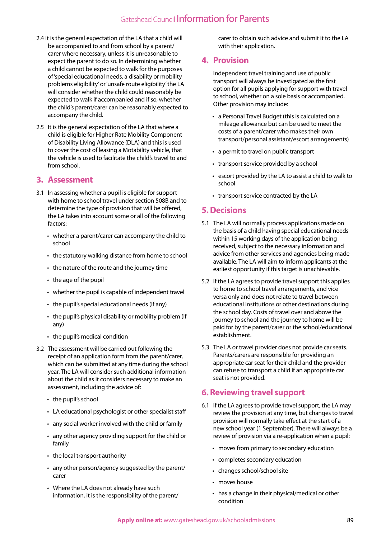- 2.4 It is the general expectation of the LA that a child will be accompanied to and from school by a parent/ carer where necessary, unless it is unreasonable to expect the parent to do so. In determining whether a child cannot be expected to walk for the purposes of 'special educational needs, a disability or mobility problems eligibility' or 'unsafe route eligibility' the LA will consider whether the child could reasonably be expected to walk if accompanied and if so, whether the child's parent/carer can be reasonably expected to accompany the child.
- 2.5 It is the general expectation of the LA that where a child is eligible for Higher Rate Mobility Component of Disability Living Allowance (DLA) and this is used to cover the cost of leasing a Motability vehicle, that the vehicle is used to facilitate the child's travel to and from school.

#### **3. Assessment**

- 3.1 In assessing whether a pupil is eligible for support with home to school travel under section 508B and to determine the type of provision that will be offered, the LA takes into account some or all of the following factors:
	- whether a parent/carer can accompany the child to school
	- the statutory walking distance from home to school
	- the nature of the route and the journey time
	- the age of the pupil
	- whether the pupil is capable of independent travel
	- the pupil's special educational needs (if any)
	- the pupil's physical disability or mobility problem (if any)
	- the pupil's medical condition
- 3.2 The assessment will be carried out following the receipt of an application form from the parent/carer, which can be submitted at any time during the school year. The LA will consider such additional information about the child as it considers necessary to make an assessment, including the advice of:
	- the pupil's school
	- LA educational psychologist or other specialist staff
	- any social worker involved with the child or family
	- any other agency providing support for the child or family
	- the local transport authority
	- any other person/agency suggested by the parent/ carer
	- Where the LA does not already have such information, it is the responsibility of the parent/

carer to obtain such advice and submit it to the LA with their application.

### **4. Provision**

Independent travel training and use of public transport will always be investigated as the first option for all pupils applying for support with travel to school, whether on a sole basis or accompanied. Other provision may include:

- a Personal Travel Budget (this is calculated on a mileage allowance but can be used to meet the costs of a parent/carer who makes their own transport/personal assistant/escort arrangements)
- a permit to travel on public transport
- transport service provided by a school
- escort provided by the LA to assist a child to walk to school
- transport service contracted by the LA

#### **5. Decisions**

- 5.1 The LA will normally process applications made on the basis of a child having special educational needs within 15 working days of the application being received, subject to the necessary information and advice from other services and agencies being made available. The LA will aim to inform applicants at the earliest opportunity if this target is unachievable.
- 5.2 If the LA agrees to provide travel support this applies to home to school travel arrangements, and vice versa only and does not relate to travel between educational institutions or other destinations during the school day. Costs of travel over and above the journey to school and the journey to home will be paid for by the parent/carer or the school/educational establishment.
- 5.3 The LA or travel provider does not provide car seats. Parents/carers are responsible for providing an appropriate car seat for their child and the provider can refuse to transport a child if an appropriate car seat is not provided.

## **6. Reviewing travel support**

- 6.1 If the LA agrees to provide travel support, the LA may review the provision at any time, but changes to travel provision will normally take effect at the start of a new school year (1 September). There will always be a review of provision via a re-application when a pupil:
	- moves from primary to secondary education
	- completes secondary education
	- changes school/school site
	- moves house
	- has a change in their physical/medical or other condition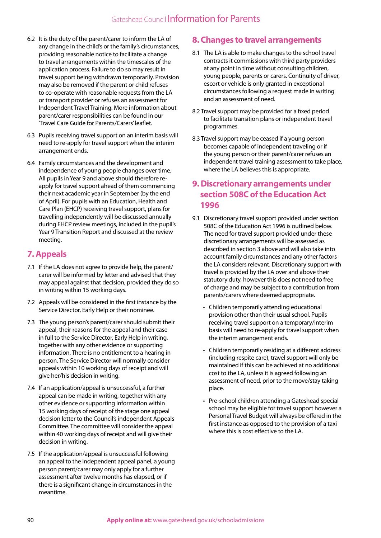- 6.2 It is the duty of the parent/carer to inform the LA of any change in the child's or the family's circumstances, providing reasonable notice to facilitate a change to travel arrangements within the timescales of the application process. Failure to do so may result in travel support being withdrawn temporarily. Provision may also be removed if the parent or child refuses to co-operate with reasonable requests from the LA or transport provider or refuses an assessment for Independent Travel Training. More information about parent/carer responsibilities can be found in our 'Travel Care Guide for Parents/Carers' leaflet.
- 6.3 Pupils receiving travel support on an interim basis will need to re-apply for travel support when the interim arrangement ends.
- 6.4 Family circumstances and the development and independence of young people changes over time. All pupils in Year 9 and above should therefore reapply for travel support ahead of them commencing their next academic year in September (by the end of April). For pupils with an Education, Health and Care Plan (EHCP) receiving travel support, plans for travelling independently will be discussed annually during EHCP review meetings, included in the pupil's Year 9 Transition Report and discussed at the review meeting.

## **7. Appeals**

- 7.1 If the LA does not agree to provide help, the parent/ carer will be informed by letter and advised that they may appeal against that decision, provided they do so in writing within 15 working days.
- 7.2 Appeals will be considered in the first instance by the Service Director, Early Help or their nominee.
- 7.3 The young person's parent/carer should submit their appeal, their reasons for the appeal and their case in full to the Service Director, Early Help in writing, together with any other evidence or supporting information. There is no entitlement to a hearing in person. The Service Director will normally consider appeals within 10 working days of receipt and will give her/his decision in writing.
- 7.4 If an application/appeal is unsuccessful, a further appeal can be made in writing, together with any other evidence or supporting information within 15 working days of receipt of the stage one appeal decision letter to the Council's independent Appeals Committee. The committee will consider the appeal within 40 working days of receipt and will give their decision in writing.
- 7.5 If the application/appeal is unsuccessful following an appeal to the independent appeal panel, a young person parent/carer may only apply for a further assessment after twelve months has elapsed, or if there is a significant change in circumstances in the meantime.

### **8. Changes to travel arrangements**

- 8.1 The LA is able to make changes to the school travel contracts it commissions with third party providers at any point in time without consulting children, young people, parents or carers. Continuity of driver, escort or vehicle is only granted in exceptional circumstances following a request made in writing and an assessment of need.
- 8.2 Travel support may be provided for a fixed period to facilitate transition plans or independent travel programmes.
- 8.3 Travel support may be ceased if a young person becomes capable of independent traveling or if the young person or their parent/carer refuses an independent travel training assessment to take place, where the LA believes this is appropriate.

## **9. Discretionary arrangements under section 508C of the Education Act 1996**

- 9.1 Discretionary travel support provided under section 508C of the Education Act 1996 is outlined below. The need for travel support provided under these discretionary arrangements will be assessed as described in section 3 above and will also take into account family circumstances and any other factors the LA considers relevant. Discretionary support with travel is provided by the LA over and above their statutory duty, however this does not need to free of charge and may be subject to a contribution from parents/carers where deemed appropriate.
	- Children temporarily attending educational provision other than their usual school. Pupils receiving travel support on a temporary/interim basis will need to re-apply for travel support when the interim arrangement ends.
	- Children temporarily residing at a different address (including respite care), travel support will only be maintained if this can be achieved at no additional cost to the LA, unless it is agreed following an assessment of need, prior to the move/stay taking place.
	- Pre-school children attending a Gateshead special school may be eligible for travel support however a Personal Travel Budget will always be offered in the first instance as opposed to the provision of a taxi where this is cost effective to the LA.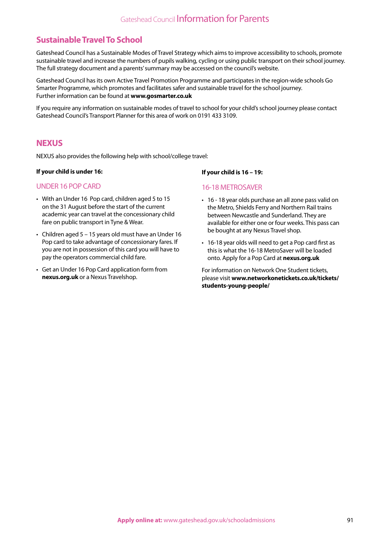## **Sustainable Travel To School**

Gateshead Council has a Sustainable Modes of Travel Strategy which aims to improve accessibility to schools, promote sustainable travel and increase the numbers of pupils walking, cycling or using public transport on their school journey. The full strategy document and a parents' summary may be accessed on the council's website.

Gateshead Council has its own Active Travel Promotion Programme and participates in the region-wide schools Go Smarter Programme, which promotes and facilitates safer and sustainable travel for the school journey. Further information can be found at **www.gosmarter.co.uk**

If you require any information on sustainable modes of travel to school for your child's school journey please contact Gateshead Council's Transport Planner for this area of work on 0191 433 3109.

### **NEXUS**

NEXUS also provides the following help with school/college travel:

#### **If your child is under 16:**

#### UNDER 16 POP CARD

- With an Under 16 Pop card, children aged 5 to 15 on the 31 August before the start of the current academic year can travel at the concessionary child fare on public transport in Tyne & Wear.
- Children aged 5 15 years old must have an Under 16 Pop card to take advantage of concessionary fares. If you are not in possession of this card you will have to pay the operators commercial child fare.
- Get an Under 16 Pop Card application form from **nexus.org.uk** or a Nexus Travelshop.

#### **If your child is 16 – 19:**

#### 16-18 METROSAVER

- 16 18 year olds purchase an all zone pass valid on the Metro, Shields Ferry and Northern Rail trains between Newcastle and Sunderland. They are available for either one or four weeks. This pass can be bought at any Nexus Travel shop.
- 16-18 year olds will need to get a Pop card first as this is what the 16-18 MetroSaver will be loaded onto. Apply for a Pop Card at **nexus.org.uk**

For information on Network One Student tickets, please visit **www.networkonetickets.co.uk/tickets/ students-young-people/**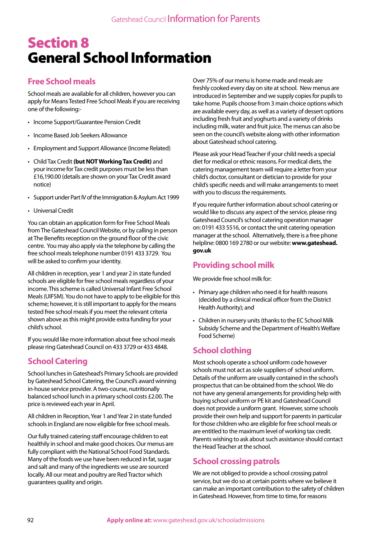# Section 8 General School Information

## **Free School meals**

School meals are available for all children, however you can apply for Means Tested Free School Meals if you are receiving one of the following:-

- Income Support/Guarantee Pension Credit
- Income Based Job Seekers Allowance
- Employment and Support Allowance (Income Related)
- Child Tax Credit **(but NOT Working Tax Credit)** and your income for Tax credit purposes must be less than £16,190.00 (details are shown on your Tax Credit award notice)
- Support under Part IV of the Immigration & Asylum Act 1999
- Universal Credit

You can obtain an application form for Free School Meals from The Gateshead Council Website, or by calling in person at The Benefits reception on the ground floor of the civic centre. You may also apply via the telephone by calling the free school meals telephone number 0191 433 3729. You will be asked to confirm your identity.

All children in reception, year 1 and year 2 in state funded schools are eligible for free school meals regardless of your income. This scheme is called Universal Infant Free School Meals (UIFSM). You do not have to apply to be eligible for this scheme; however, it is still important to apply for the means tested free school meals if you meet the relevant criteria shown above as this might provide extra funding for your child's school.

If you would like more information about free school meals please ring Gateshead Council on 433 3729 or 433 4848.

## **School Catering**

School lunches in Gateshead's Primary Schools are provided by Gateshead School Catering, the Council's award winning in-house service provider. A two-course, nutritionally balanced school lunch in a primary school costs £2.00. The price is reviewed each year in April.

All children in Reception, Year 1 and Year 2 in state funded schools in England are now eligible for free school meals.

Our fully trained catering staff encourage children to eat healthily in school and make good choices. Our menus are fully compliant with the National School Food Standards. Many of the foods we use have been reduced in fat, sugar and salt and many of the ingredients we use are sourced locally. All our meat and poultry are Red Tractor which guarantees quality and origin.

Over 75% of our menu is home made and meals are freshly cooked every day on site at school. New menus are introduced in September and we supply copies for pupils to take home. Pupils choose from 3 main choice options which are available every day, as well as a variety of dessert options including fresh fruit and yoghurts and a variety of drinks including milk, water and fruit juice. The menus can also be seen on the council's website along with other information about Gateshead school catering.

Please ask your Head Teacher if your child needs a special diet for medical or ethnic reasons. For medical diets, the catering management team will require a letter from your child's doctor, consultant or dietician to provide for your child's specific needs and will make arrangements to meet with you to discuss the requirements.

If you require further information about school catering or would like to discuss any aspect of the service, please ring Gateshead Council's school catering operation manager on: 0191 433 5516, or contact the unit catering operation manager at the school. Alternatively, there is a free phone helpline: 0800 169 2780 or our website: **www.gateshead. gov.uk**

## **Providing school milk**

We provide free school milk for:

- Primary age children who need it for health reasons (decided by a clinical medical officer from the District Health Authority); and
- Children in nursery units (thanks to the EC School Milk Subsidy Scheme and the Department of Health's Welfare Food Scheme)

## **School clothing**

Most schools operate a school uniform code however schools must not act as sole suppliers of school uniform. Details of the uniform are usually contained in the school's prospectus that can be obtained from the school. We do not have any general arrangements for providing help with buying school uniform or PE kit and Gateshead Council does not provide a uniform grant. However, some schools provide their own help and support for parents in particular for those children who are eligible for free school meals or are entitled to the maximum level of working tax credit. Parents wishing to ask about such assistance should contact the Head Teacher at the school.

## **School crossing patrols**

We are not obliged to provide a school crossing patrol service, but we do so at certain points where we believe it can make an important contribution to the safety of children in Gateshead. However, from time to time, for reasons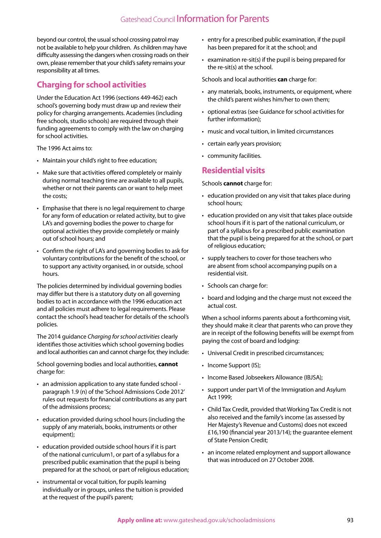beyond our control, the usual school crossing patrol may not be available to help your children. As children may have difficulty assessing the dangers when crossing roads on their own, please remember that your child's safety remains your responsibility at all times.

## **Charging for school activities**

Under the Education Act 1996 (sections 449-462) each school's governing body must draw up and review their policy for charging arrangements. Academies (including free schools, studio schools) are required through their funding agreements to comply with the law on charging for school activities.

The 1996 Act aims to:

- Maintain your child's right to free education;
- Make sure that activities offered completely or mainly during normal teaching time are available to all pupils, whether or not their parents can or want to help meet the costs;
- Emphasise that there is no legal requirement to charge for any form of education or related activity, but to give LA's and governing bodies the power to charge for optional activities they provide completely or mainly out of school hours; and
- Confirm the right of LA's and governing bodies to ask for voluntary contributions for the benefit of the school, or to support any activity organised, in or outside, school hours.

The policies determined by individual governing bodies may differ but there is a statutory duty on all governing bodies to act in accordance with the 1996 education act and all policies must adhere to legal requirements. Please contact the school's head teacher for details of the school's policies.

The 2014 guidance *Charging for school activities* clearly identifies those activities which school governing bodies and local authorities can and cannot charge for, they include:

School governing bodies and local authorities, **cannot**  charge for:

- an admission application to any state funded school paragraph 1.9 (n) of the 'School Admissions Code 2012' rules out requests for financial contributions as any part of the admissions process;
- education provided during school hours (including the supply of any materials, books, instruments or other equipment);
- education provided outside school hours if it is part of the national curriculum1, or part of a syllabus for a prescribed public examination that the pupil is being prepared for at the school, or part of religious education;
- instrumental or vocal tuition, for pupils learning individually or in groups, unless the tuition is provided at the request of the pupil's parent;
- entry for a prescribed public examination, if the pupil has been prepared for it at the school; and
- examination re-sit(s) if the pupil is being prepared for the re-sit(s) at the school.

Schools and local authorities **can** charge for:

- any materials, books, instruments, or equipment, where the child's parent wishes him/her to own them;
- optional extras (see Guidance for school activities for further information);
- music and vocal tuition, in limited circumstances
- certain early years provision;
- community facilities.

### **Residential visits**

Schools **cannot** charge for:

- education provided on any visit that takes place during school hours;
- education provided on any visit that takes place outside school hours if it is part of the national curriculum, or part of a syllabus for a prescribed public examination that the pupil is being prepared for at the school, or part of religious education;
- supply teachers to cover for those teachers who are absent from school accompanying pupils on a residential visit.
- Schools can charge for:
- board and lodging and the charge must not exceed the actual cost.

When a school informs parents about a forthcoming visit, they should make it clear that parents who can prove they are in receipt of the following benefits will be exempt from paying the cost of board and lodging:

- Universal Credit in prescribed circumstances;
- Income Support (IS);
- Income Based Jobseekers Allowance (IBJSA);
- support under part VI of the Immigration and Asylum Act 1999;
- Child Tax Credit, provided that Working Tax Credit is not also received and the family's income (as assessed by Her Majesty's Revenue and Customs) does not exceed £16,190 (financial year 2013/14); the guarantee element of State Pension Credit;
- an income related employment and support allowance that was introduced on 27 October 2008.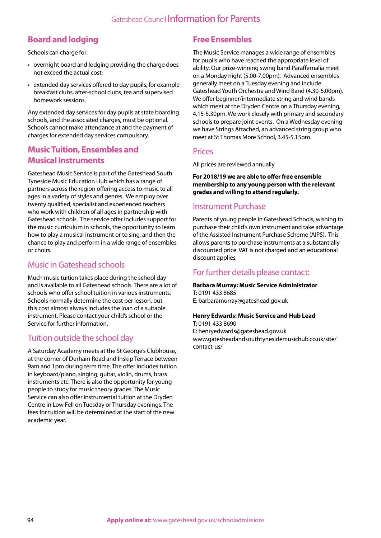## **Board and lodging**

Schools can charge for:

- overnight board and lodging providing the charge does not exceed the actual cost;
- extended day services offered to day pupils, for example breakfast clubs, after-school clubs, tea and supervised homework sessions.

Any extended day services for day pupils at state boarding schools, and the associated charges, must be optional. Schools cannot make attendance at and the payment of charges for extended day services compulsory.

## **Music Tuition, Ensembles and Musical Instruments**

Gateshead Music Service is part of the Gateshead South Tyneside Music Education Hub which has a range of partners across the region offering access to music to all ages in a variety of styles and genres. We employ over twenty qualified, specialist and experienced teachers who work with children of all ages in partnership with Gateshead schools. The service offer includes support for the music curriculum in schools, the opportunity to learn how to play a musical instrument or to sing, and then the chance to play and perform in a wide range of ensembles or choirs.

## Music in Gateshead schools

Much music tuition takes place during the school day and is available to all Gateshead schools. There are a lot of schools who offer school tuition in various instruments. Schools normally determine the cost per lesson, but this cost almost always includes the loan of a suitable instrument. Please contact your child's school or the Service for further information.

## Tuition outside the school day

A Saturday Academy meets at the St George's Clubhouse, at the corner of Durham Road and Inskip Terrace between 9am and 1pm during term time. The offer includes tuition in keyboard/piano, singing, guitar, violin, drums, brass instruments etc. There is also the opportunity for young people to study for music theory grades. The Music Service can also offer instrumental tuition at the Dryden Centre in Low Fell on Tuesday or Thursday evenings. The fees for tuition will be determined at the start of the new academic year.

## **Free Ensembles**

The Music Service manages a wide range of ensembles for pupils who have reached the appropriate level of ability. Our prize-winning swing band Paraffernalia meet on a Monday night (5.00-7.00pm). Advanced ensembles generally meet on a Tuesday evening and include Gateshead Youth Orchestra and Wind Band (4.30-6.00pm). We offer beginner/intermediate string and wind bands which meet at the Dryden Centre on a Thursday evening, 4.15-5.30pm. We work closely with primary and secondary schools to prepare joint events. On a Wednesday evening we have Strings Attached, an advanced string group who meet at St Thomas More School, 3.45-5.15pm.

## Prices

All prices are reviewed annually.

**For 2018/19 we are able to offer free ensemble membership to any young person with the relevant grades and willing to attend regularly.**

## Instrument Purchase

Parents of young people in Gateshead Schools, wishing to purchase their child's own instrument and take advantage of the Assisted Instrument Purchase Scheme (AIPS). This allows parents to purchase instruments at a substantially discounted price. VAT is not charged and an educational discount applies.

## For further details please contact:

#### **Barbara Murray: Music Service Administrator**  T: 0191 433 8685

E: barbaramurray@gateshead.gov.uk

#### **Henry Edwards: Music Service and Hub Lead**

T: 0191 433 8690 E: henryedwards@gateshead.gov.uk www.gatesheadandsouthtynesidemusichub.co.uk/site/ contact-us/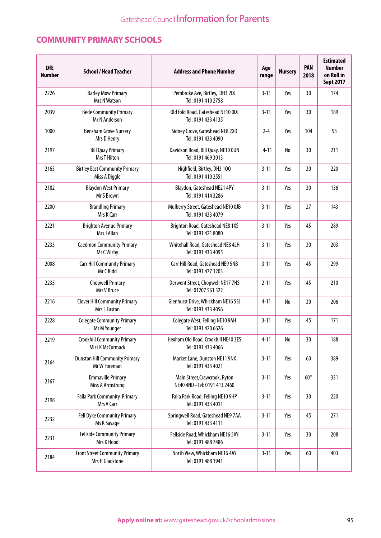## **COMMUNITY PRIMARY SCHOOLS**

| <b>DfE</b><br><b>Number</b> | <b>School / Head Teacher</b>                             | <b>Address and Phone Number</b>                                | Age<br>range | <b>Nursery</b>               | <b>PAN</b><br>2018 | <b>Estimated</b><br><b>Number</b><br>on Roll in<br><b>Sept 2017</b> |
|-----------------------------|----------------------------------------------------------|----------------------------------------------------------------|--------------|------------------------------|--------------------|---------------------------------------------------------------------|
| 2226                        | <b>Barley Mow Primary</b><br>Mrs N Watson                | Pembroke Ave, Birtley, DH3 2DJ<br>Tel: 0191 410 2758           | $3 - 11$     | Yes                          | 30                 | 174                                                                 |
| 2039                        | <b>Bede Community Primary</b><br>Mr N Anderson           | Old fold Road, Gateshead NE10 ODJ<br>Tel: 0191 433 4135        | $3 - 11$     | Yes                          | 30                 | 189                                                                 |
| 1000                        | <b>Bensham Grove Nursery</b><br>Mrs D Henry              | Sidney Grove, Gateshead NE8 2XD<br>Tel: 0191 433 4090          | $2 - 4$      | Yes                          | 104                | 93                                                                  |
| 2197                        | <b>Bill Quay Primary</b><br><b>Mrs T Hilton</b>          | Davidson Road, Bill Quay, NE10 OUN<br>Tel: 0191 469 3013       | $4 - 11$     | No                           | 30                 | 211                                                                 |
| 2163                        | <b>Birtley East Community Primary</b><br>Miss A Diggle   | Highfield, Birtley, DH3 1QQ<br>Tel: 0191 410 2551              | $3 - 11$     | Yes                          | 30                 | 220                                                                 |
| 2182                        | <b>Blaydon West Primary</b><br>Mr S Brown                | Blaydon, Gateshead NE21 4PY<br>Tel: 0191 414 3286              | $3 - 11$     | Yes                          | 30                 | 136                                                                 |
| 2200                        | <b>Brandling Primary</b><br>Mrs K Carr                   | Mulberry Street, Gateshead NE10 OJB<br>Tel: 0191 433 4079      | $3 - 11$     | Yes                          | 27                 | 143                                                                 |
| 2221                        | <b>Brighton Avenue Primary</b><br>Mrs J Allan            | Brighton Road, Gateshead NE8 1XS<br>Tel: 0191 421 8080         | $3 - 11$     | Yes                          | 45                 | 289                                                                 |
| 2233                        | <b>Caedmon Community Primary</b><br>Mr C Wisby           | Whitehall Road, Gateshead NE8 4LH<br>Tel: 0191 433 4095        | $3 - 11$     | Yes                          | 30                 | 203                                                                 |
| 2008                        | <b>Carr Hill Community Primary</b><br>Mr C Kidd          | Carr Hill Road, Gateshead NE9 5NB<br>Tel: 0191 477 1203        | $3 - 11$     | Yes                          | 45                 | 299                                                                 |
| 2235                        | <b>Chopwell Primary</b><br>Mrs V Bruce                   | Derwent Street, Chopwell NE17 7HS<br>Tel: 01207 561 322        | $2 - 11$     | Yes                          | 45                 | 210                                                                 |
| 2216                        | <b>Clover Hill Community Primary</b><br>Mrs L Easton     | Glenhurst Drive, Whickham NE16 5SJ<br>Tel: 0191 433 4056       | $4 - 11$     | No                           | 30                 | 206                                                                 |
| 2228                        | <b>Colegate Community Primary</b><br>Mr M Younger        | Colegate West, Felling NE10 9AH<br>Tel: 0191 420 6626          | $3 - 11$     | Yes                          | 45                 | 171                                                                 |
| 2219                        | <b>Crookhill Community Primary</b><br>Miss K McCormack   | Hexham Old Road, Crookhill NE40 3ES<br>Tel: 0191 433 4066      | $4 - 11$     | $\operatorname{\mathsf{No}}$ | 30                 | 188                                                                 |
| 2164                        | <b>Dunston Hill Community Primary</b><br>Mr W Foreman    | Market Lane, Dunston NE11 9NX<br>Tel: 0191 433 4021            | $3 - 11$     | Yes                          | 60                 | 389                                                                 |
| 2167                        | <b>Emmaville Primary</b><br><b>Miss A Armstrong</b>      | Main Street, Crawcrook, Ryton<br>NE40 4ND - Tel: 0191 413 2460 | $3 - 11$     | Yes                          | $60*$              | 331                                                                 |
| 2198                        | Falla Park Community Primary<br>Mrs V Carr               | Falla Park Road, Felling NE10 9HP<br>Tel: 0191 433 4011        | $3 - 11$     | Yes                          | 30                 | 220                                                                 |
| 2232                        | Fell Dyke Community Primary<br>Ms K Savage               | Springwell Road, Gateshead NE9 7AA<br>Tel: 0191 433 4111       | $3 - 11$     | Yes                          | 45                 | 271                                                                 |
| 2231                        | <b>Fellside Community Primary</b><br>Mrs K Hood          | Fellside Road, Whickham NE16 5AY<br>Tel: 0191 488 7486         | $3 - 11$     | Yes                          | 30                 | 208                                                                 |
| 2184                        | <b>Front Street Community Primary</b><br>Mrs H Gladstone | North View, Whickham NE16 4AY<br>Tel: 0191 488 1941            | $3 - 11$     | Yes                          | 60                 | 403                                                                 |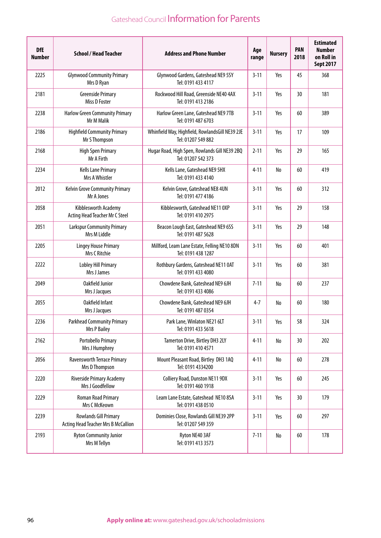| <b>DfE</b><br><b>Number</b> | <b>School / Head Teacher</b>                                        | <b>Address and Phone Number</b>                                       | Age<br>range | <b>Nursery</b> | <b>PAN</b><br>2018 | <b>Estimated</b><br><b>Number</b><br>on Roll in<br><b>Sept 2017</b> |
|-----------------------------|---------------------------------------------------------------------|-----------------------------------------------------------------------|--------------|----------------|--------------------|---------------------------------------------------------------------|
| 2225                        | <b>Glynwood Community Primary</b><br>Mrs D Ryan                     | Glynwood Gardens, Gateshead NE9 5SY<br>Tel: 0191 433 4117             | $3 - 11$     | Yes            | 45                 | 368                                                                 |
| 2181                        | <b>Greenside Primary</b><br>Miss D Foster                           | Rockwood Hill Road, Greenside NE40 4AX<br>Tel: 0191 413 2186          | $3 - 11$     | Yes            | 30                 | 181                                                                 |
| 2238                        | <b>Harlow Green Community Primary</b><br>Mr M Malik                 | Harlow Green Lane, Gateshead NE9 7TB<br>Tel: 0191 487 6703            | $3 - 11$     | Yes            | 60                 | 389                                                                 |
| 2186                        | <b>Highfield Community Primary</b><br>Mr S Thompson                 | Whinfield Way, Highfield, RowlandsGill NE39 2JE<br>Tel: 01207 549 882 | $3 - 11$     | Yes            | 17                 | 109                                                                 |
| 2168                        | <b>High Spen Primary</b><br>Mr A Firth                              | Hugar Road, High Spen, Rowlands Gill NE39 2BQ<br>Tel: 01207 542 373   | $2 - 11$     | Yes            | 29                 | 165                                                                 |
| 2234                        | <b>Kells Lane Primary</b><br>Mrs A Whistler                         | Kells Lane, Gateshead NE9 5HX<br>Tel: 0191 433 4140                   | $4 - 11$     | No             | 60                 | 419                                                                 |
| 2012                        | <b>Kelvin Grove Community Primary</b><br>Mr A Jones                 | Kelvin Grove, Gateshead NE8 4UN<br>Tel: 0191 477 4186                 | $3 - 11$     | Yes            | 60                 | 312                                                                 |
| 2058                        | Kibblesworth Academy<br>Acting Head Teacher Mr C Steel              | Kibblesworth, Gateshead NE11 0XP<br>Tel: 0191 410 2975                | $3 - 11$     | Yes            | 29                 | 158                                                                 |
| 2051                        | <b>Larkspur Community Primary</b><br>Mrs M Liddle                   | Beacon Lough East, Gateshead NE9 6SS<br>Tel: 0191 487 5628            | $3 - 11$     | Yes            | 29                 | 148                                                                 |
| 2205                        | <b>Lingey House Primary</b><br>Mrs C Ritchie                        | Millford, Leam Lane Estate, Felling NE10 8DN<br>Tel: 0191 438 1287    | $3 - 11$     | Yes            | 60                 | 401                                                                 |
| 2222                        | <b>Lobley Hill Primary</b><br>Mrs J James                           | Rothbury Gardens, Gateshead NE11 0AT<br>Tel: 0191 433 4080            | $3 - 11$     | Yes            | 60                 | 381                                                                 |
| 2049                        | Oakfield Junior<br>Mrs J Jacques                                    | Chowdene Bank, Gateshead NE9 6JH<br>Tel: 0191 433 4086                | $7 - 11$     | No             | 60                 | 237                                                                 |
| 2055                        | Oakfield Infant<br>Mrs J Jacques                                    | Chowdene Bank, Gateshead NE9 6JH<br>Tel: 0191 487 0354                | $4 - 7$      | No             | 60                 | 180                                                                 |
| 2236                        | <b>Parkhead Community Primary</b><br><b>Mrs P Bailey</b>            | Park Lane, Winlaton NE21 6LT<br>Tel: 0191 433 5618                    | $3 - 11$     | Yes            | 58                 | 324                                                                 |
| 2162                        | <b>Portobello Primary</b><br>Mrs J Humphrey                         | Tamerton Drive, Birtley DH3 2LY<br>Tel: 0191 410 4571                 | $4 - 11$     | No             | 30                 | 202                                                                 |
| 2056                        | <b>Ravensworth Terrace Primary</b><br>Mrs D Thompson                | Mount Pleasant Road, Birtley DH3 1AQ<br>Tel: 0191 4334200             | $4 - 11$     | No             | 60                 | 278                                                                 |
| 2220                        | Riverside Primary Academy<br>Mrs J Goodfellow                       | Colliery Road, Dunston NE11 9DX<br>Tel: 0191 460 1918                 | $3 - 11$     | Yes            | 60                 | 245                                                                 |
| 2229                        | Roman Road Primary<br>Mrs C McKeown                                 | Leam Lane Estate, Gateshead NE10 8SA<br>Tel: 0191 438 0510            | $3 - 11$     | Yes            | 30                 | 179                                                                 |
| 2239                        | <b>Rowlands Gill Primary</b><br>Acting Head Teacher Mrs B McCallion | Dominies Close, Rowlands Gill NE39 2PP<br>Tel: 01207 549 359          | $3 - 11$     | Yes            | 60                 | 297                                                                 |
| 2193                        | <b>Ryton Community Junior</b><br>Mrs M Tellyn                       | Ryton NE40 3AF<br>Tel: 0191 413 3573                                  | $7 - 11$     | No             | 60                 | 178                                                                 |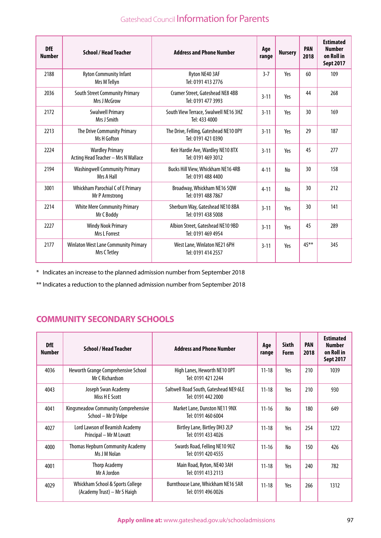| <b>DfE</b><br><b>Number</b> | <b>School / Head Teacher</b>                                  | <b>Address and Phone Number</b>                               | Age<br>range | <b>Nursery</b> | <b>PAN</b><br>2018 | <b>Estimated</b><br><b>Number</b><br>on Roll in<br><b>Sept 2017</b> |
|-----------------------------|---------------------------------------------------------------|---------------------------------------------------------------|--------------|----------------|--------------------|---------------------------------------------------------------------|
| 2188                        | <b>Ryton Community Infant</b><br>Mrs M Tellyn                 | Ryton NE40 3AF<br>Tel: 0191 413 2776                          | $3 - 7$      | Yes            | 60                 | 109                                                                 |
| 2036                        | <b>South Street Community Primary</b><br>Mrs J McGrow         | <b>Cramer Street, Gateshead NE8 4BB</b><br>Tel: 0191 477 3993 | $3 - 11$     | Yes            | 44                 | 268                                                                 |
| 2172                        | <b>Swalwell Primary</b><br>Mrs J Smith                        | South View Terrace, Swalwell NE16 3HZ<br>Tel: 433 4000        | $3 - 11$     | Yes            | 30                 | 169                                                                 |
| 2213                        | The Drive Community Primary<br>Ms H Gofton                    | The Drive, Felling, Gateshead NE10 OPY<br>Tel: 0191 421 0390  | $3 - 11$     | Yes            | 29                 | 187                                                                 |
| 2224                        | <b>Wardley Primary</b><br>Acting Head Teacher - Mrs N Wallace | Keir Hardie Ave, Wardley NE10 8TX<br>Tel: 0191 469 3012       | $3 - 11$     | Yes            | 45                 | 277                                                                 |
| 2194                        | <b>Washingwell Community Primary</b><br>Mrs A Hall            | Bucks Hill View, Whickham NE16 4RB<br>Tel: 0191 488 4400      | $4 - 11$     | No             | 30                 | 158                                                                 |
| 3001                        | <b>Whickham Parochial C of E Primary</b><br>Mr P Armstrong    | Broadway, Whickham NE16 5QW<br>Tel: 0191 488 7867             | $4 - 11$     | No             | 30                 | 212                                                                 |
| 2214                        | <b>White Mere Community Primary</b><br>Mr C Boddy             | Sherburn Way, Gateshead NE10 8BA<br>Tel: 0191 438 5008        | $3 - 11$     | Yes            | 30                 | 141                                                                 |
| 2227                        | <b>Windy Nook Primary</b><br>Mrs L Forrest                    | Albion Street, Gateshead NE10 9BD<br>Tel: 0191 469 4954       | $3 - 11$     | Yes            | 45                 | 289                                                                 |
| 2177                        | <b>Winlaton West Lane Community Primary</b><br>Mrs C Tetley   | West Lane, Winlaton NE21 6PH<br>Tel: 0191 414 2557            | $3 - 11$     | Yes            | $45***$            | 345                                                                 |

\* Indicates an increase to the planned admission number from September 2018

\*\* Indicates a reduction to the planned admission number from September 2018

## **COMMUNITY SECONDARY SCHOOLS**

| DfE<br><b>Number</b> | <b>School / Head Teacher</b>                                     | <b>Address and Phone Number</b>                              | Age<br>range | <b>Sixth</b><br>Form | <b>PAN</b><br>2018 | <b>Estimated</b><br><b>Number</b><br>on Roll in<br><b>Sept 2017</b> |
|----------------------|------------------------------------------------------------------|--------------------------------------------------------------|--------------|----------------------|--------------------|---------------------------------------------------------------------|
| 4036                 | Heworth Grange Comprehensive School<br><b>Mr C Richardson</b>    | High Lanes, Heworth NE10 OPT<br>Tel: 0191 421 2244           | $11 - 18$    | Yes                  | 210                | 1039                                                                |
| 4043                 | Joseph Swan Academy<br>Miss H E Scott                            | Saltwell Road South, Gateshead NE9 6LE<br>Tel: 0191 442 2000 | $11 - 18$    | Yes                  | 210                | 930                                                                 |
| 4041                 | Kingsmeadow Community Comprehensive<br>School - Mr D Volpe       | Market Lane, Dunston NE11 9NX<br>Tel: 0191 460 6004          | $11 - 16$    | No                   | 180                | 649                                                                 |
| 4027                 | Lord Lawson of Beamish Academy<br>Principal - Mr M Lovatt        | Birtley Lane, Birtley DH3 2LP<br>Tel: 0191 433 4026          | $11 - 18$    | Yes                  | 254                | 1272                                                                |
| 4000                 | <b>Thomas Hepburn Community Academy</b><br>Ms J M Nolan          | Swards Road, Felling NE10 9UZ<br>Tel: 0191 420 4555          | $11 - 16$    | No                   | 150                | 426                                                                 |
| 4001                 | <b>Thorp Academy</b><br>Mr A Jordon                              | Main Road, Ryton, NE40 3AH<br>Tel: 0191 413 2113             | $11 - 18$    | Yes                  | 240                | 782                                                                 |
| 4029                 | Whickham School & Sports College<br>(Academy Trust) - Mr S Haigh | Burnthouse Lane, Whickham NE16 5AR<br>Tel: 0191 496 0026     | $11 - 18$    | Yes                  | 266                | 1312                                                                |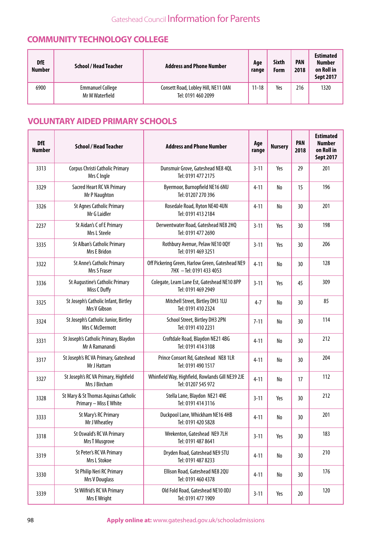## **COMMUNITY TECHNOLOGY COLLEGE**

| <b>DfE</b><br><b>Number</b> | <b>School / Head Teacher</b>               | <b>Address and Phone Number</b>                           | Age<br>range | <b>Sixth</b><br>Form | <b>PAN</b><br>2018 | <b>Estimated</b><br><b>Number</b><br>on Roll in<br><b>Sept 2017</b> |
|-----------------------------|--------------------------------------------|-----------------------------------------------------------|--------------|----------------------|--------------------|---------------------------------------------------------------------|
| 6900                        | <b>Emmanuel College</b><br>Mr M Waterfield | Consett Road, Lobley Hill, NE11 0AN<br>Tel: 0191 460 2099 | $11 - 18$    | Yes                  | 216                | 1320                                                                |

## **VOLUNTARY AIDED PRIMARY SCHOOLS**

| <b>DfE</b><br><b>Number</b> | <b>School / Head Teacher</b>                                   | <b>Address and Phone Number</b>                                              | Age<br>range | <b>Nursery</b> | <b>PAN</b><br>2018 | <b>Estimated</b><br><b>Number</b><br>on Roll in<br><b>Sept 2017</b> |
|-----------------------------|----------------------------------------------------------------|------------------------------------------------------------------------------|--------------|----------------|--------------------|---------------------------------------------------------------------|
| 3313                        | Corpus Christi Catholic Primary<br>Mrs C Ingle                 | Dunsmuir Grove, Gateshead NE8 4QL<br>Tel: 0191 477 2175                      | $3 - 11$     | Yes            | 29                 | 201                                                                 |
| 3329                        | Sacred Heart RC VA Primary<br>Mr P Naughton                    | Byermoor, Burnopfield NE16 6NU<br>Tel: 01207 270 396                         | $4 - 11$     | No             | 15                 | 196                                                                 |
| 3326                        | <b>St Agnes Catholic Primary</b><br>Mr G Laidler               | Rosedale Road, Ryton NE40 4UN<br>Tel: 0191 413 2184                          | $4 - 11$     | No             | 30                 | 201                                                                 |
| 2237                        | St Aidan's C of E Primary<br>Mrs L Steele                      | Derwentwater Road, Gateshead NE8 2HQ<br>Tel: 0191 477 2690                   | $3 - 11$     | Yes            | 30                 | 198                                                                 |
| 3335                        | St Alban's Catholic Primary<br>Mrs E Bridon                    | Rothbury Avenue, Pelaw NE10 0QY<br>Tel: 0191 469 3251                        | $3 - 11$     | Yes            | 30                 | 206                                                                 |
| 3322                        | St Anne's Catholic Primary<br>Mrs S Fraser                     | Off Pickering Green, Harlow Green, Gateshead NE9<br>7HX - Tel: 0191 433 4053 | $4 - 11$     | No             | 30                 | 128                                                                 |
| 3336                        | St Augustine's Catholic Primary<br>Miss C Duffy                | Colegate, Leam Lane Est, Gateshead NE10 8PP<br>Tel: 0191 469 2949            | $3 - 11$     | Yes            | 45                 | 309                                                                 |
| 3325                        | St Joseph's Catholic Infant, Birtley<br>Mrs V Gibson           | Mitchell Street, Birtley DH3 1LU<br>Tel: 0191 410 2324                       | $4 - 7$      | No             | 30                 | 85                                                                  |
| 3324                        | St Joseph's Catholic Junior, Birtley<br>Mrs C McDermott        | School Street, Birtley DH3 2PN<br>Tel: 0191 410 2231                         | $7 - 11$     | No             | 30                 | 114                                                                 |
| 3331                        | St Joseph's Catholic Primary, Blaydon<br>Mr A Ramanandi        | Croftdale Road, Blaydon NE21 4BG<br>Tel: 0191 414 3108                       | $4 - 11$     | No             | 30                 | 212                                                                 |
| 3317                        | St Joseph's RC VA Primary, Gateshead<br>Mr J Hattam            | Prince Consort Rd, Gateshead NE8 1LR<br>Tel: 0191 490 1517                   | $4 - 11$     | No             | 30                 | 204                                                                 |
| 3327                        | St Joseph's RC VA Primary, Highfield<br>Mrs J Bircham          | Whinfield Way, Highfield, Rowlands Gill NE39 2JE<br>Tel: 01207 545 972       | $4 - 11$     | No             | 17                 | 112                                                                 |
| 3328                        | St Mary & St Thomas Aquinas Catholic<br>Primary - Miss E White | Stella Lane, Blaydon NE21 4NE<br>Tel: 0191 414 3116                          | $3 - 11$     | Yes            | 30                 | 212                                                                 |
| 3333                        | <b>St Mary's RC Primary</b><br>Mr J Wheatley                   | Duckpool Lane, Whickham NE16 4HB<br>Tel: 0191 420 5828                       | $4 - 11$     | ${\sf No}$     | 30                 | 201                                                                 |
| 3318                        | St Oswald's RC VA Primary<br>Mrs T Musgrove                    | Wrekenton, Gateshead NE9 7LH<br>Tel: 0191 487 8641                           | $3 - 11$     | Yes            | 30                 | 183                                                                 |
| 3319                        | St Peter's RC VA Primary<br>Mrs L Stokoe                       | Dryden Road, Gateshead NE9 5TU<br>Tel: 0191 487 8233                         | $4 - 11$     | No             | 30                 | 210                                                                 |
| 3330                        | St Philip Neri RC Primary<br>Mrs V Douglass                    | Ellison Road, Gateshead NE8 2QU<br>Tel: 0191 460 4378                        | $4 - 11$     | No             | 30                 | 176                                                                 |
| 3339                        | St Wilfrid's RC VA Primary<br>Mrs E Wright                     | Old Fold Road, Gateshead NE10 ODJ<br>Tel: 0191 477 1909                      | $3 - 11$     | Yes            | $20\,$             | 120                                                                 |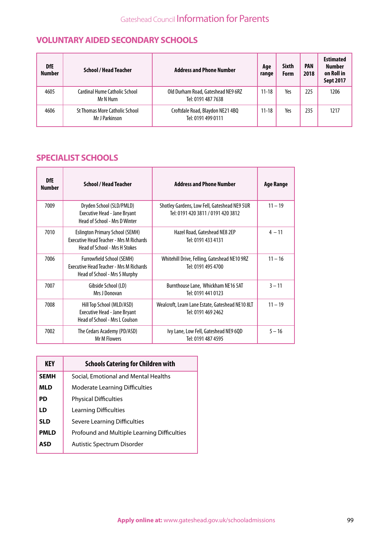## **VOLUNTARY AIDED SECONDARY SCHOOLS**

| <b>DfE</b><br><b>Number</b> | <b>School / Head Teacher</b>                            | <b>Address and Phone Number</b>                          | Age<br>range | <b>Sixth</b><br>Form | <b>PAN</b><br>2018 | Estimated<br><b>Number</b><br>on Roll in<br><b>Sept 2017</b> |
|-----------------------------|---------------------------------------------------------|----------------------------------------------------------|--------------|----------------------|--------------------|--------------------------------------------------------------|
| 4605                        | Cardinal Hume Catholic School<br>Mr N Hurn              | Old Durham Road, Gateshead NE9 6RZ<br>Tel: 0191 487 7638 | $11 - 18$    | Yes                  | 225                | 1206                                                         |
| 4606                        | <b>St Thomas More Catholic School</b><br>Mr J Parkinson | Croftdale Road, Blaydon NE21 4BQ<br>Tel: 0191 499 0111   | $11 - 18$    | Yes                  | 235                | 1217                                                         |

## **SPECIALIST SCHOOLS**

| <b>DfE</b><br><b>Number</b> | <b>School / Head Teacher</b>                                                                                                     | <b>Address and Phone Number</b>                                                    | Age Range |
|-----------------------------|----------------------------------------------------------------------------------------------------------------------------------|------------------------------------------------------------------------------------|-----------|
| 7009                        | Dryden School (SLD/PMLD)<br><b>Executive Head - Jane Bryant</b><br>Head of School - Mrs D Winter                                 | Shotley Gardens, Low Fell, Gateshead NE9 5UR<br>Tel: 0191 420 3811 / 0191 420 3812 | $11 - 19$ |
| 7010                        | <b>Eslington Primary School (SEMH)</b><br><b>Executive Head Teacher - Mrs M Richards</b><br><b>Head of School - Mrs H Stokes</b> | Hazel Road, Gateshead NE8 2EP<br>Tel: 0191 433 4131                                | $4 - 11$  |
| 7006                        | <b>Furrowfield School (SEMH)</b><br><b>Executive Head Teacher - Mrs M Richards</b><br>Head of School - Mrs S Murphy              | Whitehill Drive, Felling, Gateshead NE10 9RZ<br>Tel: 0191 495 4700                 | $11 - 16$ |
| 7007                        | Gibside School (LD)<br>Mrs J Donovan                                                                                             | Burnthouse Lane, Whickham NE16 5AT<br>Tel: 0191 441 0123                           | $3 - 11$  |
| 7008                        | Hill Top School (MLD/ASD)<br><b>Executive Head - Jane Bryant</b><br>Head of School - Mrs L Coulson                               | Wealcroft, Leam Lane Estate, Gateshead NE10 8LT<br>Tel: 0191 469 2462              | $11 - 19$ |
| 7002                        | The Cedars Academy (PD/ASD)<br><b>Mr M Flowers</b>                                                                               | Ivy Lane, Low Fell, Gateshead NE9 6QD<br>Tel: 0191 487 4595                        | $5 - 16$  |

| <b>KEY</b>  | <b>Schools Catering for Children with</b>   |
|-------------|---------------------------------------------|
| <b>SEMH</b> | Social, Emotional and Mental Healths        |
| MLD         | <b>Moderate Learning Difficulties</b>       |
| PD          | <b>Physical Difficulties</b>                |
| LD          | Learning Difficulties                       |
| <b>SLD</b>  | Severe Learning Difficulties                |
| <b>PMLD</b> | Profound and Multiple Learning Difficulties |
| ASD         | Autistic Spectrum Disorder                  |